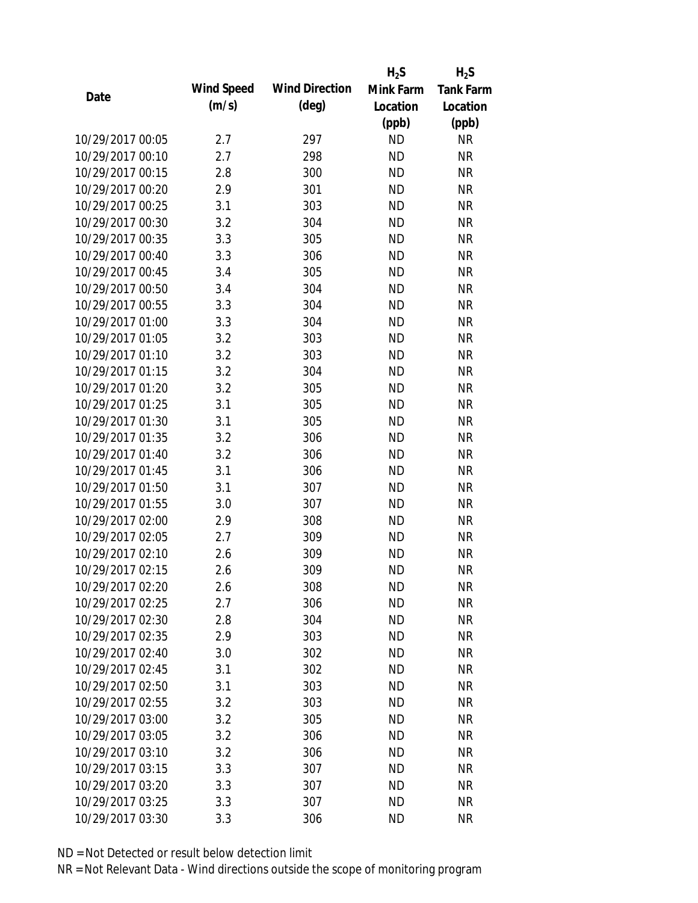|                  |            |                       | $H_2S$    | $H_2S$           |
|------------------|------------|-----------------------|-----------|------------------|
|                  | Wind Speed | <b>Wind Direction</b> | Mink Farm | <b>Tank Farm</b> |
| Date             | (m/s)      | $(\text{deg})$        | Location  | Location         |
|                  |            |                       | (ppb)     | (ppb)            |
| 10/29/2017 00:05 | 2.7        | 297                   | <b>ND</b> | <b>NR</b>        |
| 10/29/2017 00:10 | 2.7        | 298                   | <b>ND</b> | <b>NR</b>        |
| 10/29/2017 00:15 | 2.8        | 300                   | <b>ND</b> | <b>NR</b>        |
| 10/29/2017 00:20 | 2.9        | 301                   | <b>ND</b> | <b>NR</b>        |
| 10/29/2017 00:25 | 3.1        | 303                   | <b>ND</b> | <b>NR</b>        |
| 10/29/2017 00:30 | 3.2        | 304                   | <b>ND</b> | <b>NR</b>        |
| 10/29/2017 00:35 | 3.3        | 305                   | <b>ND</b> | <b>NR</b>        |
| 10/29/2017 00:40 | 3.3        | 306                   | <b>ND</b> | <b>NR</b>        |
| 10/29/2017 00:45 | 3.4        | 305                   | <b>ND</b> | <b>NR</b>        |
| 10/29/2017 00:50 | 3.4        | 304                   | <b>ND</b> | <b>NR</b>        |
| 10/29/2017 00:55 | 3.3        | 304                   | <b>ND</b> | <b>NR</b>        |
| 10/29/2017 01:00 | 3.3        | 304                   | <b>ND</b> | <b>NR</b>        |
| 10/29/2017 01:05 | 3.2        | 303                   | <b>ND</b> | <b>NR</b>        |
| 10/29/2017 01:10 | 3.2        | 303                   | <b>ND</b> | <b>NR</b>        |
| 10/29/2017 01:15 | 3.2        | 304                   | <b>ND</b> | <b>NR</b>        |
| 10/29/2017 01:20 | 3.2        | 305                   | <b>ND</b> | <b>NR</b>        |
| 10/29/2017 01:25 | 3.1        | 305                   | <b>ND</b> | <b>NR</b>        |
| 10/29/2017 01:30 | 3.1        | 305                   | <b>ND</b> | <b>NR</b>        |
| 10/29/2017 01:35 | 3.2        | 306                   | <b>ND</b> | <b>NR</b>        |
| 10/29/2017 01:40 | 3.2        | 306                   | <b>ND</b> | <b>NR</b>        |
| 10/29/2017 01:45 | 3.1        | 306                   | <b>ND</b> | <b>NR</b>        |
| 10/29/2017 01:50 | 3.1        | 307                   | <b>ND</b> | <b>NR</b>        |
| 10/29/2017 01:55 | 3.0        | 307                   | <b>ND</b> | <b>NR</b>        |
| 10/29/2017 02:00 | 2.9        | 308                   | <b>ND</b> | <b>NR</b>        |
| 10/29/2017 02:05 | 2.7        | 309                   | <b>ND</b> | <b>NR</b>        |
| 10/29/2017 02:10 | 2.6        | 309                   | <b>ND</b> | <b>NR</b>        |
| 10/29/2017 02:15 | 2.6        | 309                   | <b>ND</b> | <b>NR</b>        |
| 10/29/2017 02:20 | 2.6        | 308                   | <b>ND</b> | <b>NR</b>        |
| 10/29/2017 02:25 | 2.7        | 306                   | <b>ND</b> | <b>NR</b>        |
| 10/29/2017 02:30 | 2.8        | 304                   | <b>ND</b> | <b>NR</b>        |
| 10/29/2017 02:35 | 2.9        | 303                   | <b>ND</b> | <b>NR</b>        |
| 10/29/2017 02:40 | 3.0        | 302                   | <b>ND</b> | <b>NR</b>        |
| 10/29/2017 02:45 | 3.1        | 302                   | <b>ND</b> | <b>NR</b>        |
| 10/29/2017 02:50 | 3.1        | 303                   | <b>ND</b> | <b>NR</b>        |
| 10/29/2017 02:55 | 3.2        | 303                   | <b>ND</b> | <b>NR</b>        |
| 10/29/2017 03:00 | 3.2        | 305                   | <b>ND</b> | <b>NR</b>        |
| 10/29/2017 03:05 | 3.2        | 306                   | <b>ND</b> | <b>NR</b>        |
| 10/29/2017 03:10 | 3.2        | 306                   | <b>ND</b> | <b>NR</b>        |
| 10/29/2017 03:15 | 3.3        | 307                   | <b>ND</b> | <b>NR</b>        |
| 10/29/2017 03:20 | 3.3        | 307                   | <b>ND</b> | NR               |
| 10/29/2017 03:25 | 3.3        | 307                   | <b>ND</b> | <b>NR</b>        |
| 10/29/2017 03:30 | 3.3        | 306                   | <b>ND</b> | <b>NR</b>        |
|                  |            |                       |           |                  |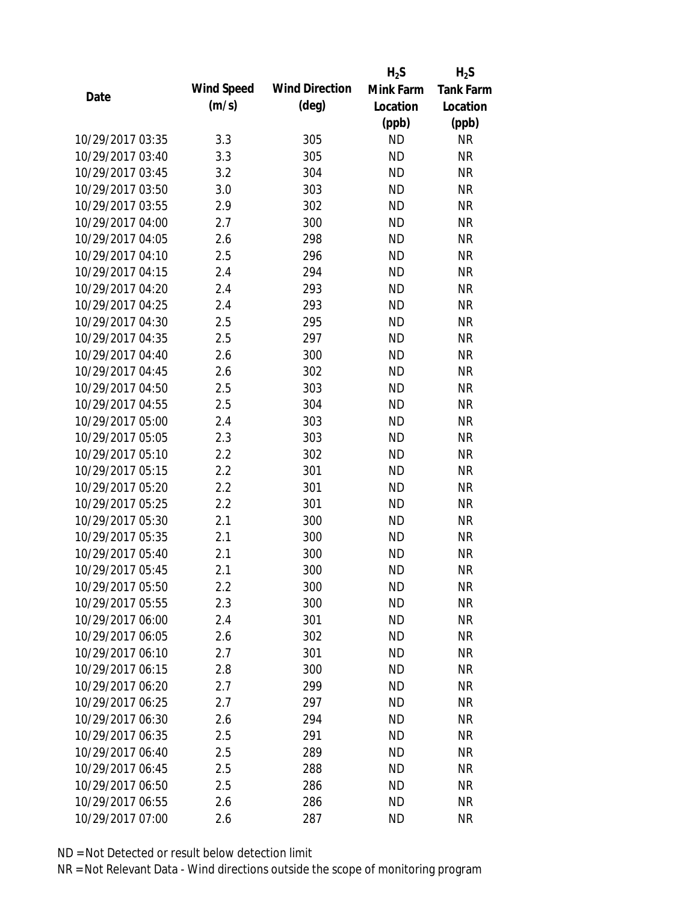|                  |            |                       | $H_2S$    | $H_2S$           |
|------------------|------------|-----------------------|-----------|------------------|
|                  | Wind Speed | <b>Wind Direction</b> | Mink Farm | <b>Tank Farm</b> |
| Date             | (m/s)      | $(\text{deg})$        | Location  | Location         |
|                  |            |                       | (ppb)     | (ppb)            |
| 10/29/2017 03:35 | 3.3        | 305                   | <b>ND</b> | <b>NR</b>        |
| 10/29/2017 03:40 | 3.3        | 305                   | <b>ND</b> | <b>NR</b>        |
| 10/29/2017 03:45 | 3.2        | 304                   | <b>ND</b> | <b>NR</b>        |
| 10/29/2017 03:50 | 3.0        | 303                   | <b>ND</b> | <b>NR</b>        |
| 10/29/2017 03:55 | 2.9        | 302                   | <b>ND</b> | <b>NR</b>        |
| 10/29/2017 04:00 | 2.7        | 300                   | <b>ND</b> | <b>NR</b>        |
| 10/29/2017 04:05 | 2.6        | 298                   | <b>ND</b> | <b>NR</b>        |
| 10/29/2017 04:10 | 2.5        | 296                   | <b>ND</b> | <b>NR</b>        |
| 10/29/2017 04:15 | 2.4        | 294                   | <b>ND</b> | <b>NR</b>        |
| 10/29/2017 04:20 | 2.4        | 293                   | <b>ND</b> | <b>NR</b>        |
| 10/29/2017 04:25 | 2.4        | 293                   | <b>ND</b> | <b>NR</b>        |
| 10/29/2017 04:30 | 2.5        | 295                   | <b>ND</b> | <b>NR</b>        |
| 10/29/2017 04:35 | 2.5        | 297                   | <b>ND</b> | <b>NR</b>        |
| 10/29/2017 04:40 | 2.6        | 300                   | <b>ND</b> | <b>NR</b>        |
| 10/29/2017 04:45 | 2.6        | 302                   | <b>ND</b> | <b>NR</b>        |
| 10/29/2017 04:50 | 2.5        | 303                   | <b>ND</b> | <b>NR</b>        |
| 10/29/2017 04:55 | 2.5        | 304                   | <b>ND</b> | <b>NR</b>        |
| 10/29/2017 05:00 | 2.4        | 303                   | <b>ND</b> | <b>NR</b>        |
| 10/29/2017 05:05 | 2.3        | 303                   | <b>ND</b> | <b>NR</b>        |
| 10/29/2017 05:10 | 2.2        | 302                   | <b>ND</b> | <b>NR</b>        |
| 10/29/2017 05:15 | 2.2        | 301                   | <b>ND</b> | <b>NR</b>        |
| 10/29/2017 05:20 | 2.2        | 301                   | <b>ND</b> | <b>NR</b>        |
| 10/29/2017 05:25 | 2.2        | 301                   | <b>ND</b> | <b>NR</b>        |
| 10/29/2017 05:30 | 2.1        | 300                   | <b>ND</b> | <b>NR</b>        |
| 10/29/2017 05:35 | 2.1        | 300                   | <b>ND</b> | <b>NR</b>        |
| 10/29/2017 05:40 | 2.1        | 300                   | <b>ND</b> | <b>NR</b>        |
| 10/29/2017 05:45 | 2.1        | 300                   | <b>ND</b> | <b>NR</b>        |
| 10/29/2017 05:50 | $2.2\,$    | 300                   | <b>ND</b> | <b>NR</b>        |
| 10/29/2017 05:55 | 2.3        | 300                   | <b>ND</b> | <b>NR</b>        |
| 10/29/2017 06:00 | 2.4        | 301                   | <b>ND</b> | <b>NR</b>        |
| 10/29/2017 06:05 | 2.6        | 302                   | <b>ND</b> | <b>NR</b>        |
| 10/29/2017 06:10 | 2.7        | 301                   | <b>ND</b> | <b>NR</b>        |
| 10/29/2017 06:15 | 2.8        | 300                   | <b>ND</b> | NR               |
| 10/29/2017 06:20 | 2.7        | 299                   | <b>ND</b> | <b>NR</b>        |
| 10/29/2017 06:25 | 2.7        | 297                   | ND        | <b>NR</b>        |
| 10/29/2017 06:30 | 2.6        | 294                   | <b>ND</b> | <b>NR</b>        |
| 10/29/2017 06:35 | 2.5        | 291                   | <b>ND</b> | <b>NR</b>        |
| 10/29/2017 06:40 | 2.5        | 289                   | <b>ND</b> | <b>NR</b>        |
| 10/29/2017 06:45 | 2.5        | 288                   | <b>ND</b> | <b>NR</b>        |
| 10/29/2017 06:50 | 2.5        | 286                   | <b>ND</b> | NR               |
| 10/29/2017 06:55 | 2.6        | 286                   | <b>ND</b> | <b>NR</b>        |
| 10/29/2017 07:00 | 2.6        | 287                   | <b>ND</b> | <b>NR</b>        |
|                  |            |                       |           |                  |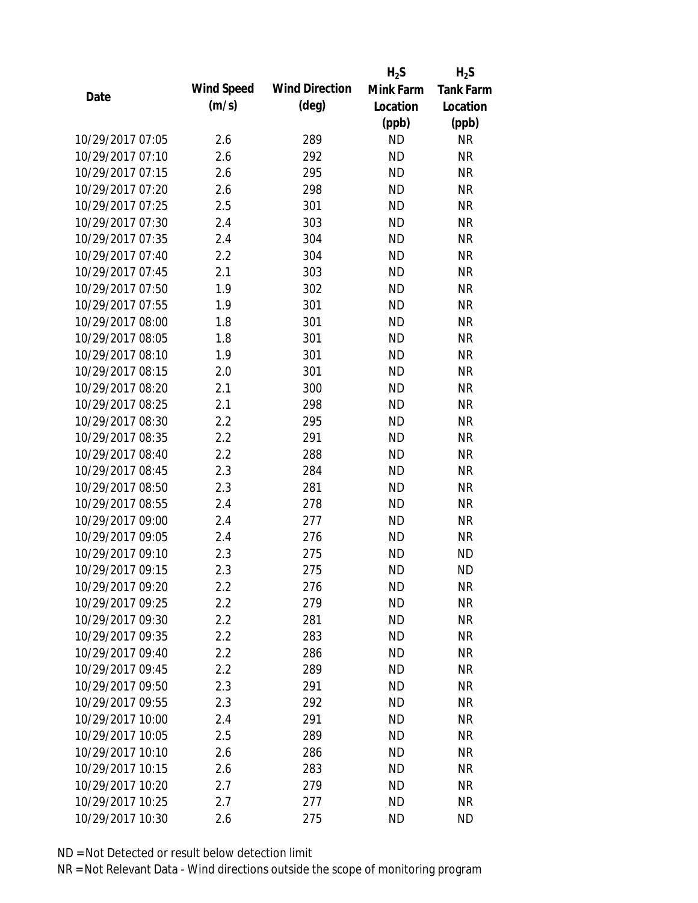|                  |            |                       | $H_2S$    | $H_2S$           |
|------------------|------------|-----------------------|-----------|------------------|
| Date             | Wind Speed | <b>Wind Direction</b> | Mink Farm | <b>Tank Farm</b> |
|                  | (m/s)      | $(\text{deg})$        | Location  | Location         |
|                  |            |                       | (ppb)     | (ppb)            |
| 10/29/2017 07:05 | 2.6        | 289                   | <b>ND</b> | <b>NR</b>        |
| 10/29/2017 07:10 | 2.6        | 292                   | <b>ND</b> | <b>NR</b>        |
| 10/29/2017 07:15 | 2.6        | 295                   | <b>ND</b> | <b>NR</b>        |
| 10/29/2017 07:20 | 2.6        | 298                   | <b>ND</b> | <b>NR</b>        |
| 10/29/2017 07:25 | 2.5        | 301                   | <b>ND</b> | <b>NR</b>        |
| 10/29/2017 07:30 | 2.4        | 303                   | <b>ND</b> | <b>NR</b>        |
| 10/29/2017 07:35 | 2.4        | 304                   | <b>ND</b> | <b>NR</b>        |
| 10/29/2017 07:40 | 2.2        | 304                   | <b>ND</b> | <b>NR</b>        |
| 10/29/2017 07:45 | 2.1        | 303                   | <b>ND</b> | <b>NR</b>        |
| 10/29/2017 07:50 | 1.9        | 302                   | <b>ND</b> | <b>NR</b>        |
| 10/29/2017 07:55 | 1.9        | 301                   | <b>ND</b> | <b>NR</b>        |
| 10/29/2017 08:00 | 1.8        | 301                   | <b>ND</b> | <b>NR</b>        |
| 10/29/2017 08:05 | 1.8        | 301                   | <b>ND</b> | <b>NR</b>        |
| 10/29/2017 08:10 | 1.9        | 301                   | <b>ND</b> | <b>NR</b>        |
| 10/29/2017 08:15 | 2.0        | 301                   | <b>ND</b> | <b>NR</b>        |
| 10/29/2017 08:20 | 2.1        | 300                   | <b>ND</b> | <b>NR</b>        |
| 10/29/2017 08:25 | 2.1        | 298                   | <b>ND</b> | <b>NR</b>        |
| 10/29/2017 08:30 | 2.2        | 295                   | <b>ND</b> | <b>NR</b>        |
| 10/29/2017 08:35 | 2.2        | 291                   | <b>ND</b> | <b>NR</b>        |
| 10/29/2017 08:40 | 2.2        | 288                   | <b>ND</b> | <b>NR</b>        |
| 10/29/2017 08:45 | 2.3        | 284                   | <b>ND</b> | <b>NR</b>        |
| 10/29/2017 08:50 | 2.3        | 281                   | <b>ND</b> | <b>NR</b>        |
| 10/29/2017 08:55 | 2.4        | 278                   | <b>ND</b> | <b>NR</b>        |
| 10/29/2017 09:00 | 2.4        | 277                   | <b>ND</b> | <b>NR</b>        |
| 10/29/2017 09:05 | 2.4        | 276                   | <b>ND</b> | <b>NR</b>        |
| 10/29/2017 09:10 | 2.3        | 275                   | <b>ND</b> | <b>ND</b>        |
| 10/29/2017 09:15 | 2.3        | 275                   | <b>ND</b> | <b>ND</b>        |
| 10/29/2017 09:20 | $2.2\,$    | 276                   | <b>ND</b> | <b>NR</b>        |
| 10/29/2017 09:25 | 2.2        | 279                   | <b>ND</b> | <b>NR</b>        |
| 10/29/2017 09:30 | 2.2        | 281                   | ND        | <b>NR</b>        |
| 10/29/2017 09:35 | 2.2        | 283                   | <b>ND</b> | <b>NR</b>        |
| 10/29/2017 09:40 | 2.2        | 286                   | <b>ND</b> | <b>NR</b>        |
| 10/29/2017 09:45 | 2.2        | 289                   | <b>ND</b> | <b>NR</b>        |
| 10/29/2017 09:50 | 2.3        | 291                   | <b>ND</b> | <b>NR</b>        |
| 10/29/2017 09:55 | 2.3        | 292                   | <b>ND</b> | <b>NR</b>        |
| 10/29/2017 10:00 | 2.4        | 291                   | <b>ND</b> | <b>NR</b>        |
| 10/29/2017 10:05 | 2.5        | 289                   | <b>ND</b> | <b>NR</b>        |
| 10/29/2017 10:10 | 2.6        | 286                   | <b>ND</b> | <b>NR</b>        |
| 10/29/2017 10:15 | 2.6        | 283                   | <b>ND</b> | <b>NR</b>        |
| 10/29/2017 10:20 | 2.7        | 279                   | <b>ND</b> | <b>NR</b>        |
| 10/29/2017 10:25 | 2.7        | 277                   | <b>ND</b> | <b>NR</b>        |
| 10/29/2017 10:30 | 2.6        | 275                   | <b>ND</b> | <b>ND</b>        |
|                  |            |                       |           |                  |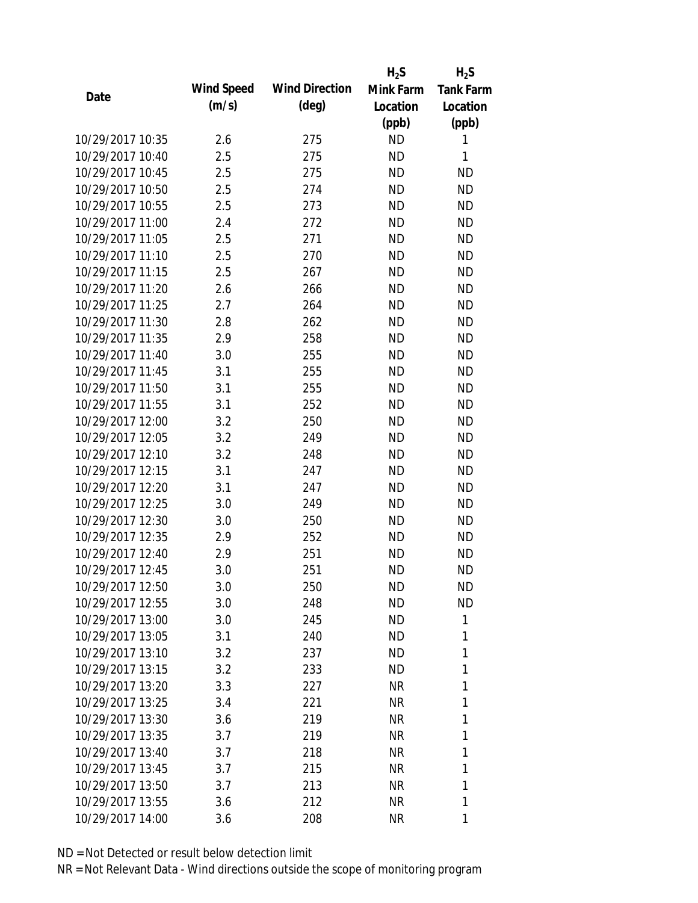|                  |                   |                       | $H_2S$    | $H_2S$           |
|------------------|-------------------|-----------------------|-----------|------------------|
| Date             | <b>Wind Speed</b> | <b>Wind Direction</b> | Mink Farm | <b>Tank Farm</b> |
|                  | (m/s)             | $(\text{deg})$        | Location  | Location         |
|                  |                   |                       | (ppb)     | (ppb)            |
| 10/29/2017 10:35 | 2.6               | 275                   | <b>ND</b> | 1                |
| 10/29/2017 10:40 | 2.5               | 275                   | <b>ND</b> | 1                |
| 10/29/2017 10:45 | 2.5               | 275                   | <b>ND</b> | <b>ND</b>        |
| 10/29/2017 10:50 | 2.5               | 274                   | <b>ND</b> | <b>ND</b>        |
| 10/29/2017 10:55 | 2.5               | 273                   | <b>ND</b> | <b>ND</b>        |
| 10/29/2017 11:00 | 2.4               | 272                   | <b>ND</b> | <b>ND</b>        |
| 10/29/2017 11:05 | 2.5               | 271                   | <b>ND</b> | <b>ND</b>        |
| 10/29/2017 11:10 | 2.5               | 270                   | <b>ND</b> | <b>ND</b>        |
| 10/29/2017 11:15 | 2.5               | 267                   | <b>ND</b> | <b>ND</b>        |
| 10/29/2017 11:20 | 2.6               | 266                   | <b>ND</b> | <b>ND</b>        |
| 10/29/2017 11:25 | 2.7               | 264                   | <b>ND</b> | <b>ND</b>        |
| 10/29/2017 11:30 | 2.8               | 262                   | <b>ND</b> | <b>ND</b>        |
| 10/29/2017 11:35 | 2.9               | 258                   | <b>ND</b> | <b>ND</b>        |
| 10/29/2017 11:40 | 3.0               | 255                   | <b>ND</b> | <b>ND</b>        |
| 10/29/2017 11:45 | 3.1               | 255                   | <b>ND</b> | <b>ND</b>        |
| 10/29/2017 11:50 | 3.1               | 255                   | <b>ND</b> | <b>ND</b>        |
| 10/29/2017 11:55 | 3.1               | 252                   | <b>ND</b> | <b>ND</b>        |
| 10/29/2017 12:00 | 3.2               | 250                   | <b>ND</b> | <b>ND</b>        |
| 10/29/2017 12:05 | 3.2               | 249                   | <b>ND</b> | <b>ND</b>        |
| 10/29/2017 12:10 | 3.2               | 248                   | <b>ND</b> | <b>ND</b>        |
| 10/29/2017 12:15 | 3.1               | 247                   | <b>ND</b> | <b>ND</b>        |
| 10/29/2017 12:20 | 3.1               | 247                   | <b>ND</b> | <b>ND</b>        |
| 10/29/2017 12:25 | 3.0               | 249                   | <b>ND</b> | <b>ND</b>        |
| 10/29/2017 12:30 | 3.0               | 250                   | <b>ND</b> | <b>ND</b>        |
| 10/29/2017 12:35 | 2.9               | 252                   | <b>ND</b> | <b>ND</b>        |
| 10/29/2017 12:40 | 2.9               | 251                   | <b>ND</b> | <b>ND</b>        |
| 10/29/2017 12:45 | 3.0               | 251                   | <b>ND</b> | <b>ND</b>        |
| 10/29/2017 12:50 | 3.0               | 250                   | ND        | <b>ND</b>        |
| 10/29/2017 12:55 | 3.0               | 248                   | <b>ND</b> | <b>ND</b>        |
| 10/29/2017 13:00 | 3.0               | 245                   | <b>ND</b> | 1                |
| 10/29/2017 13:05 | 3.1               | 240                   | ND        | 1                |
| 10/29/2017 13:10 | 3.2               | 237                   | <b>ND</b> | 1                |
| 10/29/2017 13:15 | 3.2               | 233                   | ND        | 1                |
| 10/29/2017 13:20 | 3.3               | 227                   | <b>NR</b> | 1                |
| 10/29/2017 13:25 | 3.4               | 221                   | NR        | 1                |
| 10/29/2017 13:30 | 3.6               | 219                   | NR        | 1                |
| 10/29/2017 13:35 | 3.7               | 219                   | <b>NR</b> | 1                |
| 10/29/2017 13:40 | 3.7               | 218                   | NR        | 1                |
| 10/29/2017 13:45 | 3.7               | 215                   | <b>NR</b> | 1                |
| 10/29/2017 13:50 | 3.7               | 213                   | NR        | 1                |
| 10/29/2017 13:55 | 3.6               | 212                   | <b>NR</b> | 1                |
| 10/29/2017 14:00 | 3.6               | 208                   | <b>NR</b> | 1                |
|                  |                   |                       |           |                  |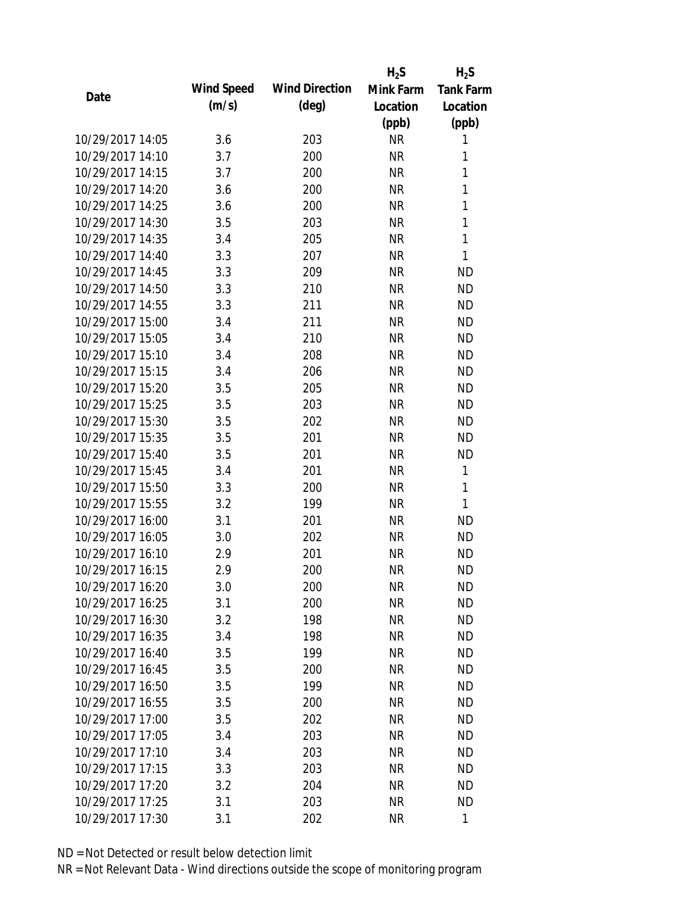|                  |            |                       | $H_2S$    | $H_2S$           |
|------------------|------------|-----------------------|-----------|------------------|
| Date             | Wind Speed | <b>Wind Direction</b> | Mink Farm | <b>Tank Farm</b> |
|                  | (m/s)      | $(\text{deg})$        | Location  | Location         |
|                  |            |                       | (ppb)     | (ppb)            |
| 10/29/2017 14:05 | 3.6        | 203                   | <b>NR</b> | 1                |
| 10/29/2017 14:10 | 3.7        | 200                   | <b>NR</b> | 1                |
| 10/29/2017 14:15 | 3.7        | 200                   | <b>NR</b> | $\mathbf{1}$     |
| 10/29/2017 14:20 | 3.6        | 200                   | <b>NR</b> | 1                |
| 10/29/2017 14:25 | 3.6        | 200                   | <b>NR</b> | $\mathbf{1}$     |
| 10/29/2017 14:30 | 3.5        | 203                   | <b>NR</b> | 1                |
| 10/29/2017 14:35 | 3.4        | 205                   | <b>NR</b> | $\mathbf{1}$     |
| 10/29/2017 14:40 | 3.3        | 207                   | <b>NR</b> | $\mathbf{1}$     |
| 10/29/2017 14:45 | 3.3        | 209                   | <b>NR</b> | <b>ND</b>        |
| 10/29/2017 14:50 | 3.3        | 210                   | <b>NR</b> | <b>ND</b>        |
| 10/29/2017 14:55 | 3.3        | 211                   | <b>NR</b> | <b>ND</b>        |
| 10/29/2017 15:00 | 3.4        | 211                   | <b>NR</b> | <b>ND</b>        |
| 10/29/2017 15:05 | 3.4        | 210                   | <b>NR</b> | <b>ND</b>        |
| 10/29/2017 15:10 | 3.4        | 208                   | <b>NR</b> | <b>ND</b>        |
| 10/29/2017 15:15 | 3.4        | 206                   | <b>NR</b> | <b>ND</b>        |
| 10/29/2017 15:20 | 3.5        | 205                   | <b>NR</b> | <b>ND</b>        |
| 10/29/2017 15:25 | 3.5        | 203                   | <b>NR</b> | <b>ND</b>        |
| 10/29/2017 15:30 | 3.5        | 202                   | <b>NR</b> | <b>ND</b>        |
| 10/29/2017 15:35 | 3.5        | 201                   | <b>NR</b> | <b>ND</b>        |
| 10/29/2017 15:40 | 3.5        | 201                   | <b>NR</b> | <b>ND</b>        |
| 10/29/2017 15:45 | 3.4        | 201                   | <b>NR</b> | 1                |
| 10/29/2017 15:50 | 3.3        | 200                   | <b>NR</b> | 1                |
| 10/29/2017 15:55 | 3.2        | 199                   | <b>NR</b> | 1                |
| 10/29/2017 16:00 | 3.1        | 201                   | <b>NR</b> | <b>ND</b>        |
| 10/29/2017 16:05 | 3.0        | 202                   | <b>NR</b> | <b>ND</b>        |
| 10/29/2017 16:10 | 2.9        | 201                   | <b>NR</b> | <b>ND</b>        |
| 10/29/2017 16:15 | 2.9        | 200                   | <b>NR</b> | <b>ND</b>        |
| 10/29/2017 16:20 | 3.0        | 200                   | NR        | <b>ND</b>        |
| 10/29/2017 16:25 | 3.1        | 200                   | <b>NR</b> | <b>ND</b>        |
| 10/29/2017 16:30 | 3.2        | 198                   | <b>NR</b> | <b>ND</b>        |
| 10/29/2017 16:35 | 3.4        | 198                   | <b>NR</b> | <b>ND</b>        |
| 10/29/2017 16:40 | 3.5        | 199                   | <b>NR</b> | <b>ND</b>        |
| 10/29/2017 16:45 | 3.5        | 200                   | <b>NR</b> | <b>ND</b>        |
| 10/29/2017 16:50 | 3.5        | 199                   | <b>NR</b> | <b>ND</b>        |
| 10/29/2017 16:55 | 3.5        | 200                   | <b>NR</b> | <b>ND</b>        |
| 10/29/2017 17:00 | 3.5        | 202                   | <b>NR</b> | <b>ND</b>        |
| 10/29/2017 17:05 | 3.4        | 203                   | <b>NR</b> | <b>ND</b>        |
| 10/29/2017 17:10 | 3.4        | 203                   | NR        | <b>ND</b>        |
| 10/29/2017 17:15 | 3.3        | 203                   | <b>NR</b> | <b>ND</b>        |
| 10/29/2017 17:20 | 3.2        | 204                   | <b>NR</b> | <b>ND</b>        |
| 10/29/2017 17:25 | 3.1        | 203                   | <b>NR</b> | <b>ND</b>        |
| 10/29/2017 17:30 | 3.1        | 202                   | <b>NR</b> | $\mathbf{1}$     |
|                  |            |                       |           |                  |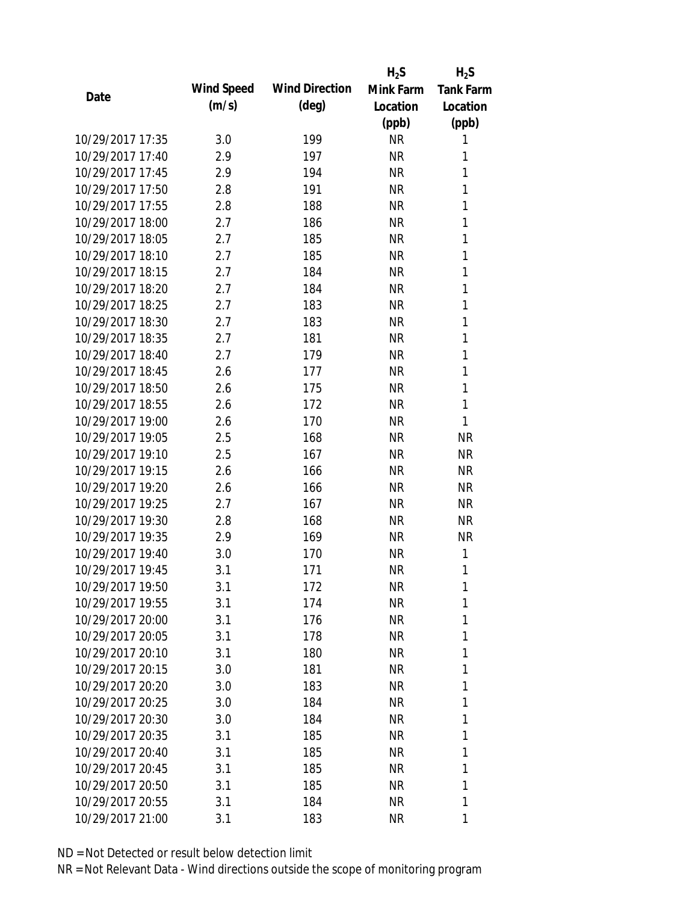|                  |            |                       | $H_2S$    | $H_2S$           |
|------------------|------------|-----------------------|-----------|------------------|
| Date             | Wind Speed | <b>Wind Direction</b> | Mink Farm | <b>Tank Farm</b> |
|                  | (m/s)      | $(\text{deg})$        | Location  | Location         |
|                  |            |                       | (ppb)     | (ppb)            |
| 10/29/2017 17:35 | 3.0        | 199                   | <b>NR</b> | 1                |
| 10/29/2017 17:40 | 2.9        | 197                   | <b>NR</b> | 1                |
| 10/29/2017 17:45 | 2.9        | 194                   | <b>NR</b> | 1                |
| 10/29/2017 17:50 | 2.8        | 191                   | <b>NR</b> | 1                |
| 10/29/2017 17:55 | 2.8        | 188                   | <b>NR</b> | 1                |
| 10/29/2017 18:00 | 2.7        | 186                   | <b>NR</b> | 1                |
| 10/29/2017 18:05 | 2.7        | 185                   | <b>NR</b> | 1                |
| 10/29/2017 18:10 | 2.7        | 185                   | <b>NR</b> | 1                |
| 10/29/2017 18:15 | 2.7        | 184                   | <b>NR</b> | 1                |
| 10/29/2017 18:20 | 2.7        | 184                   | <b>NR</b> | 1                |
| 10/29/2017 18:25 | 2.7        | 183                   | <b>NR</b> | 1                |
| 10/29/2017 18:30 | 2.7        | 183                   | <b>NR</b> | 1                |
| 10/29/2017 18:35 | 2.7        | 181                   | <b>NR</b> | 1                |
| 10/29/2017 18:40 | 2.7        | 179                   | <b>NR</b> | 1                |
| 10/29/2017 18:45 | 2.6        | 177                   | <b>NR</b> | 1                |
| 10/29/2017 18:50 | 2.6        | 175                   | <b>NR</b> | 1                |
| 10/29/2017 18:55 | 2.6        | 172                   | <b>NR</b> | 1                |
| 10/29/2017 19:00 | 2.6        | 170                   | <b>NR</b> | 1                |
| 10/29/2017 19:05 | 2.5        | 168                   | <b>NR</b> | <b>NR</b>        |
| 10/29/2017 19:10 | 2.5        | 167                   | <b>NR</b> | <b>NR</b>        |
| 10/29/2017 19:15 | 2.6        | 166                   | <b>NR</b> | <b>NR</b>        |
| 10/29/2017 19:20 | 2.6        | 166                   | <b>NR</b> | <b>NR</b>        |
| 10/29/2017 19:25 | 2.7        | 167                   | <b>NR</b> | <b>NR</b>        |
| 10/29/2017 19:30 | 2.8        | 168                   | <b>NR</b> | <b>NR</b>        |
| 10/29/2017 19:35 | 2.9        | 169                   | <b>NR</b> | <b>NR</b>        |
| 10/29/2017 19:40 | 3.0        | 170                   | <b>NR</b> | 1                |
| 10/29/2017 19:45 | 3.1        | 171                   | <b>NR</b> | 1                |
| 10/29/2017 19:50 | 3.1        | 172                   | NR        | 1                |
| 10/29/2017 19:55 | 3.1        | 174                   | <b>NR</b> | 1                |
| 10/29/2017 20:00 | 3.1        | 176                   | NR        | 1                |
| 10/29/2017 20:05 | 3.1        | 178                   | NR        | 1                |
| 10/29/2017 20:10 | 3.1        | 180                   | <b>NR</b> | 1                |
| 10/29/2017 20:15 | 3.0        | 181                   | NR        | 1                |
| 10/29/2017 20:20 | 3.0        | 183                   | <b>NR</b> | 1                |
| 10/29/2017 20:25 | 3.0        | 184                   | <b>NR</b> | 1                |
| 10/29/2017 20:30 | 3.0        | 184                   | NR        | 1                |
| 10/29/2017 20:35 | 3.1        | 185                   | NR        | 1                |
| 10/29/2017 20:40 | 3.1        | 185                   | NR        | 1                |
| 10/29/2017 20:45 | 3.1        | 185                   | <b>NR</b> | 1                |
| 10/29/2017 20:50 | 3.1        | 185                   | <b>NR</b> | 1                |
| 10/29/2017 20:55 | 3.1        | 184                   | <b>NR</b> | 1                |
| 10/29/2017 21:00 | 3.1        | 183                   | <b>NR</b> | 1                |
|                  |            |                       |           |                  |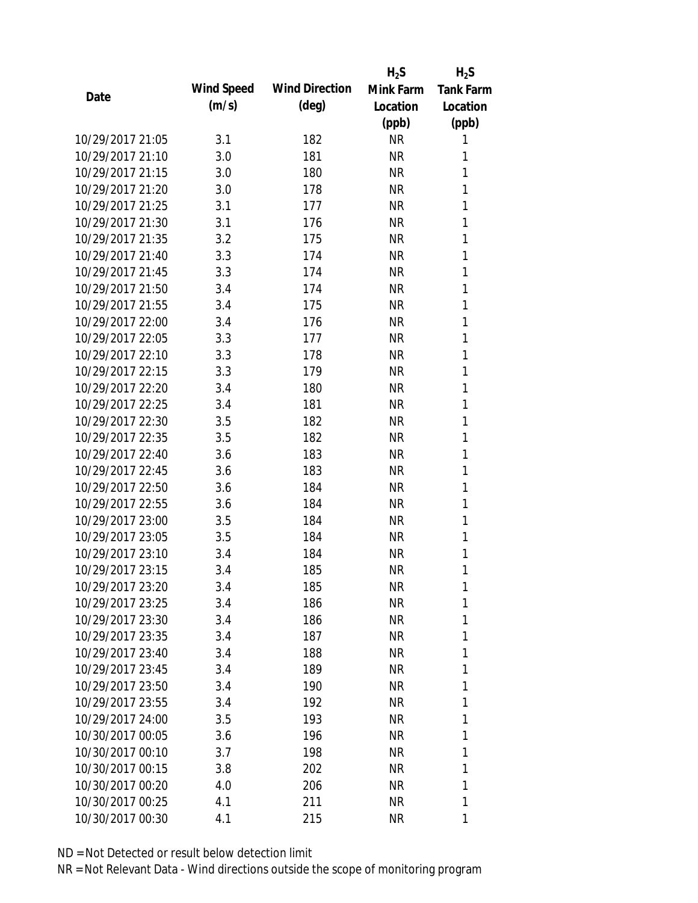|                  |            |                       | $H_2S$    | $H_2S$           |
|------------------|------------|-----------------------|-----------|------------------|
| Date             | Wind Speed | <b>Wind Direction</b> | Mink Farm | <b>Tank Farm</b> |
|                  | (m/s)      | $(\text{deg})$        | Location  | Location         |
|                  |            |                       | (ppb)     | (ppb)            |
| 10/29/2017 21:05 | 3.1        | 182                   | <b>NR</b> | 1                |
| 10/29/2017 21:10 | 3.0        | 181                   | <b>NR</b> | 1                |
| 10/29/2017 21:15 | 3.0        | 180                   | <b>NR</b> | 1                |
| 10/29/2017 21:20 | 3.0        | 178                   | <b>NR</b> | 1                |
| 10/29/2017 21:25 | 3.1        | 177                   | <b>NR</b> | 1                |
| 10/29/2017 21:30 | 3.1        | 176                   | <b>NR</b> | 1                |
| 10/29/2017 21:35 | 3.2        | 175                   | <b>NR</b> | 1                |
| 10/29/2017 21:40 | 3.3        | 174                   | <b>NR</b> | 1                |
| 10/29/2017 21:45 | 3.3        | 174                   | <b>NR</b> | 1                |
| 10/29/2017 21:50 | 3.4        | 174                   | <b>NR</b> | 1                |
| 10/29/2017 21:55 | 3.4        | 175                   | <b>NR</b> | 1                |
| 10/29/2017 22:00 | 3.4        | 176                   | <b>NR</b> | 1                |
| 10/29/2017 22:05 | 3.3        | 177                   | <b>NR</b> | 1                |
| 10/29/2017 22:10 | 3.3        | 178                   | <b>NR</b> | 1                |
| 10/29/2017 22:15 | 3.3        | 179                   | <b>NR</b> | 1                |
| 10/29/2017 22:20 | 3.4        | 180                   | <b>NR</b> | 1                |
| 10/29/2017 22:25 | 3.4        | 181                   | <b>NR</b> | 1                |
| 10/29/2017 22:30 | 3.5        | 182                   | <b>NR</b> | 1                |
| 10/29/2017 22:35 | 3.5        | 182                   | <b>NR</b> | 1                |
| 10/29/2017 22:40 | 3.6        | 183                   | <b>NR</b> | 1                |
| 10/29/2017 22:45 | 3.6        | 183                   | <b>NR</b> | 1                |
| 10/29/2017 22:50 | 3.6        | 184                   | <b>NR</b> | 1                |
| 10/29/2017 22:55 | 3.6        | 184                   | <b>NR</b> | 1                |
| 10/29/2017 23:00 | 3.5        | 184                   | <b>NR</b> | 1                |
| 10/29/2017 23:05 | 3.5        | 184                   | <b>NR</b> | 1                |
| 10/29/2017 23:10 | 3.4        | 184                   | <b>NR</b> | 1                |
| 10/29/2017 23:15 | 3.4        | 185                   | <b>NR</b> | 1                |
| 10/29/2017 23:20 | 3.4        | 185                   | NR        | 1                |
| 10/29/2017 23:25 | 3.4        | 186                   | <b>NR</b> | 1                |
| 10/29/2017 23:30 | 3.4        | 186                   | NR        | 1                |
| 10/29/2017 23:35 | 3.4        | 187                   | NR        | 1                |
| 10/29/2017 23:40 | 3.4        | 188                   | <b>NR</b> | 1                |
| 10/29/2017 23:45 | 3.4        | 189                   | NR        | 1                |
| 10/29/2017 23:50 | 3.4        | 190                   | <b>NR</b> | 1                |
| 10/29/2017 23:55 | 3.4        | 192                   | NR        | 1                |
| 10/29/2017 24:00 | 3.5        | 193                   | <b>NR</b> | 1                |
| 10/30/2017 00:05 | 3.6        | 196                   | NR        | 1                |
| 10/30/2017 00:10 | 3.7        | 198                   | NR        | 1                |
| 10/30/2017 00:15 | 3.8        | 202                   | NR        | 1                |
| 10/30/2017 00:20 | 4.0        | 206                   | NR        | 1                |
| 10/30/2017 00:25 | 4.1        | 211                   | <b>NR</b> | 1                |
| 10/30/2017 00:30 | 4.1        | 215                   | <b>NR</b> | 1                |
|                  |            |                       |           |                  |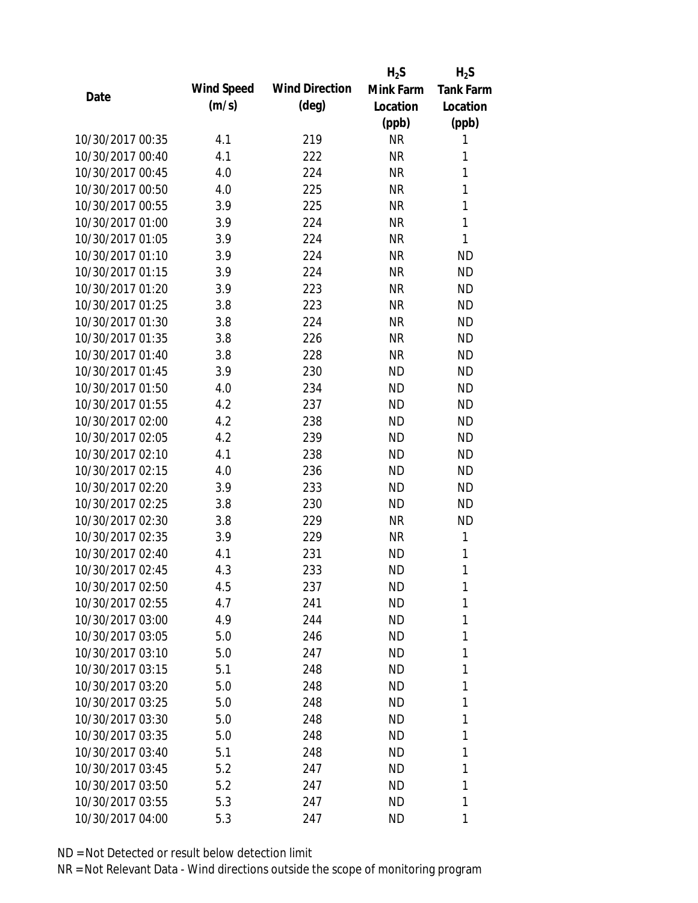|                  |            |                       | $H_2S$    | $H_2S$           |
|------------------|------------|-----------------------|-----------|------------------|
|                  | Wind Speed | <b>Wind Direction</b> | Mink Farm | <b>Tank Farm</b> |
| Date             | (m/s)      | $(\text{deg})$        | Location  | Location         |
|                  |            |                       | (ppb)     | (ppb)            |
| 10/30/2017 00:35 | 4.1        | 219                   | <b>NR</b> | 1                |
| 10/30/2017 00:40 | 4.1        | 222                   | <b>NR</b> | 1                |
| 10/30/2017 00:45 | 4.0        | 224                   | <b>NR</b> | $\mathbf{1}$     |
| 10/30/2017 00:50 | 4.0        | 225                   | <b>NR</b> | 1                |
| 10/30/2017 00:55 | 3.9        | 225                   | <b>NR</b> | $\mathbf{1}$     |
| 10/30/2017 01:00 | 3.9        | 224                   | <b>NR</b> | $\mathbf{1}$     |
| 10/30/2017 01:05 | 3.9        | 224                   | <b>NR</b> | 1                |
| 10/30/2017 01:10 | 3.9        | 224                   | <b>NR</b> | <b>ND</b>        |
| 10/30/2017 01:15 | 3.9        | 224                   | <b>NR</b> | <b>ND</b>        |
| 10/30/2017 01:20 | 3.9        | 223                   | <b>NR</b> | <b>ND</b>        |
| 10/30/2017 01:25 | 3.8        | 223                   | <b>NR</b> | <b>ND</b>        |
| 10/30/2017 01:30 | 3.8        | 224                   | <b>NR</b> | <b>ND</b>        |
| 10/30/2017 01:35 | 3.8        | 226                   | <b>NR</b> | <b>ND</b>        |
| 10/30/2017 01:40 | 3.8        | 228                   | <b>NR</b> | <b>ND</b>        |
| 10/30/2017 01:45 | 3.9        | 230                   | <b>ND</b> | <b>ND</b>        |
| 10/30/2017 01:50 | 4.0        | 234                   | <b>ND</b> | <b>ND</b>        |
| 10/30/2017 01:55 | 4.2        | 237                   | <b>ND</b> | <b>ND</b>        |
| 10/30/2017 02:00 | 4.2        | 238                   | <b>ND</b> | <b>ND</b>        |
| 10/30/2017 02:05 | 4.2        | 239                   | <b>ND</b> | <b>ND</b>        |
| 10/30/2017 02:10 | 4.1        | 238                   | <b>ND</b> | <b>ND</b>        |
| 10/30/2017 02:15 | 4.0        | 236                   | <b>ND</b> | <b>ND</b>        |
| 10/30/2017 02:20 | 3.9        | 233                   | <b>ND</b> | <b>ND</b>        |
| 10/30/2017 02:25 | 3.8        | 230                   | <b>ND</b> | <b>ND</b>        |
| 10/30/2017 02:30 | 3.8        | 229                   | <b>NR</b> | <b>ND</b>        |
| 10/30/2017 02:35 | 3.9        | 229                   | <b>NR</b> | 1                |
| 10/30/2017 02:40 | 4.1        | 231                   | <b>ND</b> | 1                |
| 10/30/2017 02:45 | 4.3        | 233                   | <b>ND</b> | 1                |
| 10/30/2017 02:50 | 4.5        | 237                   | <b>ND</b> | 1                |
| 10/30/2017 02:55 | 4.7        | 241                   | <b>ND</b> | 1                |
| 10/30/2017 03:00 | 4.9        | 244                   | ND.       | 1                |
| 10/30/2017 03:05 | 5.0        | 246                   | <b>ND</b> | 1                |
| 10/30/2017 03:10 | 5.0        | 247                   | <b>ND</b> | 1                |
| 10/30/2017 03:15 | 5.1        | 248                   | ND.       | 1                |
| 10/30/2017 03:20 | 5.0        | 248                   | ND        | 1                |
| 10/30/2017 03:25 | 5.0        | 248                   | ND        | 1                |
| 10/30/2017 03:30 | 5.0        | 248                   | <b>ND</b> | 1                |
| 10/30/2017 03:35 | 5.0        | 248                   | ND.       | 1                |
| 10/30/2017 03:40 | 5.1        | 248                   | <b>ND</b> | 1                |
| 10/30/2017 03:45 | 5.2        | 247                   | <b>ND</b> | 1                |
| 10/30/2017 03:50 | 5.2        | 247                   | <b>ND</b> | 1                |
| 10/30/2017 03:55 |            |                       |           | 1                |
|                  | 5.3        | 247                   | <b>ND</b> |                  |
| 10/30/2017 04:00 | 5.3        | 247                   | ND        | 1                |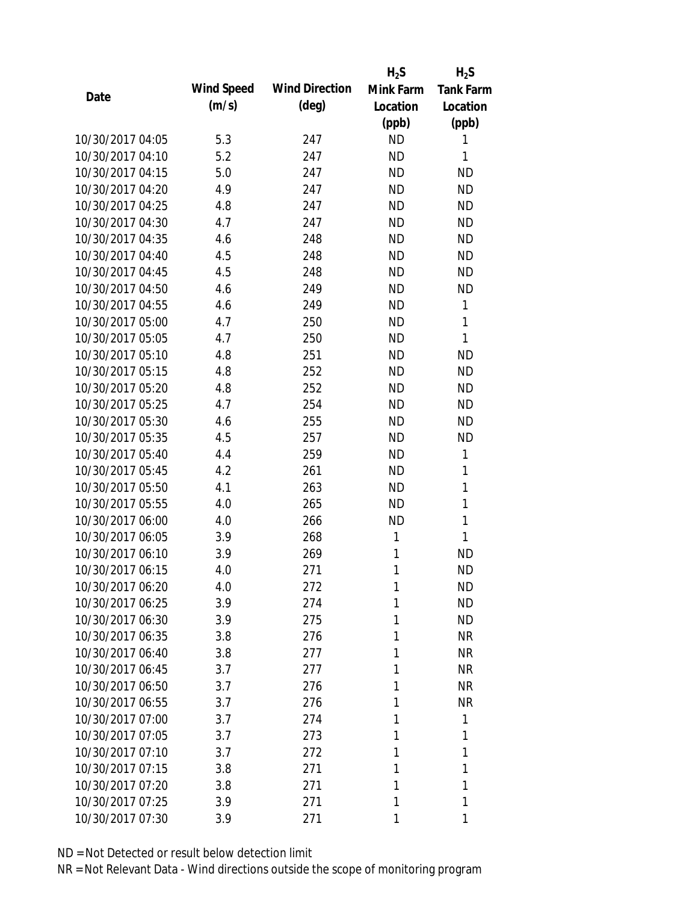|                  |            |                       | $H_2S$    | $H_2S$           |
|------------------|------------|-----------------------|-----------|------------------|
| Date             | Wind Speed | <b>Wind Direction</b> | Mink Farm | <b>Tank Farm</b> |
|                  | (m/s)      | $(\text{deg})$        | Location  | Location         |
|                  |            |                       | (ppb)     | (ppb)            |
| 10/30/2017 04:05 | 5.3        | 247                   | <b>ND</b> | 1                |
| 10/30/2017 04:10 | 5.2        | 247                   | <b>ND</b> | 1                |
| 10/30/2017 04:15 | 5.0        | 247                   | <b>ND</b> | <b>ND</b>        |
| 10/30/2017 04:20 | 4.9        | 247                   | <b>ND</b> | <b>ND</b>        |
| 10/30/2017 04:25 | 4.8        | 247                   | <b>ND</b> | <b>ND</b>        |
| 10/30/2017 04:30 | 4.7        | 247                   | <b>ND</b> | <b>ND</b>        |
| 10/30/2017 04:35 | 4.6        | 248                   | <b>ND</b> | <b>ND</b>        |
| 10/30/2017 04:40 | 4.5        | 248                   | <b>ND</b> | <b>ND</b>        |
| 10/30/2017 04:45 | 4.5        | 248                   | <b>ND</b> | <b>ND</b>        |
| 10/30/2017 04:50 | 4.6        | 249                   | <b>ND</b> | <b>ND</b>        |
| 10/30/2017 04:55 | 4.6        | 249                   | <b>ND</b> | 1                |
| 10/30/2017 05:00 | 4.7        | 250                   | <b>ND</b> | 1                |
| 10/30/2017 05:05 | 4.7        | 250                   | <b>ND</b> | 1                |
| 10/30/2017 05:10 | 4.8        | 251                   | <b>ND</b> | <b>ND</b>        |
| 10/30/2017 05:15 | 4.8        | 252                   | <b>ND</b> | <b>ND</b>        |
| 10/30/2017 05:20 | 4.8        | 252                   | <b>ND</b> | <b>ND</b>        |
| 10/30/2017 05:25 | 4.7        | 254                   | <b>ND</b> | <b>ND</b>        |
| 10/30/2017 05:30 | 4.6        | 255                   | <b>ND</b> | <b>ND</b>        |
| 10/30/2017 05:35 | 4.5        | 257                   | <b>ND</b> | <b>ND</b>        |
| 10/30/2017 05:40 | 4.4        | 259                   | <b>ND</b> | 1                |
| 10/30/2017 05:45 | 4.2        | 261                   | <b>ND</b> | 1                |
| 10/30/2017 05:50 | 4.1        | 263                   | <b>ND</b> | $\mathbf{1}$     |
| 10/30/2017 05:55 | 4.0        | 265                   | <b>ND</b> | 1                |
| 10/30/2017 06:00 | 4.0        | 266                   | <b>ND</b> | $\mathbf{1}$     |
| 10/30/2017 06:05 | 3.9        | 268                   | 1         | 1                |
| 10/30/2017 06:10 | 3.9        | 269                   | 1         | <b>ND</b>        |
| 10/30/2017 06:15 | 4.0        | 271                   | 1         | <b>ND</b>        |
| 10/30/2017 06:20 | 4.0        | 272                   | 1         | <b>ND</b>        |
| 10/30/2017 06:25 | 3.9        | 274                   | 1         | <b>ND</b>        |
| 10/30/2017 06:30 | 3.9        | 275                   | 1         | <b>ND</b>        |
| 10/30/2017 06:35 | 3.8        | 276                   | 1         | <b>NR</b>        |
| 10/30/2017 06:40 | 3.8        | 277                   | 1         | <b>NR</b>        |
| 10/30/2017 06:45 | 3.7        | 277                   | 1         | <b>NR</b>        |
| 10/30/2017 06:50 | 3.7        | 276                   | 1         | <b>NR</b>        |
| 10/30/2017 06:55 | 3.7        | 276                   | 1         | <b>NR</b>        |
| 10/30/2017 07:00 | 3.7        | 274                   | 1         | 1                |
| 10/30/2017 07:05 | 3.7        | 273                   | 1         | 1                |
| 10/30/2017 07:10 | 3.7        | 272                   | 1         | 1                |
| 10/30/2017 07:15 | 3.8        | 271                   | 1         | 1                |
| 10/30/2017 07:20 | 3.8        | 271                   | 1         | 1                |
| 10/30/2017 07:25 | 3.9        | 271                   | 1         | 1                |
| 10/30/2017 07:30 | 3.9        | 271                   | 1         | 1                |
|                  |            |                       |           |                  |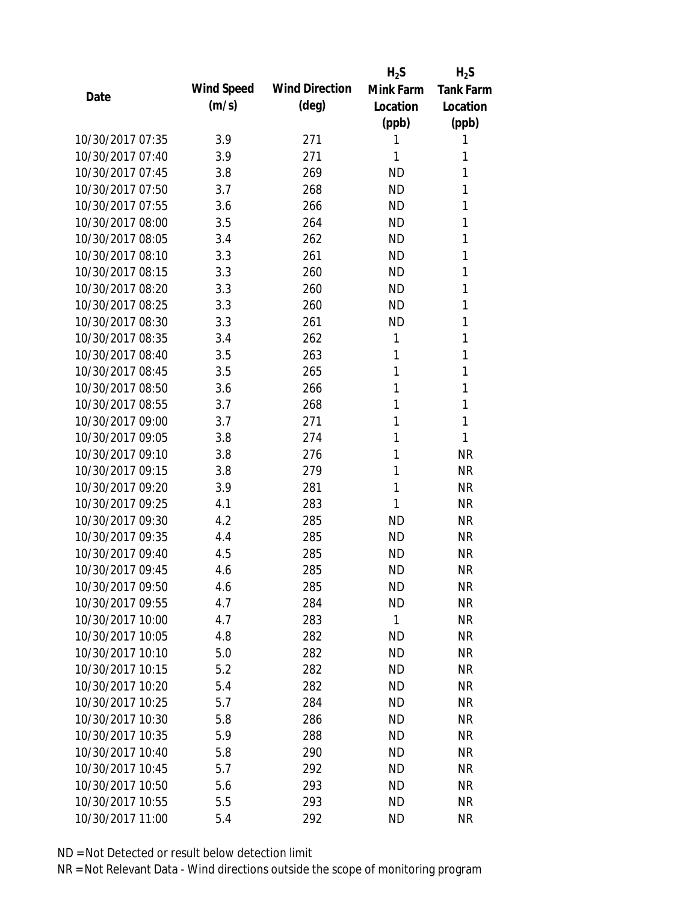|                  |            |                       | $H_2S$    | $H_2S$           |
|------------------|------------|-----------------------|-----------|------------------|
| Date             | Wind Speed | <b>Wind Direction</b> | Mink Farm | <b>Tank Farm</b> |
|                  | (m/s)      | $(\text{deg})$        | Location  | Location         |
|                  |            |                       | (ppb)     | (ppb)            |
| 10/30/2017 07:35 | 3.9        | 271                   | 1         | 1                |
| 10/30/2017 07:40 | 3.9        | 271                   | 1         | 1                |
| 10/30/2017 07:45 | 3.8        | 269                   | <b>ND</b> | 1                |
| 10/30/2017 07:50 | 3.7        | 268                   | <b>ND</b> | 1                |
| 10/30/2017 07:55 | 3.6        | 266                   | <b>ND</b> | 1                |
| 10/30/2017 08:00 | 3.5        | 264                   | <b>ND</b> | 1                |
| 10/30/2017 08:05 | 3.4        | 262                   | <b>ND</b> | 1                |
| 10/30/2017 08:10 | 3.3        | 261                   | <b>ND</b> | 1                |
| 10/30/2017 08:15 | 3.3        | 260                   | <b>ND</b> | 1                |
| 10/30/2017 08:20 | 3.3        | 260                   | <b>ND</b> | 1                |
| 10/30/2017 08:25 | 3.3        | 260                   | <b>ND</b> | 1                |
| 10/30/2017 08:30 | 3.3        | 261                   | <b>ND</b> | 1                |
| 10/30/2017 08:35 | 3.4        | 262                   | 1         | 1                |
| 10/30/2017 08:40 | 3.5        | 263                   | 1         | 1                |
| 10/30/2017 08:45 | 3.5        | 265                   | 1         | 1                |
| 10/30/2017 08:50 | 3.6        | 266                   | 1         | 1                |
| 10/30/2017 08:55 | 3.7        | 268                   | 1         | 1                |
| 10/30/2017 09:00 | 3.7        | 271                   | 1         | 1                |
| 10/30/2017 09:05 | 3.8        | 274                   | 1         | 1                |
| 10/30/2017 09:10 | 3.8        | 276                   | 1         | <b>NR</b>        |
| 10/30/2017 09:15 | 3.8        | 279                   | 1         | <b>NR</b>        |
| 10/30/2017 09:20 | 3.9        | 281                   | 1         | <b>NR</b>        |
| 10/30/2017 09:25 | 4.1        | 283                   | 1         | <b>NR</b>        |
| 10/30/2017 09:30 | 4.2        | 285                   | <b>ND</b> | <b>NR</b>        |
| 10/30/2017 09:35 | 4.4        | 285                   | <b>ND</b> | <b>NR</b>        |
| 10/30/2017 09:40 | 4.5        | 285                   | <b>ND</b> | <b>NR</b>        |
| 10/30/2017 09:45 | 4.6        | 285                   | <b>ND</b> | <b>NR</b>        |
| 10/30/2017 09:50 | 4.6        | 285                   | <b>ND</b> | NR               |
| 10/30/2017 09:55 | 4.7        | 284                   | <b>ND</b> | <b>NR</b>        |
| 10/30/2017 10:00 | 4.7        | 283                   | 1         | <b>NR</b>        |
| 10/30/2017 10:05 | 4.8        | 282                   | <b>ND</b> | <b>NR</b>        |
| 10/30/2017 10:10 | 5.0        | 282                   | <b>ND</b> | <b>NR</b>        |
| 10/30/2017 10:15 | 5.2        | 282                   | <b>ND</b> | <b>NR</b>        |
| 10/30/2017 10:20 | 5.4        | 282                   | <b>ND</b> | <b>NR</b>        |
| 10/30/2017 10:25 | 5.7        | 284                   | <b>ND</b> | <b>NR</b>        |
| 10/30/2017 10:30 | 5.8        | 286                   | <b>ND</b> | <b>NR</b>        |
| 10/30/2017 10:35 | 5.9        | 288                   | <b>ND</b> | <b>NR</b>        |
| 10/30/2017 10:40 | 5.8        | 290                   | <b>ND</b> | <b>NR</b>        |
| 10/30/2017 10:45 | 5.7        | 292                   | <b>ND</b> | <b>NR</b>        |
| 10/30/2017 10:50 | 5.6        | 293                   | <b>ND</b> | <b>NR</b>        |
| 10/30/2017 10:55 | 5.5        | 293                   | <b>ND</b> | <b>NR</b>        |
| 10/30/2017 11:00 | 5.4        | 292                   | <b>ND</b> | <b>NR</b>        |
|                  |            |                       |           |                  |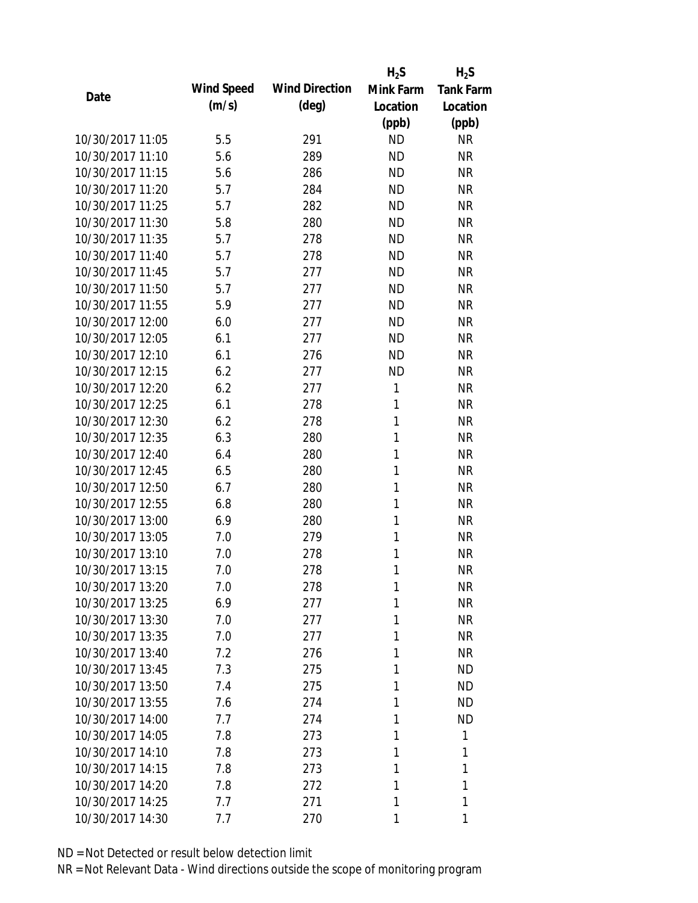|                  |            |                       | $H_2S$       | $H_2S$           |
|------------------|------------|-----------------------|--------------|------------------|
| Date             | Wind Speed | <b>Wind Direction</b> | Mink Farm    | <b>Tank Farm</b> |
|                  | (m/s)      | $(\text{deg})$        | Location     | Location         |
|                  |            |                       | (ppb)        | (ppb)            |
| 10/30/2017 11:05 | 5.5        | 291                   | <b>ND</b>    | <b>NR</b>        |
| 10/30/2017 11:10 | 5.6        | 289                   | <b>ND</b>    | <b>NR</b>        |
| 10/30/2017 11:15 | 5.6        | 286                   | <b>ND</b>    | <b>NR</b>        |
| 10/30/2017 11:20 | 5.7        | 284                   | <b>ND</b>    | <b>NR</b>        |
| 10/30/2017 11:25 | 5.7        | 282                   | <b>ND</b>    | <b>NR</b>        |
| 10/30/2017 11:30 | 5.8        | 280                   | <b>ND</b>    | <b>NR</b>        |
| 10/30/2017 11:35 | 5.7        | 278                   | <b>ND</b>    | <b>NR</b>        |
| 10/30/2017 11:40 | 5.7        | 278                   | <b>ND</b>    | <b>NR</b>        |
| 10/30/2017 11:45 | 5.7        | 277                   | <b>ND</b>    | <b>NR</b>        |
| 10/30/2017 11:50 | 5.7        | 277                   | <b>ND</b>    | <b>NR</b>        |
| 10/30/2017 11:55 | 5.9        | 277                   | <b>ND</b>    | <b>NR</b>        |
| 10/30/2017 12:00 | 6.0        | 277                   | <b>ND</b>    | <b>NR</b>        |
| 10/30/2017 12:05 | 6.1        | 277                   | <b>ND</b>    | <b>NR</b>        |
| 10/30/2017 12:10 | 6.1        | 276                   | <b>ND</b>    | <b>NR</b>        |
| 10/30/2017 12:15 | 6.2        | 277                   | <b>ND</b>    | <b>NR</b>        |
| 10/30/2017 12:20 | 6.2        | 277                   | 1            | <b>NR</b>        |
| 10/30/2017 12:25 | 6.1        | 278                   | 1            | <b>NR</b>        |
| 10/30/2017 12:30 | 6.2        | 278                   | $\mathbf{1}$ | <b>NR</b>        |
| 10/30/2017 12:35 | 6.3        | 280                   | $\mathbf{1}$ | <b>NR</b>        |
| 10/30/2017 12:40 | 6.4        | 280                   | 1            | <b>NR</b>        |
| 10/30/2017 12:45 | 6.5        | 280                   | 1            | <b>NR</b>        |
| 10/30/2017 12:50 | 6.7        | 280                   | 1            | <b>NR</b>        |
| 10/30/2017 12:55 | 6.8        | 280                   | 1            | <b>NR</b>        |
| 10/30/2017 13:00 | 6.9        | 280                   | 1            | <b>NR</b>        |
| 10/30/2017 13:05 | 7.0        | 279                   | 1            | <b>NR</b>        |
| 10/30/2017 13:10 | 7.0        | 278                   | 1            | <b>NR</b>        |
| 10/30/2017 13:15 | 7.0        | 278                   | 1            | <b>NR</b>        |
| 10/30/2017 13:20 | 7.0        | 278                   | 1            | <b>NR</b>        |
| 10/30/2017 13:25 | 6.9        | 277                   | 1            | <b>NR</b>        |
| 10/30/2017 13:30 | 7.0        | 277                   | 1            | <b>NR</b>        |
| 10/30/2017 13:35 | 7.0        | 277                   | 1            | <b>NR</b>        |
| 10/30/2017 13:40 | 7.2        | 276                   | 1            | <b>NR</b>        |
| 10/30/2017 13:45 | 7.3        | 275                   | 1            | <b>ND</b>        |
| 10/30/2017 13:50 | 7.4        | 275                   | 1            | <b>ND</b>        |
| 10/30/2017 13:55 | 7.6        | 274                   | 1            | <b>ND</b>        |
| 10/30/2017 14:00 | 7.7        | 274                   | 1            | <b>ND</b>        |
| 10/30/2017 14:05 | 7.8        | 273                   | 1            | 1                |
| 10/30/2017 14:10 | 7.8        | 273                   | 1            | 1                |
| 10/30/2017 14:15 | 7.8        | 273                   | 1            | 1                |
| 10/30/2017 14:20 | 7.8        | 272                   | 1            | 1                |
| 10/30/2017 14:25 | 7.7        | 271                   | 1            | 1                |
| 10/30/2017 14:30 | 7.7        | 270                   | 1            | 1                |
|                  |            |                       |              |                  |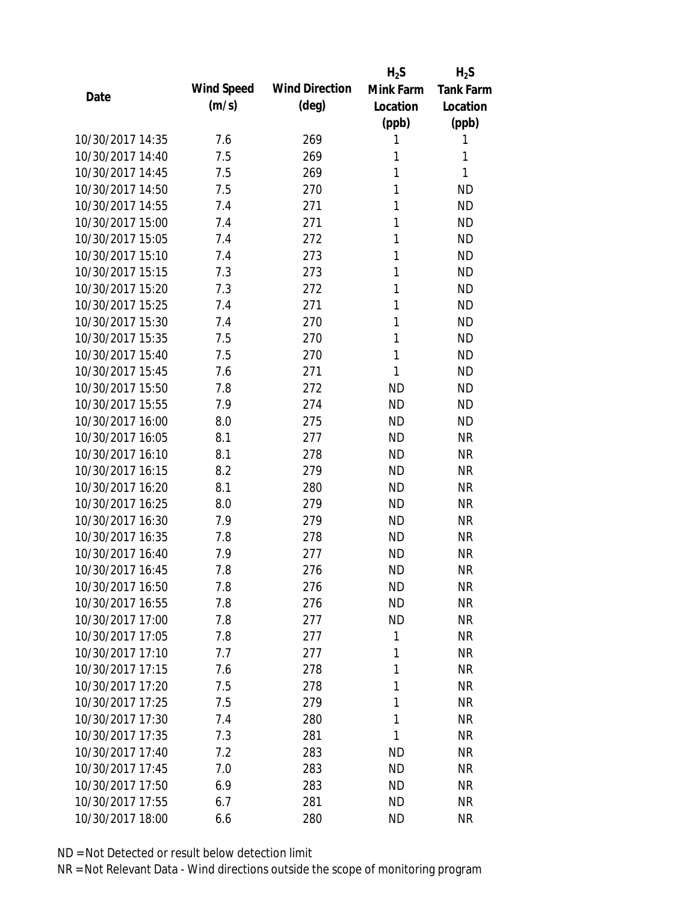|                  |            |                       | $H_2S$    | $H_2S$           |
|------------------|------------|-----------------------|-----------|------------------|
| Date             | Wind Speed | <b>Wind Direction</b> | Mink Farm | <b>Tank Farm</b> |
|                  | (m/s)      | $(\text{deg})$        | Location  | Location         |
|                  |            |                       | (ppb)     | (ppb)            |
| 10/30/2017 14:35 | 7.6        | 269                   | 1         | 1                |
| 10/30/2017 14:40 | 7.5        | 269                   | 1         | 1                |
| 10/30/2017 14:45 | 7.5        | 269                   | 1         | 1                |
| 10/30/2017 14:50 | 7.5        | 270                   | 1         | <b>ND</b>        |
| 10/30/2017 14:55 | 7.4        | 271                   | 1         | <b>ND</b>        |
| 10/30/2017 15:00 | 7.4        | 271                   | 1         | <b>ND</b>        |
| 10/30/2017 15:05 | 7.4        | 272                   | 1         | <b>ND</b>        |
| 10/30/2017 15:10 | 7.4        | 273                   | 1         | <b>ND</b>        |
| 10/30/2017 15:15 | 7.3        | 273                   | 1         | <b>ND</b>        |
| 10/30/2017 15:20 | 7.3        | 272                   | 1         | <b>ND</b>        |
| 10/30/2017 15:25 | 7.4        | 271                   | 1         | <b>ND</b>        |
| 10/30/2017 15:30 | 7.4        | 270                   | 1         | <b>ND</b>        |
| 10/30/2017 15:35 | 7.5        | 270                   | 1         | <b>ND</b>        |
| 10/30/2017 15:40 | 7.5        | 270                   | 1         | <b>ND</b>        |
| 10/30/2017 15:45 | 7.6        | 271                   | 1         | <b>ND</b>        |
| 10/30/2017 15:50 | 7.8        | 272                   | <b>ND</b> | <b>ND</b>        |
| 10/30/2017 15:55 | 7.9        | 274                   | <b>ND</b> | <b>ND</b>        |
| 10/30/2017 16:00 | 8.0        | 275                   | <b>ND</b> | <b>ND</b>        |
| 10/30/2017 16:05 | 8.1        | 277                   | <b>ND</b> | <b>NR</b>        |
| 10/30/2017 16:10 | 8.1        | 278                   | <b>ND</b> | <b>NR</b>        |
| 10/30/2017 16:15 | 8.2        | 279                   | <b>ND</b> | <b>NR</b>        |
| 10/30/2017 16:20 | 8.1        | 280                   | <b>ND</b> | <b>NR</b>        |
| 10/30/2017 16:25 | 8.0        | 279                   | <b>ND</b> | <b>NR</b>        |
| 10/30/2017 16:30 | 7.9        | 279                   | <b>ND</b> | <b>NR</b>        |
| 10/30/2017 16:35 | 7.8        | 278                   | <b>ND</b> | <b>NR</b>        |
| 10/30/2017 16:40 | 7.9        | 277                   | <b>ND</b> | <b>NR</b>        |
| 10/30/2017 16:45 | 7.8        | 276                   | <b>ND</b> | <b>NR</b>        |
| 10/30/2017 16:50 | 7.8        | 276                   | <b>ND</b> | <b>NR</b>        |
| 10/30/2017 16:55 | 7.8        | 276                   | <b>ND</b> | <b>NR</b>        |
| 10/30/2017 17:00 | 7.8        | 277                   | <b>ND</b> | <b>NR</b>        |
| 10/30/2017 17:05 | 7.8        | 277                   | 1         | <b>NR</b>        |
| 10/30/2017 17:10 | 7.7        | 277                   | 1         | <b>NR</b>        |
| 10/30/2017 17:15 | 7.6        | 278                   | 1         | <b>NR</b>        |
| 10/30/2017 17:20 | 7.5        | 278                   | 1         | <b>NR</b>        |
| 10/30/2017 17:25 | 7.5        | 279                   | 1         | <b>NR</b>        |
| 10/30/2017 17:30 | 7.4        | 280                   | 1         | <b>NR</b>        |
| 10/30/2017 17:35 | 7.3        | 281                   | 1         | <b>NR</b>        |
| 10/30/2017 17:40 | 7.2        | 283                   | <b>ND</b> | <b>NR</b>        |
| 10/30/2017 17:45 | 7.0        | 283                   | <b>ND</b> | <b>NR</b>        |
| 10/30/2017 17:50 | 6.9        | 283                   | ND        | NR               |
| 10/30/2017 17:55 | 6.7        | 281                   | <b>ND</b> | <b>NR</b>        |
| 10/30/2017 18:00 | 6.6        | 280                   | <b>ND</b> | <b>NR</b>        |
|                  |            |                       |           |                  |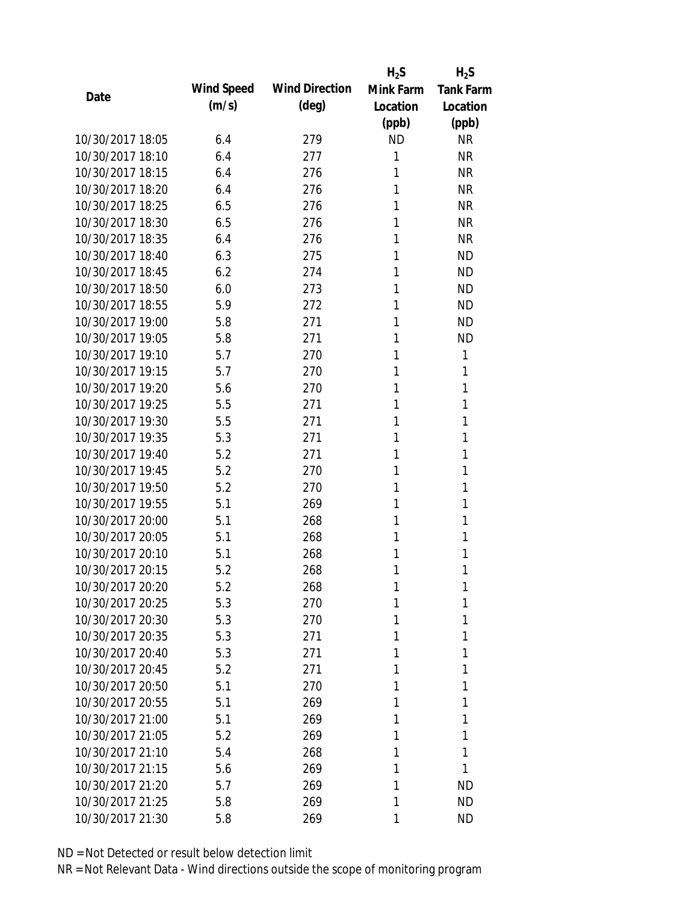|                  |            |                       | $H_2S$    | $H_2S$           |
|------------------|------------|-----------------------|-----------|------------------|
| Date             | Wind Speed | <b>Wind Direction</b> | Mink Farm | <b>Tank Farm</b> |
|                  | (m/s)      | $(\text{deg})$        | Location  | Location         |
|                  |            |                       | (ppb)     | (ppb)            |
| 10/30/2017 18:05 | 6.4        | 279                   | <b>ND</b> | <b>NR</b>        |
| 10/30/2017 18:10 | 6.4        | 277                   | 1         | <b>NR</b>        |
| 10/30/2017 18:15 | 6.4        | 276                   | 1         | <b>NR</b>        |
| 10/30/2017 18:20 | 6.4        | 276                   | 1         | <b>NR</b>        |
| 10/30/2017 18:25 | 6.5        | 276                   | 1         | <b>NR</b>        |
| 10/30/2017 18:30 | 6.5        | 276                   | 1         | <b>NR</b>        |
| 10/30/2017 18:35 | 6.4        | 276                   | 1         | <b>NR</b>        |
| 10/30/2017 18:40 | 6.3        | 275                   | 1         | <b>ND</b>        |
| 10/30/2017 18:45 | 6.2        | 274                   | 1         | <b>ND</b>        |
| 10/30/2017 18:50 | 6.0        | 273                   | 1         | <b>ND</b>        |
| 10/30/2017 18:55 | 5.9        | 272                   | 1         | <b>ND</b>        |
| 10/30/2017 19:00 | 5.8        | 271                   | 1         | <b>ND</b>        |
| 10/30/2017 19:05 | 5.8        | 271                   | 1         | <b>ND</b>        |
| 10/30/2017 19:10 | 5.7        | 270                   | 1         | 1                |
| 10/30/2017 19:15 | 5.7        | 270                   | 1         | 1                |
| 10/30/2017 19:20 | 5.6        | 270                   | 1         | 1                |
| 10/30/2017 19:25 | 5.5        | 271                   | 1         | 1                |
| 10/30/2017 19:30 | 5.5        | 271                   | 1         | 1                |
| 10/30/2017 19:35 | 5.3        | 271                   | 1         | 1                |
| 10/30/2017 19:40 | 5.2        | 271                   | 1         | 1                |
| 10/30/2017 19:45 | 5.2        | 270                   | 1         | 1                |
| 10/30/2017 19:50 | 5.2        | 270                   | 1         | 1                |
| 10/30/2017 19:55 | 5.1        | 269                   | 1         | 1                |
| 10/30/2017 20:00 | 5.1        | 268                   | 1         | 1                |
| 10/30/2017 20:05 | 5.1        | 268                   | 1         | 1                |
| 10/30/2017 20:10 | 5.1        | 268                   | 1         | 1                |
| 10/30/2017 20:15 | 5.2        | 268                   | 1         | 1                |
| 10/30/2017 20:20 | 5.2        | 268                   | 1         | 1                |
| 10/30/2017 20:25 | 5.3        | 270                   | 1         | 1                |
| 10/30/2017 20:30 | 5.3        | 270                   | 1         | 1                |
| 10/30/2017 20:35 | 5.3        | 271                   | 1         | 1                |
| 10/30/2017 20:40 | 5.3        | 271                   | 1         | 1                |
| 10/30/2017 20:45 | 5.2        | 271                   | 1         | 1                |
| 10/30/2017 20:50 | 5.1        | 270                   | 1         | 1                |
| 10/30/2017 20:55 | 5.1        | 269                   | 1         | 1                |
| 10/30/2017 21:00 | 5.1        | 269                   | 1         | 1                |
| 10/30/2017 21:05 | 5.2        | 269                   | 1         | 1                |
| 10/30/2017 21:10 | 5.4        | 268                   | 1         | 1                |
| 10/30/2017 21:15 | 5.6        | 269                   | 1         | 1                |
| 10/30/2017 21:20 | 5.7        | 269                   | 1         | ND               |
| 10/30/2017 21:25 | 5.8        | 269                   | 1         | <b>ND</b>        |
| 10/30/2017 21:30 | 5.8        | 269                   | 1         | <b>ND</b>        |
|                  |            |                       |           |                  |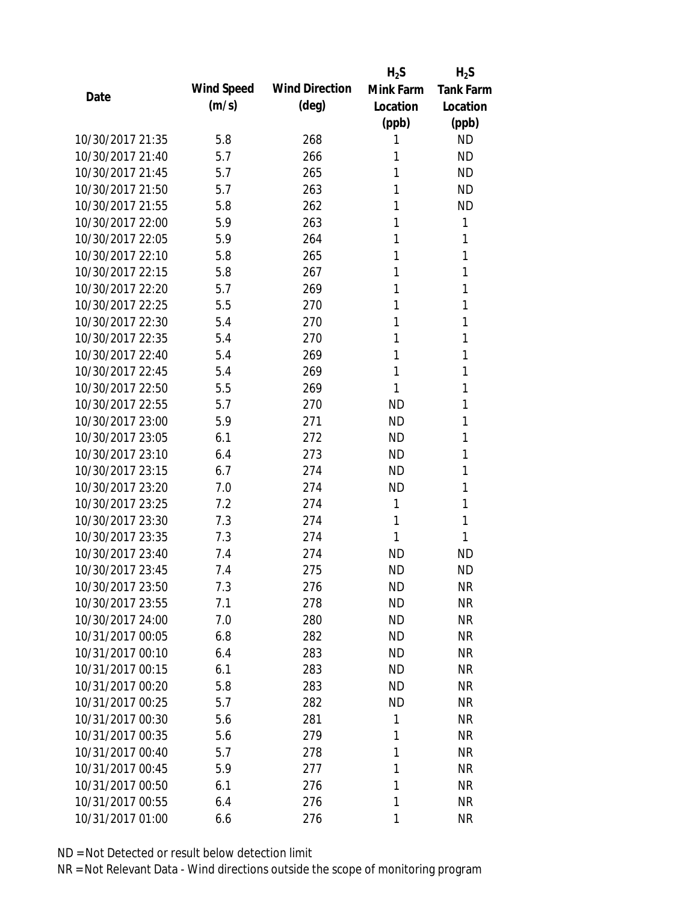|                  |            |                       | $H_2S$    | $H_2S$           |
|------------------|------------|-----------------------|-----------|------------------|
| Date             | Wind Speed | <b>Wind Direction</b> | Mink Farm | <b>Tank Farm</b> |
|                  | (m/s)      | $(\text{deg})$        | Location  | Location         |
|                  |            |                       | (ppb)     | (ppb)            |
| 10/30/2017 21:35 | 5.8        | 268                   | 1         | <b>ND</b>        |
| 10/30/2017 21:40 | 5.7        | 266                   | 1         | <b>ND</b>        |
| 10/30/2017 21:45 | 5.7        | 265                   | 1         | <b>ND</b>        |
| 10/30/2017 21:50 | 5.7        | 263                   | 1         | <b>ND</b>        |
| 10/30/2017 21:55 | 5.8        | 262                   | 1         | <b>ND</b>        |
| 10/30/2017 22:00 | 5.9        | 263                   | 1         | 1                |
| 10/30/2017 22:05 | 5.9        | 264                   | 1         | 1                |
| 10/30/2017 22:10 | 5.8        | 265                   | 1         | 1                |
| 10/30/2017 22:15 | 5.8        | 267                   | 1         | 1                |
| 10/30/2017 22:20 | 5.7        | 269                   | 1         | 1                |
| 10/30/2017 22:25 | 5.5        | 270                   | 1         | 1                |
| 10/30/2017 22:30 | 5.4        | 270                   | 1         | 1                |
| 10/30/2017 22:35 | 5.4        | 270                   | 1         | 1                |
| 10/30/2017 22:40 | 5.4        | 269                   | 1         | 1                |
| 10/30/2017 22:45 | 5.4        | 269                   | 1         | 1                |
| 10/30/2017 22:50 | 5.5        | 269                   | 1         | 1                |
| 10/30/2017 22:55 | 5.7        | 270                   | <b>ND</b> | 1                |
| 10/30/2017 23:00 | 5.9        | 271                   | <b>ND</b> | 1                |
| 10/30/2017 23:05 | 6.1        | 272                   | <b>ND</b> | 1                |
| 10/30/2017 23:10 | 6.4        | 273                   | <b>ND</b> | 1                |
| 10/30/2017 23:15 | 6.7        | 274                   | <b>ND</b> | 1                |
| 10/30/2017 23:20 | 7.0        | 274                   | <b>ND</b> | 1                |
| 10/30/2017 23:25 | 7.2        | 274                   | 1         | 1                |
| 10/30/2017 23:30 | 7.3        | 274                   | 1         | 1                |
| 10/30/2017 23:35 | 7.3        | 274                   | 1         | 1                |
| 10/30/2017 23:40 | 7.4        | 274                   | <b>ND</b> | <b>ND</b>        |
| 10/30/2017 23:45 | 7.4        | 275                   | <b>ND</b> | <b>ND</b>        |
| 10/30/2017 23:50 | 7.3        | 276                   | <b>ND</b> | <b>NR</b>        |
| 10/30/2017 23:55 | 7.1        | 278                   | <b>ND</b> | <b>NR</b>        |
| 10/30/2017 24:00 | 7.0        | 280                   | ND        | <b>NR</b>        |
| 10/31/2017 00:05 | 6.8        | 282                   | <b>ND</b> | <b>NR</b>        |
| 10/31/2017 00:10 | 6.4        | 283                   | <b>ND</b> | <b>NR</b>        |
| 10/31/2017 00:15 | 6.1        | 283                   | <b>ND</b> | <b>NR</b>        |
| 10/31/2017 00:20 | 5.8        | 283                   | <b>ND</b> | <b>NR</b>        |
| 10/31/2017 00:25 | 5.7        | 282                   | <b>ND</b> | <b>NR</b>        |
| 10/31/2017 00:30 | 5.6        | 281                   | 1         | <b>NR</b>        |
| 10/31/2017 00:35 | 5.6        | 279                   | 1         | <b>NR</b>        |
| 10/31/2017 00:40 | 5.7        | 278                   | 1         | <b>NR</b>        |
| 10/31/2017 00:45 | 5.9        | 277                   | 1         | <b>NR</b>        |
| 10/31/2017 00:50 | 6.1        | 276                   | 1         | <b>NR</b>        |
| 10/31/2017 00:55 | 6.4        | 276                   | 1         | <b>NR</b>        |
| 10/31/2017 01:00 | 6.6        | 276                   | 1         | <b>NR</b>        |
|                  |            |                       |           |                  |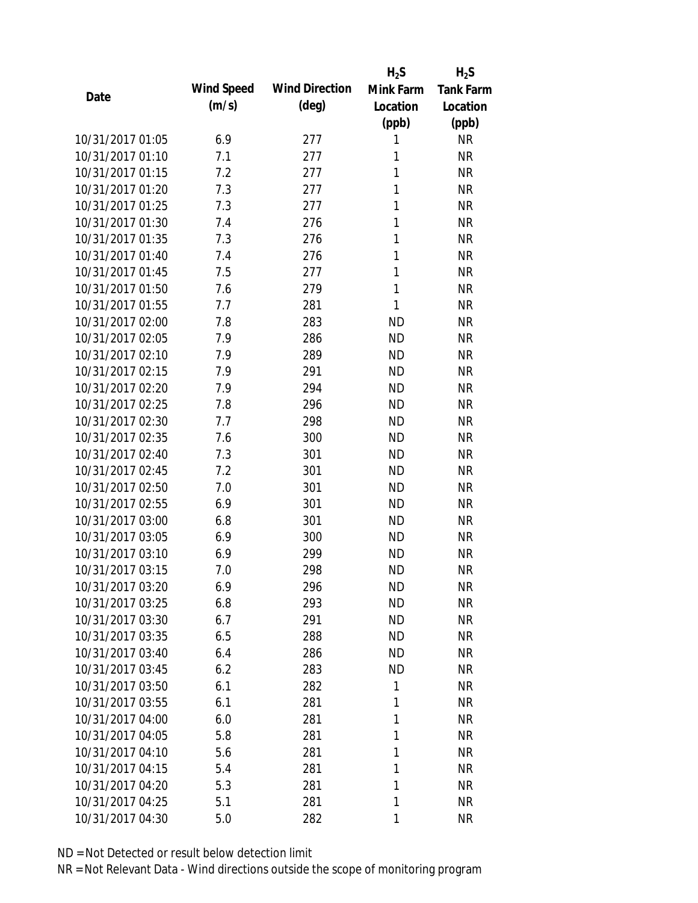|                  |            |                       | $H_2S$    | $H_2S$           |
|------------------|------------|-----------------------|-----------|------------------|
| Date             | Wind Speed | <b>Wind Direction</b> | Mink Farm | <b>Tank Farm</b> |
|                  | (m/s)      | $(\text{deg})$        | Location  | Location         |
|                  |            |                       | (ppb)     | (ppb)            |
| 10/31/2017 01:05 | 6.9        | 277                   | 1         | <b>NR</b>        |
| 10/31/2017 01:10 | 7.1        | 277                   | 1         | <b>NR</b>        |
| 10/31/2017 01:15 | 7.2        | 277                   | 1         | <b>NR</b>        |
| 10/31/2017 01:20 | 7.3        | 277                   | 1         | <b>NR</b>        |
| 10/31/2017 01:25 | 7.3        | 277                   | 1         | <b>NR</b>        |
| 10/31/2017 01:30 | 7.4        | 276                   | 1         | <b>NR</b>        |
| 10/31/2017 01:35 | 7.3        | 276                   | 1         | <b>NR</b>        |
| 10/31/2017 01:40 | 7.4        | 276                   | 1         | <b>NR</b>        |
| 10/31/2017 01:45 | 7.5        | 277                   | 1         | <b>NR</b>        |
| 10/31/2017 01:50 | 7.6        | 279                   | 1         | <b>NR</b>        |
| 10/31/2017 01:55 | 7.7        | 281                   | 1         | <b>NR</b>        |
| 10/31/2017 02:00 | 7.8        | 283                   | <b>ND</b> | <b>NR</b>        |
| 10/31/2017 02:05 | 7.9        | 286                   | <b>ND</b> | <b>NR</b>        |
| 10/31/2017 02:10 | 7.9        | 289                   | <b>ND</b> | <b>NR</b>        |
| 10/31/2017 02:15 | 7.9        | 291                   | <b>ND</b> | <b>NR</b>        |
| 10/31/2017 02:20 | 7.9        | 294                   | <b>ND</b> | <b>NR</b>        |
| 10/31/2017 02:25 | 7.8        | 296                   | <b>ND</b> | <b>NR</b>        |
| 10/31/2017 02:30 | 7.7        | 298                   | <b>ND</b> | <b>NR</b>        |
| 10/31/2017 02:35 | 7.6        | 300                   | <b>ND</b> | <b>NR</b>        |
| 10/31/2017 02:40 | 7.3        | 301                   | <b>ND</b> | <b>NR</b>        |
| 10/31/2017 02:45 | 7.2        | 301                   | <b>ND</b> | <b>NR</b>        |
| 10/31/2017 02:50 | 7.0        | 301                   | <b>ND</b> | <b>NR</b>        |
| 10/31/2017 02:55 | 6.9        | 301                   | <b>ND</b> | <b>NR</b>        |
| 10/31/2017 03:00 | 6.8        | 301                   | <b>ND</b> | <b>NR</b>        |
| 10/31/2017 03:05 | 6.9        | 300                   | <b>ND</b> | <b>NR</b>        |
| 10/31/2017 03:10 | 6.9        | 299                   | <b>ND</b> | <b>NR</b>        |
| 10/31/2017 03:15 | 7.0        | 298                   | <b>ND</b> | <b>NR</b>        |
| 10/31/2017 03:20 | 6.9        | 296                   | <b>ND</b> | NR               |
| 10/31/2017 03:25 | 6.8        | 293                   | <b>ND</b> | <b>NR</b>        |
| 10/31/2017 03:30 | 6.7        | 291                   | <b>ND</b> | <b>NR</b>        |
| 10/31/2017 03:35 | 6.5        | 288                   | <b>ND</b> | <b>NR</b>        |
| 10/31/2017 03:40 | 6.4        | 286                   | <b>ND</b> | <b>NR</b>        |
| 10/31/2017 03:45 | 6.2        | 283                   | <b>ND</b> | <b>NR</b>        |
| 10/31/2017 03:50 | 6.1        | 282                   | 1         | <b>NR</b>        |
| 10/31/2017 03:55 | 6.1        | 281                   | 1         | <b>NR</b>        |
| 10/31/2017 04:00 | 6.0        | 281                   | 1         | <b>NR</b>        |
| 10/31/2017 04:05 | 5.8        | 281                   | 1         | <b>NR</b>        |
|                  |            |                       |           |                  |
| 10/31/2017 04:10 | 5.6        | 281                   | 1         | <b>NR</b>        |
| 10/31/2017 04:15 | 5.4        | 281                   | 1         | <b>NR</b>        |
| 10/31/2017 04:20 | 5.3        | 281                   | 1         | <b>NR</b>        |
| 10/31/2017 04:25 | 5.1        | 281                   | 1         | <b>NR</b>        |
| 10/31/2017 04:30 | 5.0        | 282                   | 1         | <b>NR</b>        |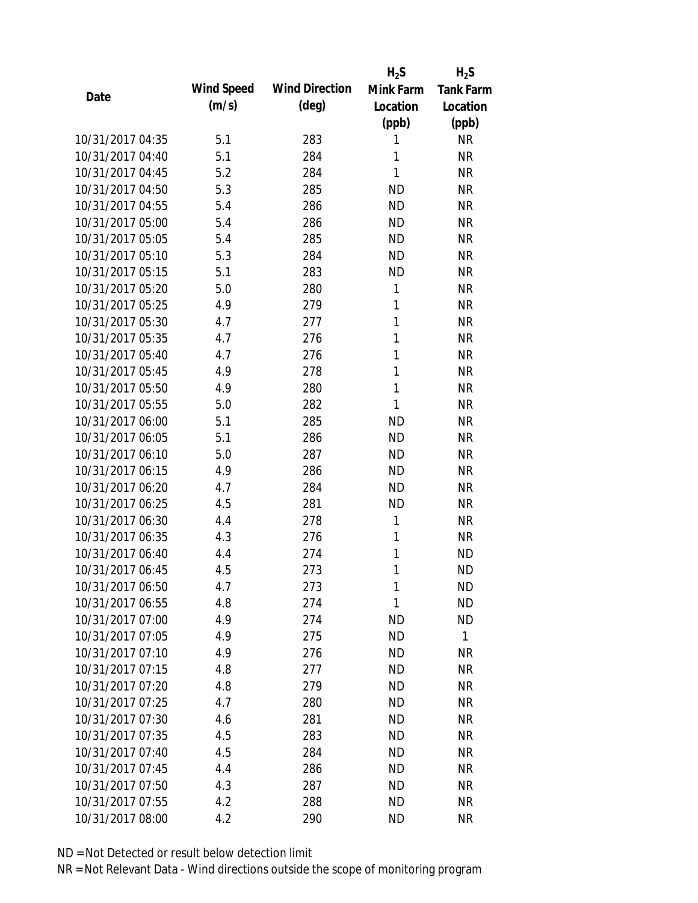|                  |            |                       | $H_2S$       | $H_2S$           |
|------------------|------------|-----------------------|--------------|------------------|
| Date             | Wind Speed | <b>Wind Direction</b> | Mink Farm    | <b>Tank Farm</b> |
|                  | (m/s)      | $(\text{deg})$        | Location     | Location         |
|                  |            |                       | (ppb)        | (ppb)            |
| 10/31/2017 04:35 | 5.1        | 283                   | 1            | <b>NR</b>        |
| 10/31/2017 04:40 | 5.1        | 284                   | 1            | <b>NR</b>        |
| 10/31/2017 04:45 | 5.2        | 284                   | 1            | <b>NR</b>        |
| 10/31/2017 04:50 | 5.3        | 285                   | <b>ND</b>    | <b>NR</b>        |
| 10/31/2017 04:55 | 5.4        | 286                   | <b>ND</b>    | <b>NR</b>        |
| 10/31/2017 05:00 | 5.4        | 286                   | <b>ND</b>    | <b>NR</b>        |
| 10/31/2017 05:05 | 5.4        | 285                   | <b>ND</b>    | <b>NR</b>        |
| 10/31/2017 05:10 | 5.3        | 284                   | <b>ND</b>    | <b>NR</b>        |
| 10/31/2017 05:15 | 5.1        | 283                   | <b>ND</b>    | <b>NR</b>        |
| 10/31/2017 05:20 | 5.0        | 280                   | 1            | <b>NR</b>        |
| 10/31/2017 05:25 | 4.9        | 279                   | 1            | <b>NR</b>        |
| 10/31/2017 05:30 | 4.7        | 277                   | $\mathbf{1}$ | <b>NR</b>        |
| 10/31/2017 05:35 | 4.7        | 276                   | 1            | <b>NR</b>        |
| 10/31/2017 05:40 | 4.7        | 276                   | 1            | <b>NR</b>        |
| 10/31/2017 05:45 | 4.9        | 278                   | 1            | <b>NR</b>        |
| 10/31/2017 05:50 | 4.9        | 280                   | 1            | <b>NR</b>        |
| 10/31/2017 05:55 | 5.0        | 282                   | 1            | <b>NR</b>        |
| 10/31/2017 06:00 | 5.1        | 285                   | <b>ND</b>    | <b>NR</b>        |
| 10/31/2017 06:05 | 5.1        | 286                   | <b>ND</b>    | <b>NR</b>        |
| 10/31/2017 06:10 | 5.0        | 287                   | <b>ND</b>    | <b>NR</b>        |
| 10/31/2017 06:15 | 4.9        | 286                   | <b>ND</b>    | <b>NR</b>        |
| 10/31/2017 06:20 | 4.7        | 284                   | <b>ND</b>    | <b>NR</b>        |
| 10/31/2017 06:25 | 4.5        | 281                   | <b>ND</b>    | <b>NR</b>        |
| 10/31/2017 06:30 | 4.4        | 278                   | 1            | <b>NR</b>        |
| 10/31/2017 06:35 | 4.3        | 276                   | 1            | <b>NR</b>        |
| 10/31/2017 06:40 | 4.4        | 274                   | 1            | <b>ND</b>        |
| 10/31/2017 06:45 | 4.5        | 273                   | 1            | <b>ND</b>        |
| 10/31/2017 06:50 | 4.7        | 273                   | 1            | <b>ND</b>        |
| 10/31/2017 06:55 | 4.8        | 274                   | 1            | <b>ND</b>        |
| 10/31/2017 07:00 | 4.9        | 274                   | <b>ND</b>    | <b>ND</b>        |
| 10/31/2017 07:05 | 4.9        | 275                   | <b>ND</b>    | 1                |
| 10/31/2017 07:10 | 4.9        | 276                   | <b>ND</b>    | <b>NR</b>        |
| 10/31/2017 07:15 | 4.8        | 277                   | <b>ND</b>    | <b>NR</b>        |
| 10/31/2017 07:20 | 4.8        | 279                   | <b>ND</b>    | <b>NR</b>        |
| 10/31/2017 07:25 | 4.7        | 280                   | <b>ND</b>    | <b>NR</b>        |
| 10/31/2017 07:30 | 4.6        | 281                   | <b>ND</b>    | <b>NR</b>        |
| 10/31/2017 07:35 | 4.5        | 283                   | <b>ND</b>    | <b>NR</b>        |
| 10/31/2017 07:40 | 4.5        | 284                   | <b>ND</b>    | <b>NR</b>        |
| 10/31/2017 07:45 | 4.4        | 286                   | <b>ND</b>    | <b>NR</b>        |
| 10/31/2017 07:50 | 4.3        | 287                   | <b>ND</b>    | <b>NR</b>        |
| 10/31/2017 07:55 | 4.2        | 288                   | <b>ND</b>    | <b>NR</b>        |
| 10/31/2017 08:00 | 4.2        | 290                   | <b>ND</b>    | <b>NR</b>        |
|                  |            |                       |              |                  |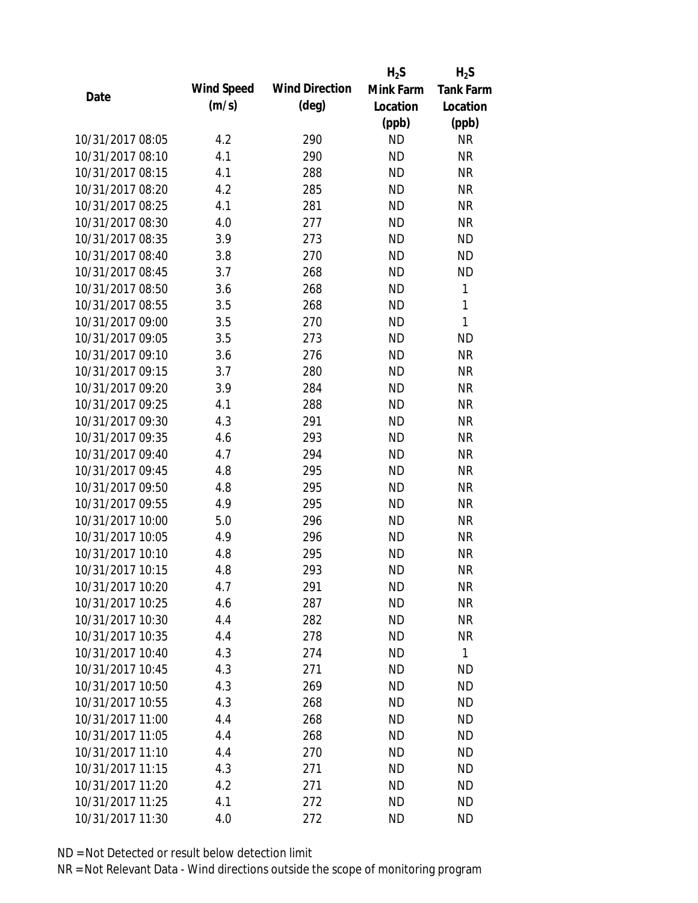|                  |            |                       | $H_2S$    | $H_2S$           |
|------------------|------------|-----------------------|-----------|------------------|
| Date             | Wind Speed | <b>Wind Direction</b> | Mink Farm | <b>Tank Farm</b> |
|                  | (m/s)      | $(\text{deg})$        | Location  | Location         |
|                  |            |                       | (ppb)     | (ppb)            |
| 10/31/2017 08:05 | 4.2        | 290                   | <b>ND</b> | <b>NR</b>        |
| 10/31/2017 08:10 | 4.1        | 290                   | <b>ND</b> | <b>NR</b>        |
| 10/31/2017 08:15 | 4.1        | 288                   | <b>ND</b> | <b>NR</b>        |
| 10/31/2017 08:20 | 4.2        | 285                   | <b>ND</b> | <b>NR</b>        |
| 10/31/2017 08:25 | 4.1        | 281                   | <b>ND</b> | <b>NR</b>        |
| 10/31/2017 08:30 | 4.0        | 277                   | <b>ND</b> | <b>NR</b>        |
| 10/31/2017 08:35 | 3.9        | 273                   | <b>ND</b> | <b>ND</b>        |
| 10/31/2017 08:40 | 3.8        | 270                   | <b>ND</b> | <b>ND</b>        |
| 10/31/2017 08:45 | 3.7        | 268                   | <b>ND</b> | <b>ND</b>        |
| 10/31/2017 08:50 | 3.6        | 268                   | <b>ND</b> | 1                |
| 10/31/2017 08:55 | 3.5        | 268                   | <b>ND</b> | 1                |
| 10/31/2017 09:00 | 3.5        | 270                   | <b>ND</b> | 1                |
| 10/31/2017 09:05 | 3.5        | 273                   | <b>ND</b> | <b>ND</b>        |
| 10/31/2017 09:10 | 3.6        | 276                   | <b>ND</b> | <b>NR</b>        |
| 10/31/2017 09:15 | 3.7        | 280                   | <b>ND</b> | <b>NR</b>        |
| 10/31/2017 09:20 | 3.9        | 284                   | <b>ND</b> | <b>NR</b>        |
| 10/31/2017 09:25 | 4.1        | 288                   | <b>ND</b> | <b>NR</b>        |
| 10/31/2017 09:30 | 4.3        | 291                   | <b>ND</b> | <b>NR</b>        |
| 10/31/2017 09:35 | 4.6        | 293                   | <b>ND</b> | <b>NR</b>        |
| 10/31/2017 09:40 | 4.7        | 294                   | <b>ND</b> | <b>NR</b>        |
| 10/31/2017 09:45 | 4.8        | 295                   | <b>ND</b> | <b>NR</b>        |
| 10/31/2017 09:50 | 4.8        | 295                   | <b>ND</b> | <b>NR</b>        |
| 10/31/2017 09:55 | 4.9        | 295                   | <b>ND</b> | <b>NR</b>        |
| 10/31/2017 10:00 | 5.0        | 296                   | <b>ND</b> | <b>NR</b>        |
| 10/31/2017 10:05 | 4.9        | 296                   | <b>ND</b> | <b>NR</b>        |
| 10/31/2017 10:10 | 4.8        | 295                   | <b>ND</b> | <b>NR</b>        |
| 10/31/2017 10:15 | 4.8        | 293                   | <b>ND</b> | <b>NR</b>        |
| 10/31/2017 10:20 | 4.7        | 291                   | <b>ND</b> | <b>NR</b>        |
| 10/31/2017 10:25 | 4.6        | 287                   | <b>ND</b> | <b>NR</b>        |
| 10/31/2017 10:30 | 4.4        | 282                   | ND        | <b>NR</b>        |
| 10/31/2017 10:35 | 4.4        | 278                   | <b>ND</b> | <b>NR</b>        |
| 10/31/2017 10:40 | 4.3        | 274                   | <b>ND</b> | $\mathbf{1}$     |
| 10/31/2017 10:45 | 4.3        | 271                   | <b>ND</b> | <b>ND</b>        |
| 10/31/2017 10:50 | 4.3        | 269                   | <b>ND</b> | <b>ND</b>        |
| 10/31/2017 10:55 | 4.3        | 268                   | <b>ND</b> | <b>ND</b>        |
| 10/31/2017 11:00 | 4.4        | 268                   | <b>ND</b> | <b>ND</b>        |
| 10/31/2017 11:05 | 4.4        | 268                   | <b>ND</b> | <b>ND</b>        |
| 10/31/2017 11:10 | 4.4        | 270                   | <b>ND</b> | <b>ND</b>        |
| 10/31/2017 11:15 | 4.3        | 271                   | <b>ND</b> | <b>ND</b>        |
| 10/31/2017 11:20 | 4.2        | 271                   | <b>ND</b> | <b>ND</b>        |
| 10/31/2017 11:25 | 4.1        | 272                   | <b>ND</b> | <b>ND</b>        |
| 10/31/2017 11:30 | 4.0        | 272                   | <b>ND</b> | <b>ND</b>        |
|                  |            |                       |           |                  |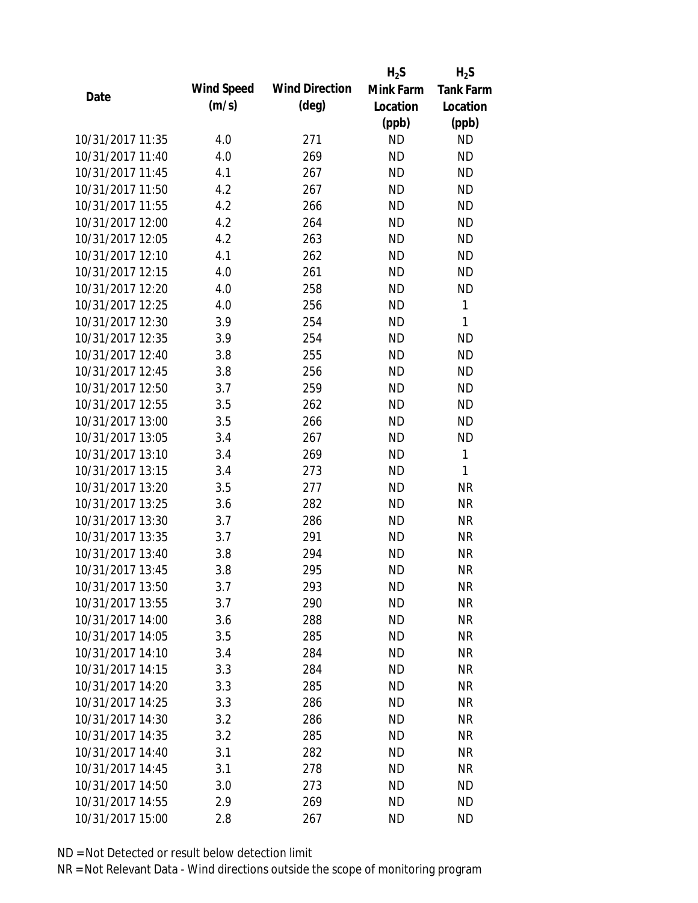|                  |            |                       | $H_2S$    | $H_2S$           |
|------------------|------------|-----------------------|-----------|------------------|
| Date             | Wind Speed | <b>Wind Direction</b> | Mink Farm | <b>Tank Farm</b> |
|                  | (m/s)      | $(\text{deg})$        | Location  | Location         |
|                  |            |                       | (ppb)     | (ppb)            |
| 10/31/2017 11:35 | 4.0        | 271                   | <b>ND</b> | <b>ND</b>        |
| 10/31/2017 11:40 | 4.0        | 269                   | <b>ND</b> | <b>ND</b>        |
| 10/31/2017 11:45 | 4.1        | 267                   | <b>ND</b> | <b>ND</b>        |
| 10/31/2017 11:50 | 4.2        | 267                   | <b>ND</b> | <b>ND</b>        |
| 10/31/2017 11:55 | 4.2        | 266                   | <b>ND</b> | <b>ND</b>        |
| 10/31/2017 12:00 | 4.2        | 264                   | <b>ND</b> | <b>ND</b>        |
| 10/31/2017 12:05 | 4.2        | 263                   | <b>ND</b> | <b>ND</b>        |
| 10/31/2017 12:10 | 4.1        | 262                   | <b>ND</b> | <b>ND</b>        |
| 10/31/2017 12:15 | 4.0        | 261                   | <b>ND</b> | <b>ND</b>        |
| 10/31/2017 12:20 | 4.0        | 258                   | <b>ND</b> | <b>ND</b>        |
| 10/31/2017 12:25 | 4.0        | 256                   | <b>ND</b> | 1                |
| 10/31/2017 12:30 | 3.9        | 254                   | <b>ND</b> | 1                |
| 10/31/2017 12:35 | 3.9        | 254                   | <b>ND</b> | <b>ND</b>        |
| 10/31/2017 12:40 | 3.8        | 255                   | <b>ND</b> | <b>ND</b>        |
| 10/31/2017 12:45 | 3.8        | 256                   | <b>ND</b> | <b>ND</b>        |
| 10/31/2017 12:50 | 3.7        | 259                   | <b>ND</b> | <b>ND</b>        |
| 10/31/2017 12:55 | 3.5        | 262                   | <b>ND</b> | <b>ND</b>        |
| 10/31/2017 13:00 | 3.5        | 266                   | <b>ND</b> | <b>ND</b>        |
| 10/31/2017 13:05 | 3.4        | 267                   | <b>ND</b> | <b>ND</b>        |
| 10/31/2017 13:10 | 3.4        | 269                   | <b>ND</b> | 1                |
| 10/31/2017 13:15 | 3.4        | 273                   | <b>ND</b> | 1                |
| 10/31/2017 13:20 | 3.5        | 277                   | <b>ND</b> | <b>NR</b>        |
| 10/31/2017 13:25 | 3.6        | 282                   | <b>ND</b> | <b>NR</b>        |
| 10/31/2017 13:30 | 3.7        | 286                   | <b>ND</b> | <b>NR</b>        |
| 10/31/2017 13:35 | 3.7        | 291                   | <b>ND</b> | <b>NR</b>        |
| 10/31/2017 13:40 | 3.8        | 294                   | <b>ND</b> | <b>NR</b>        |
| 10/31/2017 13:45 | 3.8        | 295                   | <b>ND</b> | <b>NR</b>        |
| 10/31/2017 13:50 | 3.7        | 293                   | <b>ND</b> | <b>NR</b>        |
| 10/31/2017 13:55 | 3.7        | 290                   | <b>ND</b> | <b>NR</b>        |
| 10/31/2017 14:00 | 3.6        | 288                   | ND        | <b>NR</b>        |
| 10/31/2017 14:05 | 3.5        | 285                   | <b>ND</b> | <b>NR</b>        |
| 10/31/2017 14:10 | 3.4        | 284                   | <b>ND</b> | <b>NR</b>        |
| 10/31/2017 14:15 | 3.3        | 284                   | <b>ND</b> | <b>NR</b>        |
| 10/31/2017 14:20 | 3.3        | 285                   | <b>ND</b> | <b>NR</b>        |
| 10/31/2017 14:25 | 3.3        | 286                   | <b>ND</b> | <b>NR</b>        |
| 10/31/2017 14:30 | 3.2        | 286                   | <b>ND</b> | <b>NR</b>        |
| 10/31/2017 14:35 | 3.2        | 285                   | <b>ND</b> | <b>NR</b>        |
| 10/31/2017 14:40 | 3.1        | 282                   | <b>ND</b> | <b>NR</b>        |
| 10/31/2017 14:45 | 3.1        | 278                   | <b>ND</b> | <b>NR</b>        |
| 10/31/2017 14:50 |            |                       | <b>ND</b> | <b>ND</b>        |
|                  | 3.0        | 273                   |           |                  |
| 10/31/2017 14:55 | 2.9        | 269                   | <b>ND</b> | <b>ND</b>        |
| 10/31/2017 15:00 | 2.8        | 267                   | <b>ND</b> | <b>ND</b>        |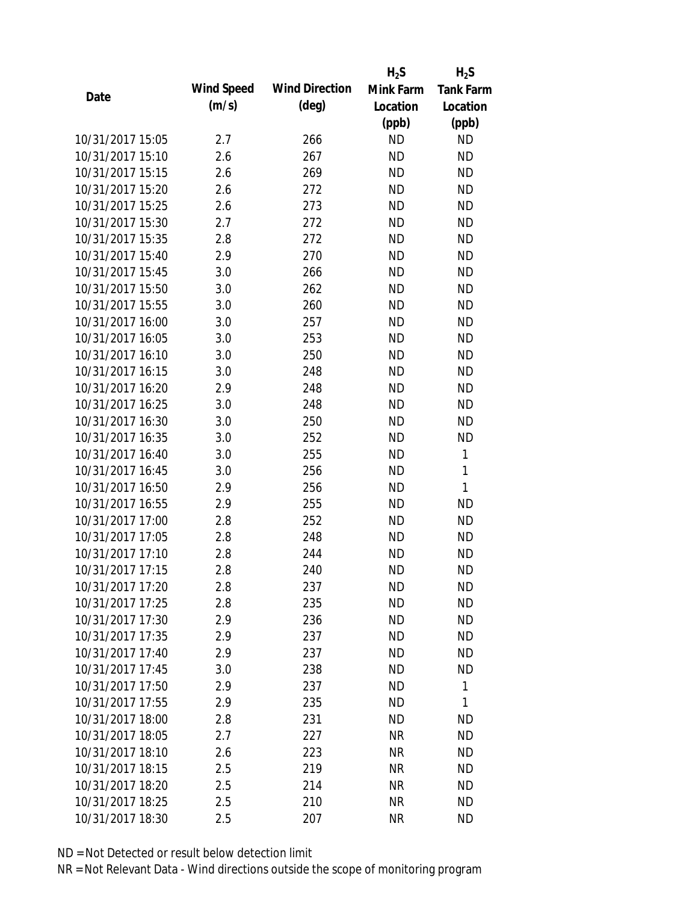|                  |            |                       | $H_2S$    | $H_2S$           |
|------------------|------------|-----------------------|-----------|------------------|
| Date             | Wind Speed | <b>Wind Direction</b> | Mink Farm | <b>Tank Farm</b> |
|                  | (m/s)      | $(\text{deg})$        | Location  | Location         |
|                  |            |                       | (ppb)     | (ppb)            |
| 10/31/2017 15:05 | 2.7        | 266                   | <b>ND</b> | <b>ND</b>        |
| 10/31/2017 15:10 | 2.6        | 267                   | <b>ND</b> | <b>ND</b>        |
| 10/31/2017 15:15 | 2.6        | 269                   | <b>ND</b> | <b>ND</b>        |
| 10/31/2017 15:20 | 2.6        | 272                   | <b>ND</b> | <b>ND</b>        |
| 10/31/2017 15:25 | 2.6        | 273                   | <b>ND</b> | <b>ND</b>        |
| 10/31/2017 15:30 | 2.7        | 272                   | <b>ND</b> | <b>ND</b>        |
| 10/31/2017 15:35 | 2.8        | 272                   | <b>ND</b> | <b>ND</b>        |
| 10/31/2017 15:40 | 2.9        | 270                   | <b>ND</b> | <b>ND</b>        |
| 10/31/2017 15:45 | 3.0        | 266                   | <b>ND</b> | <b>ND</b>        |
| 10/31/2017 15:50 | 3.0        | 262                   | <b>ND</b> | <b>ND</b>        |
| 10/31/2017 15:55 | 3.0        | 260                   | <b>ND</b> | <b>ND</b>        |
| 10/31/2017 16:00 | 3.0        | 257                   | <b>ND</b> | <b>ND</b>        |
| 10/31/2017 16:05 | 3.0        | 253                   | <b>ND</b> | <b>ND</b>        |
| 10/31/2017 16:10 | 3.0        | 250                   | <b>ND</b> | <b>ND</b>        |
| 10/31/2017 16:15 | 3.0        | 248                   | <b>ND</b> | <b>ND</b>        |
| 10/31/2017 16:20 | 2.9        | 248                   | <b>ND</b> | <b>ND</b>        |
| 10/31/2017 16:25 | 3.0        | 248                   | <b>ND</b> | <b>ND</b>        |
| 10/31/2017 16:30 | 3.0        | 250                   | <b>ND</b> | <b>ND</b>        |
| 10/31/2017 16:35 | 3.0        | 252                   | <b>ND</b> | <b>ND</b>        |
| 10/31/2017 16:40 | 3.0        | 255                   | <b>ND</b> | 1                |
| 10/31/2017 16:45 | 3.0        | 256                   | <b>ND</b> | 1                |
| 10/31/2017 16:50 | 2.9        | 256                   | <b>ND</b> | $\mathbf{1}$     |
| 10/31/2017 16:55 | 2.9        | 255                   | <b>ND</b> | <b>ND</b>        |
| 10/31/2017 17:00 | 2.8        | 252                   | <b>ND</b> | <b>ND</b>        |
| 10/31/2017 17:05 | 2.8        | 248                   | <b>ND</b> | <b>ND</b>        |
| 10/31/2017 17:10 | 2.8        | 244                   | <b>ND</b> | <b>ND</b>        |
| 10/31/2017 17:15 | 2.8        | 240                   | <b>ND</b> | <b>ND</b>        |
| 10/31/2017 17:20 | 2.8        | 237                   | ND        | ND               |
| 10/31/2017 17:25 | 2.8        | 235                   | <b>ND</b> | <b>ND</b>        |
| 10/31/2017 17:30 | 2.9        | 236                   | ND        | ND               |
| 10/31/2017 17:35 | 2.9        | 237                   | <b>ND</b> | <b>ND</b>        |
| 10/31/2017 17:40 | 2.9        | 237                   | <b>ND</b> | ND               |
| 10/31/2017 17:45 | 3.0        | 238                   | <b>ND</b> | <b>ND</b>        |
| 10/31/2017 17:50 | 2.9        | 237                   | <b>ND</b> | 1                |
| 10/31/2017 17:55 | 2.9        | 235                   | <b>ND</b> | 1                |
| 10/31/2017 18:00 | 2.8        | 231                   | <b>ND</b> | <b>ND</b>        |
| 10/31/2017 18:05 | 2.7        | 227                   | <b>NR</b> | <b>ND</b>        |
| 10/31/2017 18:10 | 2.6        | 223                   | NR        | <b>ND</b>        |
| 10/31/2017 18:15 | 2.5        | 219                   | <b>NR</b> | <b>ND</b>        |
| 10/31/2017 18:20 | 2.5        | 214                   | <b>NR</b> | <b>ND</b>        |
| 10/31/2017 18:25 | 2.5        | 210                   | <b>NR</b> | <b>ND</b>        |
| 10/31/2017 18:30 | 2.5        | 207                   | <b>NR</b> | <b>ND</b>        |
|                  |            |                       |           |                  |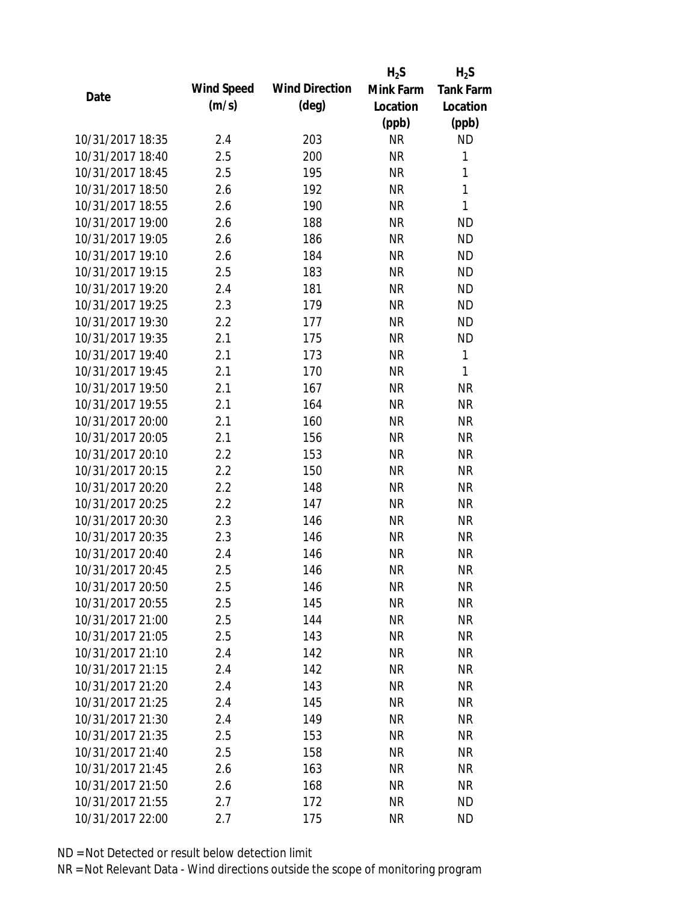|                  |            |                       | $H_2S$    | $H_2S$           |
|------------------|------------|-----------------------|-----------|------------------|
| Date             | Wind Speed | <b>Wind Direction</b> | Mink Farm | <b>Tank Farm</b> |
|                  | (m/s)      | $(\text{deg})$        | Location  | Location         |
|                  |            |                       | (ppb)     | (ppb)            |
| 10/31/2017 18:35 | 2.4        | 203                   | <b>NR</b> | <b>ND</b>        |
| 10/31/2017 18:40 | 2.5        | 200                   | <b>NR</b> | 1                |
| 10/31/2017 18:45 | 2.5        | 195                   | <b>NR</b> | $\mathbf{1}$     |
| 10/31/2017 18:50 | 2.6        | 192                   | <b>NR</b> | $\mathbf{1}$     |
| 10/31/2017 18:55 | 2.6        | 190                   | <b>NR</b> | $\mathbf{1}$     |
| 10/31/2017 19:00 | 2.6        | 188                   | <b>NR</b> | <b>ND</b>        |
| 10/31/2017 19:05 | 2.6        | 186                   | <b>NR</b> | <b>ND</b>        |
| 10/31/2017 19:10 | 2.6        | 184                   | <b>NR</b> | <b>ND</b>        |
| 10/31/2017 19:15 | 2.5        | 183                   | <b>NR</b> | <b>ND</b>        |
| 10/31/2017 19:20 | 2.4        | 181                   | <b>NR</b> | <b>ND</b>        |
| 10/31/2017 19:25 | 2.3        | 179                   | <b>NR</b> | <b>ND</b>        |
| 10/31/2017 19:30 | 2.2        | 177                   | <b>NR</b> | <b>ND</b>        |
| 10/31/2017 19:35 | 2.1        | 175                   | <b>NR</b> | <b>ND</b>        |
| 10/31/2017 19:40 | 2.1        | 173                   | <b>NR</b> | $\mathbf{1}$     |
| 10/31/2017 19:45 | 2.1        | 170                   | <b>NR</b> | $\mathbf{1}$     |
| 10/31/2017 19:50 | 2.1        | 167                   | <b>NR</b> | <b>NR</b>        |
| 10/31/2017 19:55 | 2.1        | 164                   | <b>NR</b> | <b>NR</b>        |
| 10/31/2017 20:00 | 2.1        | 160                   | <b>NR</b> | <b>NR</b>        |
| 10/31/2017 20:05 | 2.1        | 156                   | <b>NR</b> | <b>NR</b>        |
| 10/31/2017 20:10 | 2.2        | 153                   | <b>NR</b> | <b>NR</b>        |
| 10/31/2017 20:15 | 2.2        | 150                   | <b>NR</b> | <b>NR</b>        |
| 10/31/2017 20:20 | 2.2        | 148                   | <b>NR</b> | <b>NR</b>        |
| 10/31/2017 20:25 | 2.2        | 147                   | <b>NR</b> | <b>NR</b>        |
| 10/31/2017 20:30 | 2.3        | 146                   | <b>NR</b> | <b>NR</b>        |
| 10/31/2017 20:35 | 2.3        | 146                   | <b>NR</b> | <b>NR</b>        |
| 10/31/2017 20:40 | 2.4        | 146                   | <b>NR</b> | <b>NR</b>        |
| 10/31/2017 20:45 | 2.5        | 146                   | <b>NR</b> | <b>NR</b>        |
| 10/31/2017 20:50 | 2.5        | 146                   | NR        | <b>NR</b>        |
| 10/31/2017 20:55 | 2.5        | 145                   | <b>NR</b> | <b>NR</b>        |
| 10/31/2017 21:00 | 2.5        | 144                   | NR        | <b>NR</b>        |
| 10/31/2017 21:05 | 2.5        | 143                   | <b>NR</b> | <b>NR</b>        |
| 10/31/2017 21:10 | 2.4        | 142                   | <b>NR</b> | <b>NR</b>        |
| 10/31/2017 21:15 | 2.4        | 142                   | <b>NR</b> | <b>NR</b>        |
| 10/31/2017 21:20 | 2.4        | 143                   | <b>NR</b> | <b>NR</b>        |
| 10/31/2017 21:25 | 2.4        | 145                   | <b>NR</b> | <b>NR</b>        |
| 10/31/2017 21:30 | 2.4        | 149                   | <b>NR</b> | <b>NR</b>        |
| 10/31/2017 21:35 | 2.5        | 153                   | NR        | <b>NR</b>        |
| 10/31/2017 21:40 | 2.5        | 158                   | NR        | <b>NR</b>        |
| 10/31/2017 21:45 | 2.6        | 163                   | <b>NR</b> | <b>NR</b>        |
| 10/31/2017 21:50 | 2.6        | 168                   | <b>NR</b> | <b>NR</b>        |
| 10/31/2017 21:55 | 2.7        | 172                   | <b>NR</b> | <b>ND</b>        |
| 10/31/2017 22:00 | 2.7        | 175                   | <b>NR</b> | <b>ND</b>        |
|                  |            |                       |           |                  |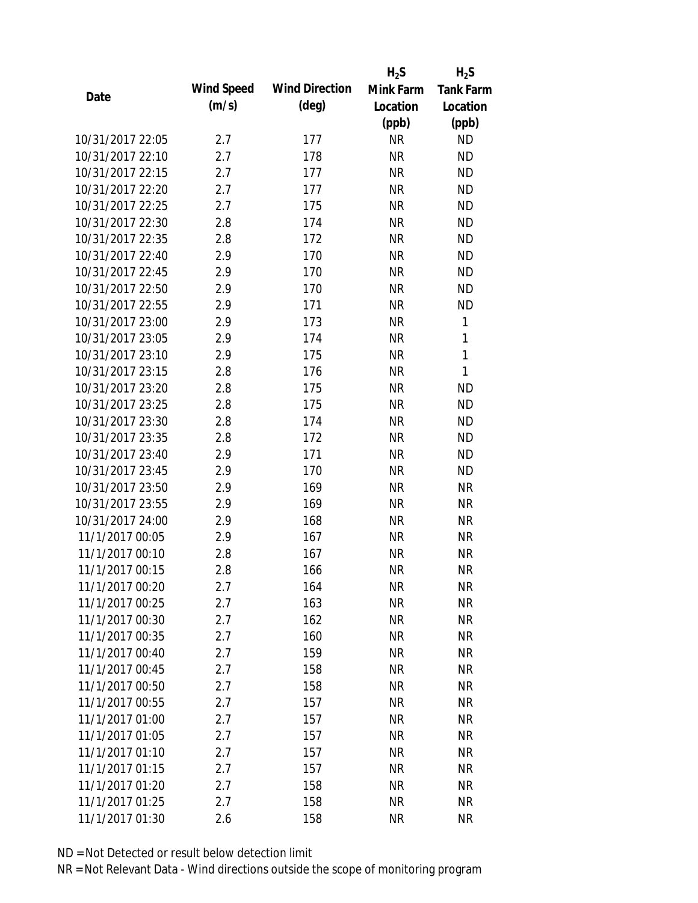|                  |            |                       | $H_2S$    | $H_2S$           |
|------------------|------------|-----------------------|-----------|------------------|
| Date             | Wind Speed | <b>Wind Direction</b> | Mink Farm | <b>Tank Farm</b> |
|                  | (m/s)      | $(\text{deg})$        | Location  | Location         |
|                  |            |                       | (ppb)     | (ppb)            |
| 10/31/2017 22:05 | 2.7        | 177                   | <b>NR</b> | <b>ND</b>        |
| 10/31/2017 22:10 | 2.7        | 178                   | <b>NR</b> | <b>ND</b>        |
| 10/31/2017 22:15 | 2.7        | 177                   | <b>NR</b> | <b>ND</b>        |
| 10/31/2017 22:20 | 2.7        | 177                   | <b>NR</b> | <b>ND</b>        |
| 10/31/2017 22:25 | 2.7        | 175                   | <b>NR</b> | <b>ND</b>        |
| 10/31/2017 22:30 | 2.8        | 174                   | <b>NR</b> | <b>ND</b>        |
| 10/31/2017 22:35 | 2.8        | 172                   | <b>NR</b> | <b>ND</b>        |
| 10/31/2017 22:40 | 2.9        | 170                   | <b>NR</b> | <b>ND</b>        |
| 10/31/2017 22:45 | 2.9        | 170                   | <b>NR</b> | <b>ND</b>        |
| 10/31/2017 22:50 | 2.9        | 170                   | <b>NR</b> | <b>ND</b>        |
| 10/31/2017 22:55 | 2.9        | 171                   | <b>NR</b> | <b>ND</b>        |
| 10/31/2017 23:00 | 2.9        | 173                   | <b>NR</b> | 1                |
| 10/31/2017 23:05 | 2.9        | 174                   | <b>NR</b> | 1                |
| 10/31/2017 23:10 | 2.9        | 175                   | <b>NR</b> | $\mathbf{1}$     |
| 10/31/2017 23:15 | 2.8        | 176                   | <b>NR</b> | $\mathbf{1}$     |
| 10/31/2017 23:20 | 2.8        | 175                   | <b>NR</b> | <b>ND</b>        |
| 10/31/2017 23:25 | 2.8        | 175                   | <b>NR</b> | <b>ND</b>        |
| 10/31/2017 23:30 | 2.8        | 174                   | <b>NR</b> | <b>ND</b>        |
| 10/31/2017 23:35 | 2.8        | 172                   | <b>NR</b> | <b>ND</b>        |
| 10/31/2017 23:40 | 2.9        | 171                   | <b>NR</b> | <b>ND</b>        |
| 10/31/2017 23:45 | 2.9        | 170                   | <b>NR</b> | <b>ND</b>        |
| 10/31/2017 23:50 | 2.9        | 169                   | <b>NR</b> | <b>NR</b>        |
| 10/31/2017 23:55 | 2.9        | 169                   | <b>NR</b> | <b>NR</b>        |
| 10/31/2017 24:00 | 2.9        | 168                   | <b>NR</b> | <b>NR</b>        |
| 11/1/2017 00:05  | 2.9        | 167                   | <b>NR</b> | <b>NR</b>        |
| 11/1/2017 00:10  | 2.8        | 167                   | <b>NR</b> | <b>NR</b>        |
| 11/1/2017 00:15  | 2.8        | 166                   | <b>NR</b> | <b>NR</b>        |
| 11/1/2017 00:20  | 2.7        | 164                   | <b>NR</b> | NR               |
| 11/1/2017 00:25  | 2.7        | 163                   | <b>NR</b> | <b>NR</b>        |
| 11/1/2017 00:30  | 2.7        | 162                   | <b>NR</b> | <b>NR</b>        |
| 11/1/2017 00:35  | 2.7        | 160                   | <b>NR</b> | <b>NR</b>        |
| 11/1/2017 00:40  | 2.7        | 159                   | <b>NR</b> | <b>NR</b>        |
| 11/1/2017 00:45  | 2.7        | 158                   | <b>NR</b> | <b>NR</b>        |
| 11/1/2017 00:50  | 2.7        | 158                   | <b>NR</b> | <b>NR</b>        |
| 11/1/2017 00:55  | 2.7        | 157                   | <b>NR</b> | <b>NR</b>        |
| 11/1/2017 01:00  | 2.7        | 157                   | <b>NR</b> | <b>NR</b>        |
| 11/1/2017 01:05  | 2.7        | 157                   | <b>NR</b> | <b>NR</b>        |
| 11/1/2017 01:10  | 2.7        | 157                   | <b>NR</b> | <b>NR</b>        |
| 11/1/2017 01:15  | 2.7        | 157                   | <b>NR</b> | <b>NR</b>        |
| 11/1/2017 01:20  | 2.7        | 158                   | <b>NR</b> | <b>NR</b>        |
| 11/1/2017 01:25  | 2.7        | 158                   | <b>NR</b> | <b>NR</b>        |
| 11/1/2017 01:30  | 2.6        | 158                   | <b>NR</b> | <b>NR</b>        |
|                  |            |                       |           |                  |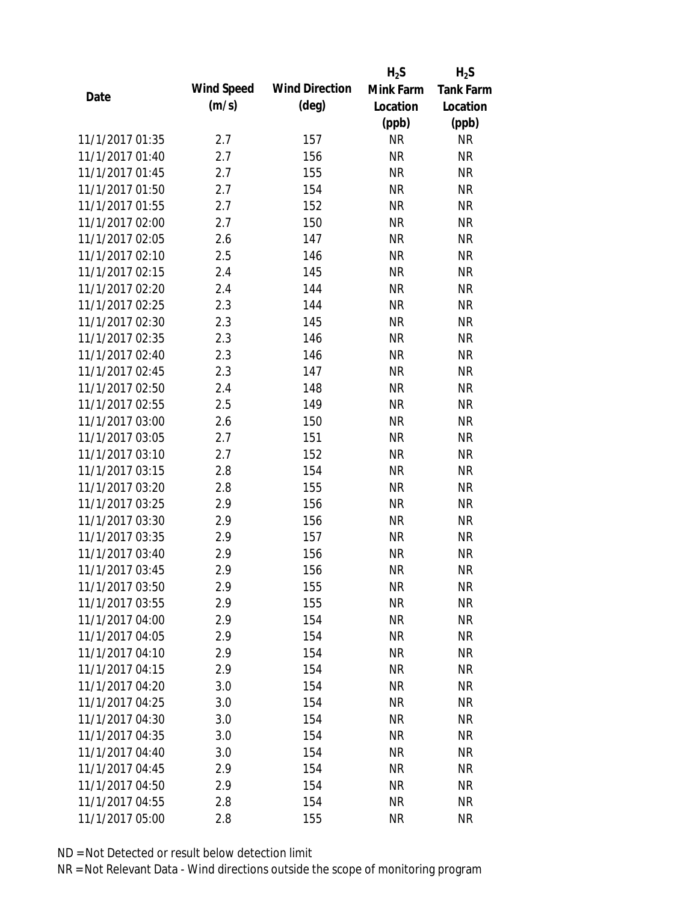|                 |            |                       | $H_2S$    | $H_2S$           |
|-----------------|------------|-----------------------|-----------|------------------|
| Date            | Wind Speed | <b>Wind Direction</b> | Mink Farm | <b>Tank Farm</b> |
|                 | (m/s)      | $(\text{deg})$        | Location  | Location         |
|                 |            |                       | (ppb)     | (ppb)            |
| 11/1/2017 01:35 | 2.7        | 157                   | <b>NR</b> | <b>NR</b>        |
| 11/1/2017 01:40 | 2.7        | 156                   | <b>NR</b> | <b>NR</b>        |
| 11/1/2017 01:45 | 2.7        | 155                   | <b>NR</b> | <b>NR</b>        |
| 11/1/2017 01:50 | 2.7        | 154                   | <b>NR</b> | <b>NR</b>        |
| 11/1/2017 01:55 | 2.7        | 152                   | <b>NR</b> | <b>NR</b>        |
| 11/1/2017 02:00 | 2.7        | 150                   | <b>NR</b> | <b>NR</b>        |
| 11/1/2017 02:05 | 2.6        | 147                   | <b>NR</b> | <b>NR</b>        |
| 11/1/2017 02:10 | 2.5        | 146                   | <b>NR</b> | <b>NR</b>        |
| 11/1/2017 02:15 | 2.4        | 145                   | <b>NR</b> | <b>NR</b>        |
| 11/1/2017 02:20 | 2.4        | 144                   | <b>NR</b> | <b>NR</b>        |
| 11/1/2017 02:25 | 2.3        | 144                   | <b>NR</b> | <b>NR</b>        |
| 11/1/2017 02:30 | 2.3        | 145                   | <b>NR</b> | <b>NR</b>        |
| 11/1/2017 02:35 | 2.3        | 146                   | <b>NR</b> | <b>NR</b>        |
| 11/1/2017 02:40 | 2.3        | 146                   | <b>NR</b> | <b>NR</b>        |
| 11/1/2017 02:45 | 2.3        | 147                   | <b>NR</b> | <b>NR</b>        |
| 11/1/2017 02:50 | 2.4        | 148                   | <b>NR</b> | <b>NR</b>        |
| 11/1/2017 02:55 | 2.5        | 149                   | <b>NR</b> | <b>NR</b>        |
| 11/1/2017 03:00 | 2.6        | 150                   | <b>NR</b> | <b>NR</b>        |
| 11/1/2017 03:05 | 2.7        | 151                   | <b>NR</b> | <b>NR</b>        |
| 11/1/2017 03:10 | 2.7        | 152                   | <b>NR</b> | <b>NR</b>        |
| 11/1/2017 03:15 | 2.8        | 154                   | <b>NR</b> | <b>NR</b>        |
| 11/1/2017 03:20 | 2.8        | 155                   | <b>NR</b> | <b>NR</b>        |
| 11/1/2017 03:25 | 2.9        | 156                   | <b>NR</b> | <b>NR</b>        |
| 11/1/2017 03:30 | 2.9        | 156                   | <b>NR</b> | <b>NR</b>        |
| 11/1/2017 03:35 | 2.9        | 157                   | <b>NR</b> | <b>NR</b>        |
| 11/1/2017 03:40 | 2.9        | 156                   | <b>NR</b> | <b>NR</b>        |
| 11/1/2017 03:45 | 2.9        | 156                   | <b>NR</b> | <b>NR</b>        |
| 11/1/2017 03:50 | 2.9        | 155                   | <b>NR</b> | <b>NR</b>        |
| 11/1/2017 03:55 | 2.9        | 155                   | <b>NR</b> | <b>NR</b>        |
| 11/1/2017 04:00 | 2.9        | 154                   | NR        | <b>NR</b>        |
| 11/1/2017 04:05 | 2.9        | 154                   | <b>NR</b> | <b>NR</b>        |
| 11/1/2017 04:10 | 2.9        | 154                   | <b>NR</b> | <b>NR</b>        |
| 11/1/2017 04:15 | 2.9        | 154                   | <b>NR</b> | <b>NR</b>        |
| 11/1/2017 04:20 | 3.0        | 154                   | <b>NR</b> | <b>NR</b>        |
| 11/1/2017 04:25 | 3.0        | 154                   | <b>NR</b> | <b>NR</b>        |
| 11/1/2017 04:30 | 3.0        | 154                   | <b>NR</b> | <b>NR</b>        |
| 11/1/2017 04:35 | 3.0        | 154                   | <b>NR</b> | <b>NR</b>        |
| 11/1/2017 04:40 | 3.0        | 154                   | <b>NR</b> | <b>NR</b>        |
| 11/1/2017 04:45 | 2.9        | 154                   | <b>NR</b> | <b>NR</b>        |
| 11/1/2017 04:50 | 2.9        | 154                   | <b>NR</b> | NR               |
| 11/1/2017 04:55 | 2.8        | 154                   | <b>NR</b> | <b>NR</b>        |
| 11/1/2017 05:00 | 2.8        | 155                   | <b>NR</b> | <b>NR</b>        |
|                 |            |                       |           |                  |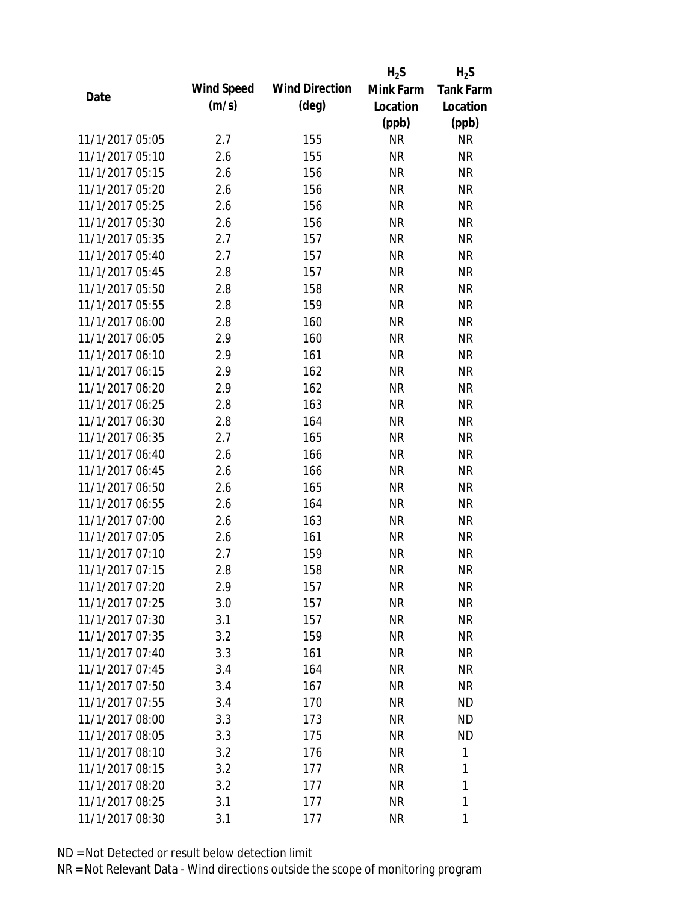|                 |            |                       | $H_2S$    | $H_2S$           |
|-----------------|------------|-----------------------|-----------|------------------|
| Date            | Wind Speed | <b>Wind Direction</b> | Mink Farm | <b>Tank Farm</b> |
|                 | (m/s)      | (deg)                 | Location  | Location         |
|                 |            |                       | (ppb)     | (ppb)            |
| 11/1/2017 05:05 | 2.7        | 155                   | <b>NR</b> | <b>NR</b>        |
| 11/1/2017 05:10 | 2.6        | 155                   | <b>NR</b> | <b>NR</b>        |
| 11/1/2017 05:15 | 2.6        | 156                   | <b>NR</b> | <b>NR</b>        |
| 11/1/2017 05:20 | 2.6        | 156                   | <b>NR</b> | <b>NR</b>        |
| 11/1/2017 05:25 | 2.6        | 156                   | <b>NR</b> | <b>NR</b>        |
| 11/1/2017 05:30 | 2.6        | 156                   | <b>NR</b> | <b>NR</b>        |
| 11/1/2017 05:35 | 2.7        | 157                   | <b>NR</b> | <b>NR</b>        |
| 11/1/2017 05:40 | 2.7        | 157                   | <b>NR</b> | <b>NR</b>        |
| 11/1/2017 05:45 | 2.8        | 157                   | <b>NR</b> | <b>NR</b>        |
| 11/1/2017 05:50 | 2.8        | 158                   | <b>NR</b> | <b>NR</b>        |
| 11/1/2017 05:55 | 2.8        | 159                   | <b>NR</b> | <b>NR</b>        |
| 11/1/2017 06:00 | 2.8        | 160                   | <b>NR</b> | <b>NR</b>        |
| 11/1/2017 06:05 | 2.9        | 160                   | <b>NR</b> | <b>NR</b>        |
| 11/1/2017 06:10 | 2.9        | 161                   | <b>NR</b> | <b>NR</b>        |
| 11/1/2017 06:15 | 2.9        | 162                   | <b>NR</b> | <b>NR</b>        |
| 11/1/2017 06:20 | 2.9        | 162                   | <b>NR</b> | <b>NR</b>        |
| 11/1/2017 06:25 | 2.8        | 163                   | <b>NR</b> | <b>NR</b>        |
| 11/1/2017 06:30 | 2.8        | 164                   | <b>NR</b> | <b>NR</b>        |
| 11/1/2017 06:35 | 2.7        | 165                   | <b>NR</b> | <b>NR</b>        |
| 11/1/2017 06:40 | 2.6        | 166                   | <b>NR</b> | <b>NR</b>        |
| 11/1/2017 06:45 | 2.6        | 166                   | <b>NR</b> | <b>NR</b>        |
| 11/1/2017 06:50 | 2.6        | 165                   | <b>NR</b> | <b>NR</b>        |
| 11/1/2017 06:55 | 2.6        | 164                   | <b>NR</b> | <b>NR</b>        |
| 11/1/2017 07:00 | 2.6        | 163                   | <b>NR</b> | <b>NR</b>        |
| 11/1/2017 07:05 | 2.6        | 161                   | <b>NR</b> | <b>NR</b>        |
| 11/1/2017 07:10 | 2.7        | 159                   | <b>NR</b> | <b>NR</b>        |
| 11/1/2017 07:15 | 2.8        | 158                   | <b>NR</b> | <b>NR</b>        |
| 11/1/2017 07:20 | 2.9        | 157                   | <b>NR</b> | <b>NR</b>        |
| 11/1/2017 07:25 | 3.0        | 157                   | <b>NR</b> | <b>NR</b>        |
| 11/1/2017 07:30 | 3.1        | 157                   | <b>NR</b> | <b>NR</b>        |
| 11/1/2017 07:35 | 3.2        | 159                   | <b>NR</b> | <b>NR</b>        |
| 11/1/2017 07:40 | 3.3        | 161                   | <b>NR</b> | NR               |
| 11/1/2017 07:45 | 3.4        | 164                   | <b>NR</b> | <b>NR</b>        |
| 11/1/2017 07:50 | 3.4        | 167                   | <b>NR</b> | <b>NR</b>        |
| 11/1/2017 07:55 | 3.4        | 170                   | <b>NR</b> | ND               |
| 11/1/2017 08:00 | 3.3        | 173                   | <b>NR</b> | ND               |
| 11/1/2017 08:05 | 3.3        | 175                   | <b>NR</b> | ND               |
| 11/1/2017 08:10 | 3.2        | 176                   | <b>NR</b> | 1                |
| 11/1/2017 08:15 | 3.2        | 177                   | <b>NR</b> | 1                |
| 11/1/2017 08:20 | 3.2        | 177                   | <b>NR</b> | 1                |
| 11/1/2017 08:25 | 3.1        | 177                   | <b>NR</b> | 1                |
| 11/1/2017 08:30 | 3.1        | 177                   | <b>NR</b> | 1                |
|                 |            |                       |           |                  |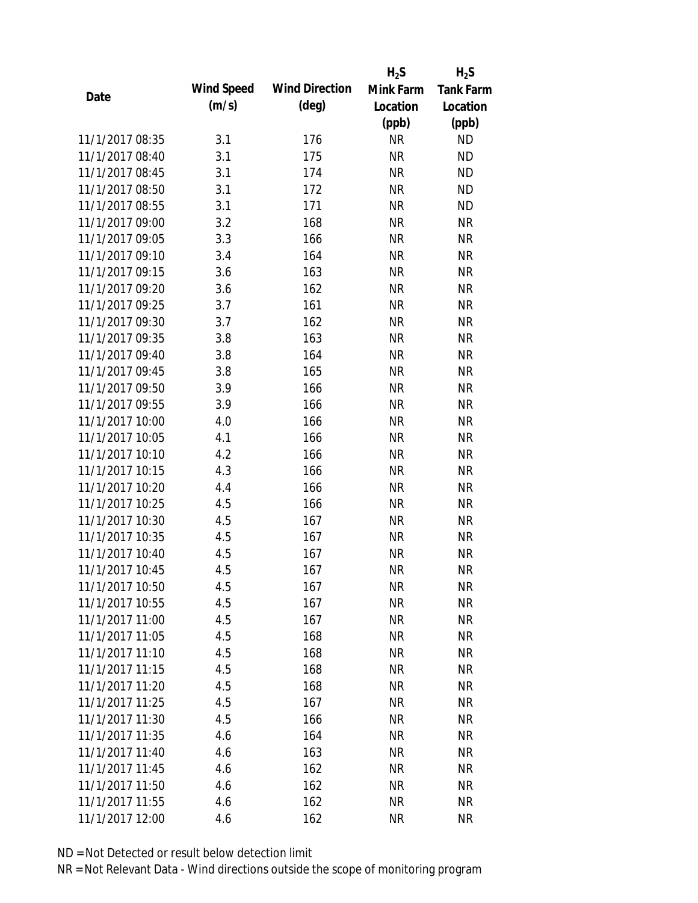|                 |            |                       | $H_2S$    | $H_2S$           |
|-----------------|------------|-----------------------|-----------|------------------|
|                 | Wind Speed | <b>Wind Direction</b> | Mink Farm | <b>Tank Farm</b> |
| Date            | (m/s)      | $(\text{deg})$        | Location  | Location         |
|                 |            |                       | (ppb)     | (ppb)            |
| 11/1/2017 08:35 | 3.1        | 176                   | <b>NR</b> | <b>ND</b>        |
| 11/1/2017 08:40 | 3.1        | 175                   | <b>NR</b> | <b>ND</b>        |
| 11/1/2017 08:45 | 3.1        | 174                   | <b>NR</b> | <b>ND</b>        |
| 11/1/2017 08:50 | 3.1        | 172                   | <b>NR</b> | <b>ND</b>        |
| 11/1/2017 08:55 | 3.1        | 171                   | <b>NR</b> | <b>ND</b>        |
| 11/1/2017 09:00 | 3.2        | 168                   | <b>NR</b> | <b>NR</b>        |
| 11/1/2017 09:05 | 3.3        | 166                   | <b>NR</b> | <b>NR</b>        |
| 11/1/2017 09:10 | 3.4        | 164                   | <b>NR</b> | <b>NR</b>        |
| 11/1/2017 09:15 | 3.6        | 163                   | <b>NR</b> | <b>NR</b>        |
| 11/1/2017 09:20 | 3.6        | 162                   | <b>NR</b> | <b>NR</b>        |
| 11/1/2017 09:25 | 3.7        | 161                   | <b>NR</b> | <b>NR</b>        |
| 11/1/2017 09:30 | 3.7        | 162                   | <b>NR</b> | <b>NR</b>        |
| 11/1/2017 09:35 | 3.8        | 163                   | <b>NR</b> | <b>NR</b>        |
| 11/1/2017 09:40 | 3.8        | 164                   | <b>NR</b> | <b>NR</b>        |
| 11/1/2017 09:45 | 3.8        | 165                   | <b>NR</b> | <b>NR</b>        |
| 11/1/2017 09:50 | 3.9        | 166                   | <b>NR</b> | <b>NR</b>        |
| 11/1/2017 09:55 | 3.9        | 166                   | <b>NR</b> | <b>NR</b>        |
| 11/1/2017 10:00 | 4.0        | 166                   | <b>NR</b> | <b>NR</b>        |
| 11/1/2017 10:05 | 4.1        | 166                   | <b>NR</b> | <b>NR</b>        |
| 11/1/2017 10:10 | 4.2        | 166                   | <b>NR</b> | <b>NR</b>        |
| 11/1/2017 10:15 | 4.3        | 166                   | <b>NR</b> | <b>NR</b>        |
| 11/1/2017 10:20 | 4.4        | 166                   | <b>NR</b> | <b>NR</b>        |
| 11/1/2017 10:25 | 4.5        | 166                   | <b>NR</b> | <b>NR</b>        |
| 11/1/2017 10:30 | 4.5        | 167                   | <b>NR</b> | <b>NR</b>        |
| 11/1/2017 10:35 | 4.5        | 167                   | <b>NR</b> | <b>NR</b>        |
| 11/1/2017 10:40 | 4.5        | 167                   | <b>NR</b> | <b>NR</b>        |
| 11/1/2017 10:45 | 4.5        | 167                   | <b>NR</b> | <b>NR</b>        |
| 11/1/2017 10:50 | 4.5        | 167                   | NR        | NR               |
| 11/1/2017 10:55 | 4.5        | 167                   | <b>NR</b> | <b>NR</b>        |
| 11/1/2017 11:00 | 4.5        | 167                   | NR        | <b>NR</b>        |
| 11/1/2017 11:05 | 4.5        | 168                   | <b>NR</b> | <b>NR</b>        |
| 11/1/2017 11:10 | 4.5        | 168                   | <b>NR</b> | NR               |
| 11/1/2017 11:15 | 4.5        | 168                   | <b>NR</b> | <b>NR</b>        |
| 11/1/2017 11:20 | 4.5        | 168                   | <b>NR</b> | <b>NR</b>        |
| 11/1/2017 11:25 | 4.5        | 167                   | <b>NR</b> | <b>NR</b>        |
| 11/1/2017 11:30 | 4.5        | 166                   | <b>NR</b> | <b>NR</b>        |
| 11/1/2017 11:35 | 4.6        | 164                   | <b>NR</b> | NR               |
| 11/1/2017 11:40 | 4.6        | 163                   | NR        | <b>NR</b>        |
| 11/1/2017 11:45 | 4.6        | 162                   | <b>NR</b> | NR               |
| 11/1/2017 11:50 | 4.6        | 162                   | NR        | NR               |
| 11/1/2017 11:55 | 4.6        | 162                   | <b>NR</b> | <b>NR</b>        |
| 11/1/2017 12:00 | 4.6        | 162                   | <b>NR</b> | <b>NR</b>        |
|                 |            |                       |           |                  |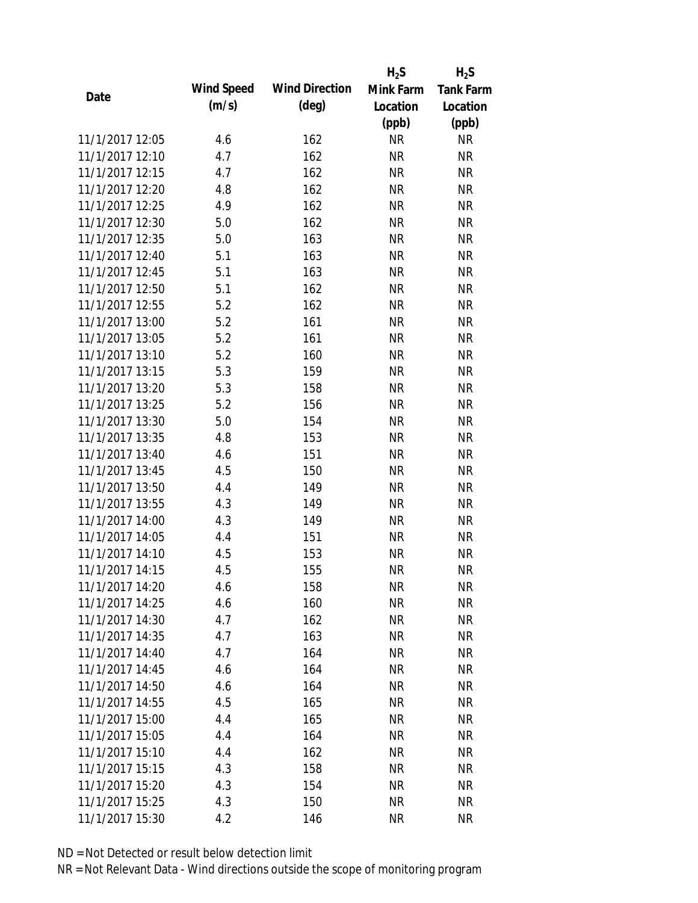|                 |            |                       | $H_2S$    | $H_2S$           |
|-----------------|------------|-----------------------|-----------|------------------|
|                 | Wind Speed | <b>Wind Direction</b> | Mink Farm | <b>Tank Farm</b> |
| Date            | (m/s)      | $(\text{deg})$        | Location  | Location         |
|                 |            |                       | (ppb)     | (ppb)            |
| 11/1/2017 12:05 | 4.6        | 162                   | <b>NR</b> | <b>NR</b>        |
| 11/1/2017 12:10 | 4.7        | 162                   | <b>NR</b> | <b>NR</b>        |
| 11/1/2017 12:15 | 4.7        | 162                   | <b>NR</b> | <b>NR</b>        |
| 11/1/2017 12:20 | 4.8        | 162                   | <b>NR</b> | <b>NR</b>        |
| 11/1/2017 12:25 | 4.9        | 162                   | <b>NR</b> | <b>NR</b>        |
| 11/1/2017 12:30 | 5.0        | 162                   | <b>NR</b> | <b>NR</b>        |
| 11/1/2017 12:35 | 5.0        | 163                   | <b>NR</b> | <b>NR</b>        |
| 11/1/2017 12:40 | 5.1        | 163                   | <b>NR</b> | <b>NR</b>        |
| 11/1/2017 12:45 | 5.1        | 163                   | <b>NR</b> | <b>NR</b>        |
| 11/1/2017 12:50 | 5.1        | 162                   | <b>NR</b> | <b>NR</b>        |
| 11/1/2017 12:55 | 5.2        | 162                   | <b>NR</b> | <b>NR</b>        |
| 11/1/2017 13:00 | 5.2        | 161                   | <b>NR</b> | <b>NR</b>        |
| 11/1/2017 13:05 | 5.2        | 161                   | <b>NR</b> | <b>NR</b>        |
| 11/1/2017 13:10 | 5.2        | 160                   | <b>NR</b> | <b>NR</b>        |
| 11/1/2017 13:15 | 5.3        | 159                   | <b>NR</b> | <b>NR</b>        |
| 11/1/2017 13:20 | 5.3        | 158                   | <b>NR</b> | <b>NR</b>        |
| 11/1/2017 13:25 | 5.2        | 156                   | <b>NR</b> | <b>NR</b>        |
| 11/1/2017 13:30 | 5.0        | 154                   | <b>NR</b> | <b>NR</b>        |
| 11/1/2017 13:35 | 4.8        | 153                   | <b>NR</b> | <b>NR</b>        |
| 11/1/2017 13:40 | 4.6        | 151                   | <b>NR</b> | <b>NR</b>        |
| 11/1/2017 13:45 | 4.5        | 150                   | <b>NR</b> | <b>NR</b>        |
| 11/1/2017 13:50 | 4.4        | 149                   | <b>NR</b> | <b>NR</b>        |
| 11/1/2017 13:55 | 4.3        | 149                   | <b>NR</b> | <b>NR</b>        |
| 11/1/2017 14:00 | 4.3        | 149                   | <b>NR</b> | <b>NR</b>        |
| 11/1/2017 14:05 | 4.4        | 151                   | <b>NR</b> | <b>NR</b>        |
| 11/1/2017 14:10 | 4.5        | 153                   | <b>NR</b> | <b>NR</b>        |
| 11/1/2017 14:15 | 4.5        | 155                   | <b>NR</b> | <b>NR</b>        |
| 11/1/2017 14:20 | 4.6        | 158                   | <b>NR</b> | NR               |
| 11/1/2017 14:25 | 4.6        | 160                   | <b>NR</b> | <b>NR</b>        |
| 11/1/2017 14:30 | 4.7        | 162                   | NR        | <b>NR</b>        |
| 11/1/2017 14:35 | 4.7        | 163                   | <b>NR</b> | <b>NR</b>        |
| 11/1/2017 14:40 | 4.7        | 164                   | <b>NR</b> | NR               |
| 11/1/2017 14:45 | 4.6        | 164                   | <b>NR</b> | <b>NR</b>        |
| 11/1/2017 14:50 | 4.6        | 164                   | <b>NR</b> | <b>NR</b>        |
| 11/1/2017 14:55 | 4.5        | 165                   | <b>NR</b> | <b>NR</b>        |
| 11/1/2017 15:00 | 4.4        | 165                   | <b>NR</b> | <b>NR</b>        |
| 11/1/2017 15:05 | 4.4        | 164                   | <b>NR</b> | NR               |
| 11/1/2017 15:10 | 4.4        | 162                   | NR        | <b>NR</b>        |
| 11/1/2017 15:15 | 4.3        | 158                   | <b>NR</b> | NR               |
| 11/1/2017 15:20 | 4.3        | 154                   | NR        | NR               |
| 11/1/2017 15:25 | 4.3        | 150                   | <b>NR</b> | <b>NR</b>        |
| 11/1/2017 15:30 | 4.2        | 146                   | <b>NR</b> | <b>NR</b>        |
|                 |            |                       |           |                  |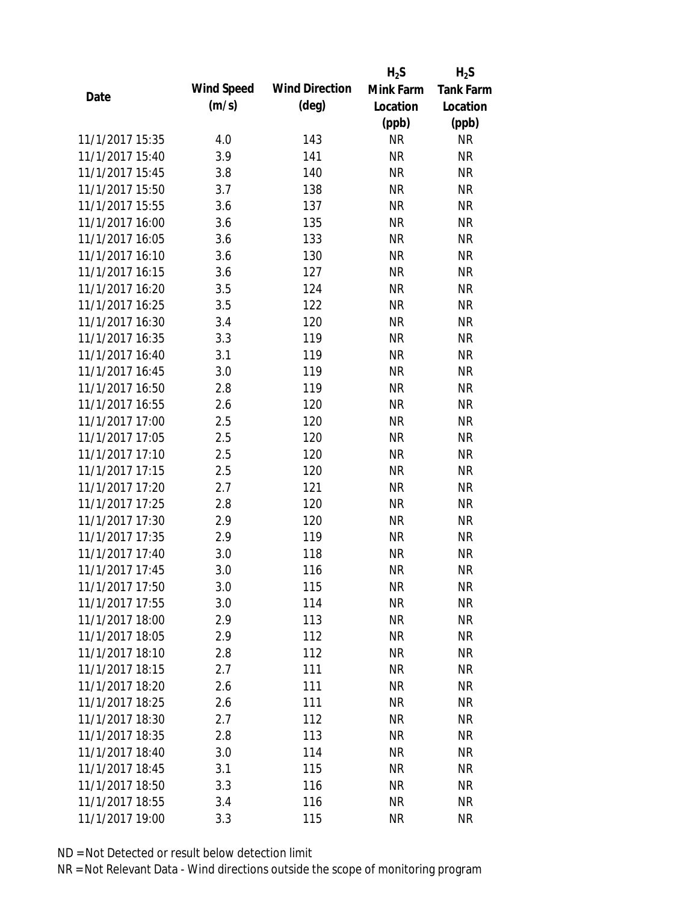|                 |            |                       | $H_2S$    | $H_2S$           |
|-----------------|------------|-----------------------|-----------|------------------|
| Date            | Wind Speed | <b>Wind Direction</b> | Mink Farm | <b>Tank Farm</b> |
|                 | (m/s)      | $(\text{deg})$        | Location  | Location         |
|                 |            |                       | (ppb)     | (ppb)            |
| 11/1/2017 15:35 | 4.0        | 143                   | <b>NR</b> | <b>NR</b>        |
| 11/1/2017 15:40 | 3.9        | 141                   | <b>NR</b> | <b>NR</b>        |
| 11/1/2017 15:45 | 3.8        | 140                   | <b>NR</b> | <b>NR</b>        |
| 11/1/2017 15:50 | 3.7        | 138                   | <b>NR</b> | <b>NR</b>        |
| 11/1/2017 15:55 | 3.6        | 137                   | <b>NR</b> | <b>NR</b>        |
| 11/1/2017 16:00 | 3.6        | 135                   | <b>NR</b> | <b>NR</b>        |
| 11/1/2017 16:05 | 3.6        | 133                   | <b>NR</b> | <b>NR</b>        |
| 11/1/2017 16:10 | 3.6        | 130                   | <b>NR</b> | <b>NR</b>        |
| 11/1/2017 16:15 | 3.6        | 127                   | <b>NR</b> | <b>NR</b>        |
| 11/1/2017 16:20 | 3.5        | 124                   | <b>NR</b> | <b>NR</b>        |
| 11/1/2017 16:25 | 3.5        | 122                   | <b>NR</b> | <b>NR</b>        |
| 11/1/2017 16:30 | 3.4        | 120                   | <b>NR</b> | <b>NR</b>        |
| 11/1/2017 16:35 | 3.3        | 119                   | <b>NR</b> | <b>NR</b>        |
| 11/1/2017 16:40 | 3.1        | 119                   | <b>NR</b> | <b>NR</b>        |
| 11/1/2017 16:45 | 3.0        | 119                   | <b>NR</b> | <b>NR</b>        |
| 11/1/2017 16:50 | 2.8        | 119                   | <b>NR</b> | <b>NR</b>        |
| 11/1/2017 16:55 | 2.6        | 120                   | <b>NR</b> | <b>NR</b>        |
| 11/1/2017 17:00 | 2.5        | 120                   | <b>NR</b> | <b>NR</b>        |
| 11/1/2017 17:05 | 2.5        | 120                   | <b>NR</b> | <b>NR</b>        |
| 11/1/2017 17:10 | 2.5        | 120                   | <b>NR</b> | <b>NR</b>        |
| 11/1/2017 17:15 | 2.5        | 120                   | <b>NR</b> | <b>NR</b>        |
| 11/1/2017 17:20 | 2.7        | 121                   | <b>NR</b> | <b>NR</b>        |
| 11/1/2017 17:25 | 2.8        | 120                   | <b>NR</b> | <b>NR</b>        |
| 11/1/2017 17:30 | 2.9        | 120                   | <b>NR</b> | <b>NR</b>        |
| 11/1/2017 17:35 | 2.9        | 119                   | <b>NR</b> | <b>NR</b>        |
| 11/1/2017 17:40 | 3.0        | 118                   | <b>NR</b> | <b>NR</b>        |
| 11/1/2017 17:45 | 3.0        | 116                   | <b>NR</b> | <b>NR</b>        |
| 11/1/2017 17:50 | 3.0        | 115                   | <b>NR</b> | NR               |
| 11/1/2017 17:55 | 3.0        | 114                   | <b>NR</b> | <b>NR</b>        |
| 11/1/2017 18:00 | 2.9        | 113                   | <b>NR</b> | <b>NR</b>        |
| 11/1/2017 18:05 | 2.9        | 112                   | <b>NR</b> | <b>NR</b>        |
| 11/1/2017 18:10 | 2.8        | 112                   | <b>NR</b> | NR               |
| 11/1/2017 18:15 | 2.7        | 111                   | <b>NR</b> | <b>NR</b>        |
| 11/1/2017 18:20 | 2.6        | 111                   | <b>NR</b> | <b>NR</b>        |
| 11/1/2017 18:25 | 2.6        | 111                   | <b>NR</b> | <b>NR</b>        |
| 11/1/2017 18:30 | 2.7        | 112                   | <b>NR</b> | <b>NR</b>        |
| 11/1/2017 18:35 | 2.8        | 113                   | NR        | <b>NR</b>        |
| 11/1/2017 18:40 | 3.0        | 114                   | NR        | <b>NR</b>        |
| 11/1/2017 18:45 | 3.1        | 115                   | <b>NR</b> | <b>NR</b>        |
| 11/1/2017 18:50 | 3.3        | 116                   | NR        | <b>NR</b>        |
| 11/1/2017 18:55 | 3.4        | 116                   | <b>NR</b> | <b>NR</b>        |
| 11/1/2017 19:00 | 3.3        | 115                   | <b>NR</b> | <b>NR</b>        |
|                 |            |                       |           |                  |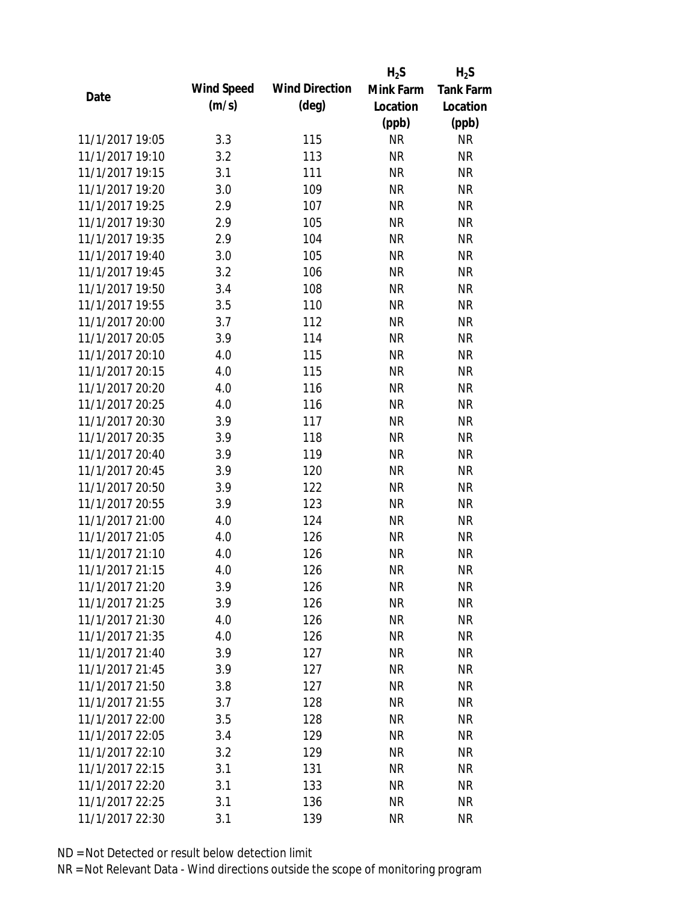|                 |            |                       | $H_2S$    | $H_2S$           |
|-----------------|------------|-----------------------|-----------|------------------|
| Date            | Wind Speed | <b>Wind Direction</b> | Mink Farm | <b>Tank Farm</b> |
|                 | (m/s)      | $(\text{deg})$        | Location  | Location         |
|                 |            |                       | (ppb)     | (ppb)            |
| 11/1/2017 19:05 | 3.3        | 115                   | <b>NR</b> | <b>NR</b>        |
| 11/1/2017 19:10 | 3.2        | 113                   | <b>NR</b> | <b>NR</b>        |
| 11/1/2017 19:15 | 3.1        | 111                   | <b>NR</b> | <b>NR</b>        |
| 11/1/2017 19:20 | 3.0        | 109                   | <b>NR</b> | <b>NR</b>        |
| 11/1/2017 19:25 | 2.9        | 107                   | <b>NR</b> | <b>NR</b>        |
| 11/1/2017 19:30 | 2.9        | 105                   | <b>NR</b> | <b>NR</b>        |
| 11/1/2017 19:35 | 2.9        | 104                   | <b>NR</b> | <b>NR</b>        |
| 11/1/2017 19:40 | 3.0        | 105                   | <b>NR</b> | <b>NR</b>        |
| 11/1/2017 19:45 | 3.2        | 106                   | <b>NR</b> | <b>NR</b>        |
| 11/1/2017 19:50 | 3.4        | 108                   | <b>NR</b> | <b>NR</b>        |
| 11/1/2017 19:55 | 3.5        | 110                   | <b>NR</b> | <b>NR</b>        |
| 11/1/2017 20:00 | 3.7        | 112                   | <b>NR</b> | <b>NR</b>        |
| 11/1/2017 20:05 | 3.9        | 114                   | <b>NR</b> | <b>NR</b>        |
| 11/1/2017 20:10 | 4.0        | 115                   | <b>NR</b> | <b>NR</b>        |
| 11/1/2017 20:15 | 4.0        | 115                   | <b>NR</b> | <b>NR</b>        |
| 11/1/2017 20:20 | 4.0        | 116                   | <b>NR</b> | <b>NR</b>        |
| 11/1/2017 20:25 | 4.0        | 116                   | <b>NR</b> | <b>NR</b>        |
| 11/1/2017 20:30 | 3.9        | 117                   | <b>NR</b> | <b>NR</b>        |
| 11/1/2017 20:35 | 3.9        | 118                   | <b>NR</b> | <b>NR</b>        |
| 11/1/2017 20:40 | 3.9        | 119                   | <b>NR</b> | <b>NR</b>        |
| 11/1/2017 20:45 | 3.9        | 120                   | <b>NR</b> | <b>NR</b>        |
| 11/1/2017 20:50 | 3.9        | 122                   | <b>NR</b> | <b>NR</b>        |
| 11/1/2017 20:55 | 3.9        | 123                   | <b>NR</b> | <b>NR</b>        |
| 11/1/2017 21:00 | 4.0        | 124                   | <b>NR</b> | <b>NR</b>        |
| 11/1/2017 21:05 | 4.0        | 126                   | <b>NR</b> | <b>NR</b>        |
| 11/1/2017 21:10 | 4.0        | 126                   | <b>NR</b> | <b>NR</b>        |
| 11/1/2017 21:15 | 4.0        | 126                   | <b>NR</b> | <b>NR</b>        |
| 11/1/2017 21:20 | 3.9        | 126                   | <b>NR</b> | <b>NR</b>        |
| 11/1/2017 21:25 | 3.9        | 126                   | <b>NR</b> | <b>NR</b>        |
| 11/1/2017 21:30 | 4.0        | 126                   | <b>NR</b> | <b>NR</b>        |
| 11/1/2017 21:35 | 4.0        | 126                   | <b>NR</b> | <b>NR</b>        |
| 11/1/2017 21:40 | 3.9        | 127                   | <b>NR</b> | <b>NR</b>        |
| 11/1/2017 21:45 | 3.9        | 127                   | <b>NR</b> | <b>NR</b>        |
| 11/1/2017 21:50 | 3.8        | 127                   | <b>NR</b> | <b>NR</b>        |
| 11/1/2017 21:55 | 3.7        | 128                   | <b>NR</b> | <b>NR</b>        |
| 11/1/2017 22:00 | 3.5        | 128                   | <b>NR</b> | <b>NR</b>        |
| 11/1/2017 22:05 | 3.4        | 129                   | <b>NR</b> | <b>NR</b>        |
| 11/1/2017 22:10 | 3.2        | 129                   | <b>NR</b> | <b>NR</b>        |
| 11/1/2017 22:15 | 3.1        | 131                   | <b>NR</b> | <b>NR</b>        |
| 11/1/2017 22:20 | 3.1        | 133                   | <b>NR</b> | NR               |
| 11/1/2017 22:25 | 3.1        | 136                   | <b>NR</b> | <b>NR</b>        |
| 11/1/2017 22:30 | 3.1        | 139                   | <b>NR</b> | <b>NR</b>        |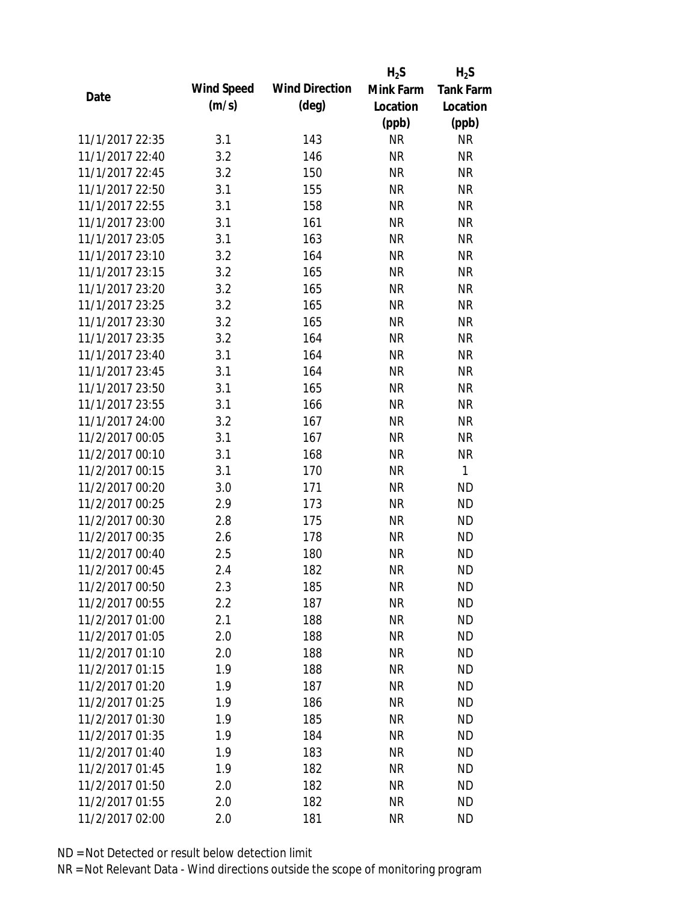|                 |            |                       | $H_2S$    | $H_2S$           |
|-----------------|------------|-----------------------|-----------|------------------|
| Date            | Wind Speed | <b>Wind Direction</b> | Mink Farm | <b>Tank Farm</b> |
|                 | (m/s)      | $(\text{deg})$        | Location  | Location         |
|                 |            |                       | (ppb)     | (ppb)            |
| 11/1/2017 22:35 | 3.1        | 143                   | <b>NR</b> | <b>NR</b>        |
| 11/1/2017 22:40 | 3.2        | 146                   | <b>NR</b> | <b>NR</b>        |
| 11/1/2017 22:45 | 3.2        | 150                   | <b>NR</b> | <b>NR</b>        |
| 11/1/2017 22:50 | 3.1        | 155                   | <b>NR</b> | <b>NR</b>        |
| 11/1/2017 22:55 | 3.1        | 158                   | <b>NR</b> | <b>NR</b>        |
| 11/1/2017 23:00 | 3.1        | 161                   | <b>NR</b> | <b>NR</b>        |
| 11/1/2017 23:05 | 3.1        | 163                   | <b>NR</b> | <b>NR</b>        |
| 11/1/2017 23:10 | 3.2        | 164                   | <b>NR</b> | <b>NR</b>        |
| 11/1/2017 23:15 | 3.2        | 165                   | <b>NR</b> | <b>NR</b>        |
| 11/1/2017 23:20 | 3.2        | 165                   | <b>NR</b> | <b>NR</b>        |
| 11/1/2017 23:25 | 3.2        | 165                   | <b>NR</b> | <b>NR</b>        |
| 11/1/2017 23:30 | 3.2        | 165                   | <b>NR</b> | <b>NR</b>        |
| 11/1/2017 23:35 | 3.2        | 164                   | <b>NR</b> | <b>NR</b>        |
| 11/1/2017 23:40 | 3.1        | 164                   | <b>NR</b> | <b>NR</b>        |
| 11/1/2017 23:45 | 3.1        | 164                   | <b>NR</b> | <b>NR</b>        |
| 11/1/2017 23:50 | 3.1        | 165                   | <b>NR</b> | <b>NR</b>        |
| 11/1/2017 23:55 | 3.1        | 166                   | <b>NR</b> | <b>NR</b>        |
| 11/1/2017 24:00 | 3.2        | 167                   | <b>NR</b> | <b>NR</b>        |
| 11/2/2017 00:05 | 3.1        | 167                   | <b>NR</b> | <b>NR</b>        |
| 11/2/2017 00:10 | 3.1        | 168                   | <b>NR</b> | <b>NR</b>        |
| 11/2/2017 00:15 | 3.1        | 170                   | <b>NR</b> | 1                |
| 11/2/2017 00:20 | 3.0        | 171                   | <b>NR</b> | <b>ND</b>        |
| 11/2/2017 00:25 | 2.9        | 173                   | <b>NR</b> | <b>ND</b>        |
| 11/2/2017 00:30 | 2.8        | 175                   | <b>NR</b> | <b>ND</b>        |
| 11/2/2017 00:35 | 2.6        | 178                   | <b>NR</b> | <b>ND</b>        |
| 11/2/2017 00:40 | 2.5        | 180                   | <b>NR</b> | <b>ND</b>        |
| 11/2/2017 00:45 | 2.4        | 182                   | <b>NR</b> | <b>ND</b>        |
| 11/2/2017 00:50 | 2.3        | 185                   | <b>NR</b> | <b>ND</b>        |
| 11/2/2017 00:55 | 2.2        | 187                   | <b>NR</b> | <b>ND</b>        |
| 11/2/2017 01:00 | 2.1        | 188                   | NR        | <b>ND</b>        |
| 11/2/2017 01:05 | 2.0        | 188                   | <b>NR</b> | <b>ND</b>        |
| 11/2/2017 01:10 | 2.0        | 188                   | <b>NR</b> | <b>ND</b>        |
| 11/2/2017 01:15 | 1.9        | 188                   | <b>NR</b> | <b>ND</b>        |
| 11/2/2017 01:20 | 1.9        | 187                   | <b>NR</b> | <b>ND</b>        |
| 11/2/2017 01:25 | 1.9        | 186                   | <b>NR</b> | <b>ND</b>        |
| 11/2/2017 01:30 | 1.9        | 185                   | <b>NR</b> | <b>ND</b>        |
| 11/2/2017 01:35 | 1.9        | 184                   | <b>NR</b> | <b>ND</b>        |
| 11/2/2017 01:40 | 1.9        | 183                   | <b>NR</b> | <b>ND</b>        |
| 11/2/2017 01:45 | 1.9        | 182                   | <b>NR</b> | <b>ND</b>        |
| 11/2/2017 01:50 | 2.0        | 182                   | <b>NR</b> | <b>ND</b>        |
| 11/2/2017 01:55 | 2.0        | 182                   | <b>NR</b> | <b>ND</b>        |
| 11/2/2017 02:00 | 2.0        | 181                   | <b>NR</b> | <b>ND</b>        |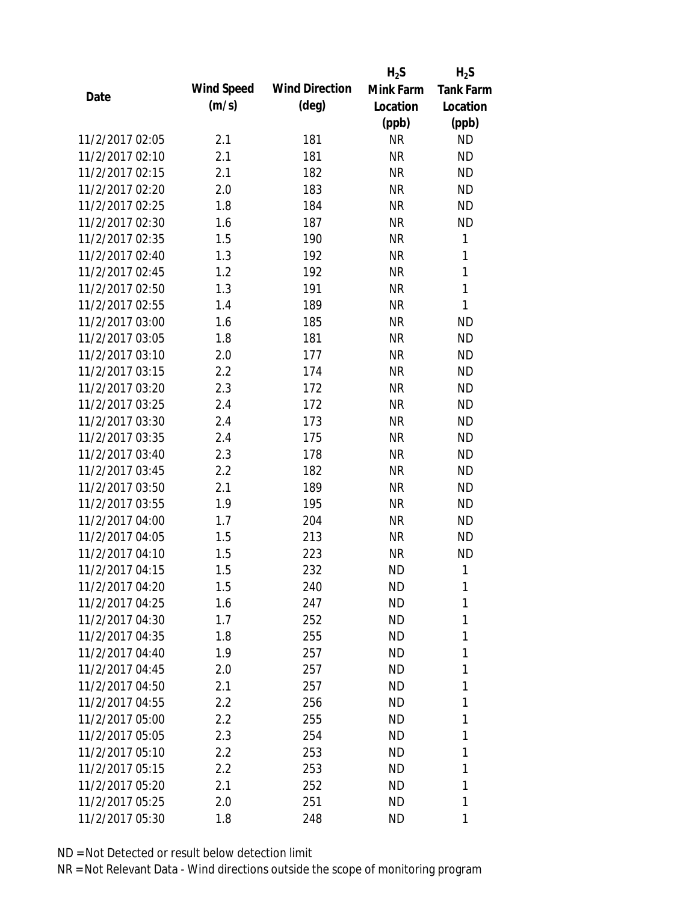|                 |                   |                       | $H_2S$    | $H_2S$           |
|-----------------|-------------------|-----------------------|-----------|------------------|
| Date            | <b>Wind Speed</b> | <b>Wind Direction</b> | Mink Farm | <b>Tank Farm</b> |
|                 | (m/s)             | $(\text{deg})$        | Location  | Location         |
|                 |                   |                       | (ppb)     | (ppb)            |
| 11/2/2017 02:05 | 2.1               | 181                   | <b>NR</b> | <b>ND</b>        |
| 11/2/2017 02:10 | 2.1               | 181                   | <b>NR</b> | <b>ND</b>        |
| 11/2/2017 02:15 | 2.1               | 182                   | <b>NR</b> | <b>ND</b>        |
| 11/2/2017 02:20 | 2.0               | 183                   | <b>NR</b> | <b>ND</b>        |
| 11/2/2017 02:25 | 1.8               | 184                   | <b>NR</b> | <b>ND</b>        |
| 11/2/2017 02:30 | 1.6               | 187                   | <b>NR</b> | <b>ND</b>        |
| 11/2/2017 02:35 | 1.5               | 190                   | <b>NR</b> | 1                |
| 11/2/2017 02:40 | 1.3               | 192                   | <b>NR</b> | 1                |
| 11/2/2017 02:45 | 1.2               | 192                   | <b>NR</b> | $\mathbf{1}$     |
| 11/2/2017 02:50 | 1.3               | 191                   | <b>NR</b> | $\mathbf{1}$     |
| 11/2/2017 02:55 | 1.4               | 189                   | <b>NR</b> | 1                |
| 11/2/2017 03:00 | 1.6               | 185                   | <b>NR</b> | <b>ND</b>        |
| 11/2/2017 03:05 | 1.8               | 181                   | <b>NR</b> | <b>ND</b>        |
| 11/2/2017 03:10 | 2.0               | 177                   | <b>NR</b> | <b>ND</b>        |
| 11/2/2017 03:15 | 2.2               | 174                   | <b>NR</b> | <b>ND</b>        |
| 11/2/2017 03:20 | 2.3               | 172                   | <b>NR</b> | <b>ND</b>        |
| 11/2/2017 03:25 | 2.4               | 172                   | <b>NR</b> | <b>ND</b>        |
| 11/2/2017 03:30 | 2.4               | 173                   | <b>NR</b> | <b>ND</b>        |
| 11/2/2017 03:35 | 2.4               | 175                   | <b>NR</b> | <b>ND</b>        |
| 11/2/2017 03:40 | 2.3               | 178                   | <b>NR</b> | <b>ND</b>        |
| 11/2/2017 03:45 | 2.2               | 182                   | <b>NR</b> | <b>ND</b>        |
| 11/2/2017 03:50 | 2.1               | 189                   | <b>NR</b> | <b>ND</b>        |
| 11/2/2017 03:55 | 1.9               | 195                   | <b>NR</b> | <b>ND</b>        |
| 11/2/2017 04:00 | 1.7               | 204                   | <b>NR</b> | <b>ND</b>        |
| 11/2/2017 04:05 | 1.5               | 213                   | <b>NR</b> | <b>ND</b>        |
| 11/2/2017 04:10 | 1.5               | 223                   | <b>NR</b> | <b>ND</b>        |
| 11/2/2017 04:15 | 1.5               | 232                   | <b>ND</b> | 1                |
| 11/2/2017 04:20 | 1.5               | 240                   | ND        | 1                |
| 11/2/2017 04:25 | 1.6               | 247                   | <b>ND</b> | 1                |
| 11/2/2017 04:30 | 1.7               | 252                   | ND        | 1                |
| 11/2/2017 04:35 | 1.8               | 255                   | <b>ND</b> | 1                |
| 11/2/2017 04:40 | 1.9               | 257                   | <b>ND</b> | 1                |
| 11/2/2017 04:45 | 2.0               | 257                   | <b>ND</b> | 1                |
| 11/2/2017 04:50 | 2.1               | 257                   | <b>ND</b> | 1                |
| 11/2/2017 04:55 | 2.2               | 256                   | ND        | 1                |
| 11/2/2017 05:00 | 2.2               | 255                   | <b>ND</b> | 1                |
| 11/2/2017 05:05 | 2.3               | 254                   | ND        | 1                |
| 11/2/2017 05:10 | 2.2               | 253                   | ND        | 1                |
| 11/2/2017 05:15 | 2.2               | 253                   | <b>ND</b> | 1                |
| 11/2/2017 05:20 | 2.1               | 252                   | <b>ND</b> | 1                |
| 11/2/2017 05:25 | 2.0               | 251                   | <b>ND</b> | 1                |
| 11/2/2017 05:30 | 1.8               | 248                   | ND        | 1                |
|                 |                   |                       |           |                  |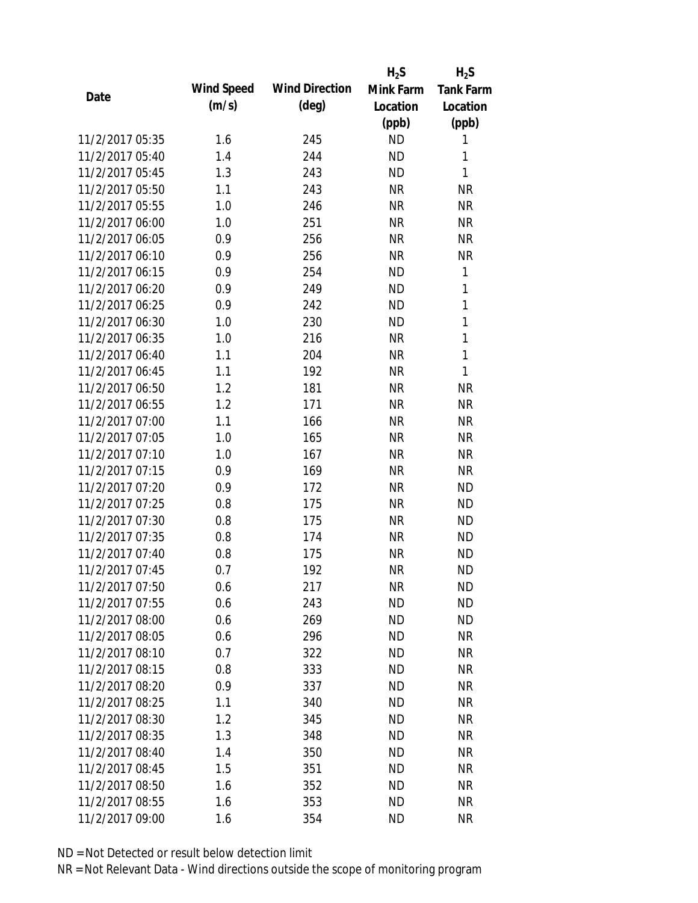|                 |            |                       | $H_2S$    | $H_2S$           |
|-----------------|------------|-----------------------|-----------|------------------|
| Date            | Wind Speed | <b>Wind Direction</b> | Mink Farm | <b>Tank Farm</b> |
|                 | (m/s)      | $(\text{deg})$        | Location  | Location         |
|                 |            |                       | (ppb)     | (ppb)            |
| 11/2/2017 05:35 | 1.6        | 245                   | <b>ND</b> | 1                |
| 11/2/2017 05:40 | 1.4        | 244                   | <b>ND</b> | 1                |
| 11/2/2017 05:45 | 1.3        | 243                   | <b>ND</b> | 1                |
| 11/2/2017 05:50 | 1.1        | 243                   | <b>NR</b> | <b>NR</b>        |
| 11/2/2017 05:55 | 1.0        | 246                   | <b>NR</b> | <b>NR</b>        |
| 11/2/2017 06:00 | 1.0        | 251                   | <b>NR</b> | <b>NR</b>        |
| 11/2/2017 06:05 | 0.9        | 256                   | <b>NR</b> | <b>NR</b>        |
| 11/2/2017 06:10 | 0.9        | 256                   | <b>NR</b> | <b>NR</b>        |
| 11/2/2017 06:15 | 0.9        | 254                   | <b>ND</b> | 1                |
| 11/2/2017 06:20 | 0.9        | 249                   | <b>ND</b> | 1                |
| 11/2/2017 06:25 | 0.9        | 242                   | <b>ND</b> | 1                |
| 11/2/2017 06:30 | 1.0        | 230                   | <b>ND</b> | 1                |
| 11/2/2017 06:35 | 1.0        | 216                   | <b>NR</b> | 1                |
| 11/2/2017 06:40 | 1.1        | 204                   | <b>NR</b> | 1                |
| 11/2/2017 06:45 | 1.1        | 192                   | <b>NR</b> | 1                |
| 11/2/2017 06:50 | 1.2        | 181                   | <b>NR</b> | <b>NR</b>        |
| 11/2/2017 06:55 | 1.2        | 171                   | <b>NR</b> | <b>NR</b>        |
| 11/2/2017 07:00 | 1.1        | 166                   | <b>NR</b> | <b>NR</b>        |
| 11/2/2017 07:05 | 1.0        | 165                   | <b>NR</b> | <b>NR</b>        |
| 11/2/2017 07:10 | 1.0        | 167                   | <b>NR</b> | <b>NR</b>        |
| 11/2/2017 07:15 | 0.9        | 169                   | <b>NR</b> | <b>NR</b>        |
| 11/2/2017 07:20 | 0.9        | 172                   | <b>NR</b> | <b>ND</b>        |
| 11/2/2017 07:25 | 0.8        | 175                   | <b>NR</b> | <b>ND</b>        |
| 11/2/2017 07:30 | 0.8        | 175                   | <b>NR</b> | <b>ND</b>        |
| 11/2/2017 07:35 | 0.8        | 174                   | <b>NR</b> | <b>ND</b>        |
| 11/2/2017 07:40 | 0.8        | 175                   | <b>NR</b> | <b>ND</b>        |
| 11/2/2017 07:45 | 0.7        | 192                   | <b>NR</b> | <b>ND</b>        |
| 11/2/2017 07:50 | 0.6        | 217                   | <b>NR</b> | <b>ND</b>        |
| 11/2/2017 07:55 | 0.6        | 243                   | <b>ND</b> | <b>ND</b>        |
| 11/2/2017 08:00 | 0.6        | 269                   | ND        | <b>ND</b>        |
| 11/2/2017 08:05 | 0.6        | 296                   | <b>ND</b> | <b>NR</b>        |
| 11/2/2017 08:10 | 0.7        | 322                   | <b>ND</b> | <b>NR</b>        |
| 11/2/2017 08:15 | 0.8        | 333                   | <b>ND</b> | <b>NR</b>        |
| 11/2/2017 08:20 | 0.9        | 337                   | <b>ND</b> | <b>NR</b>        |
| 11/2/2017 08:25 | 1.1        | 340                   | <b>ND</b> | <b>NR</b>        |
| 11/2/2017 08:30 | 1.2        | 345                   | <b>ND</b> | <b>NR</b>        |
| 11/2/2017 08:35 | 1.3        | 348                   | <b>ND</b> | <b>NR</b>        |
| 11/2/2017 08:40 | 1.4        | 350                   | <b>ND</b> | <b>NR</b>        |
| 11/2/2017 08:45 | 1.5        | 351                   | <b>ND</b> | <b>NR</b>        |
| 11/2/2017 08:50 | 1.6        | 352                   | ND        | NR               |
| 11/2/2017 08:55 | 1.6        | 353                   | <b>ND</b> | <b>NR</b>        |
| 11/2/2017 09:00 | 1.6        | 354                   | <b>ND</b> | <b>NR</b>        |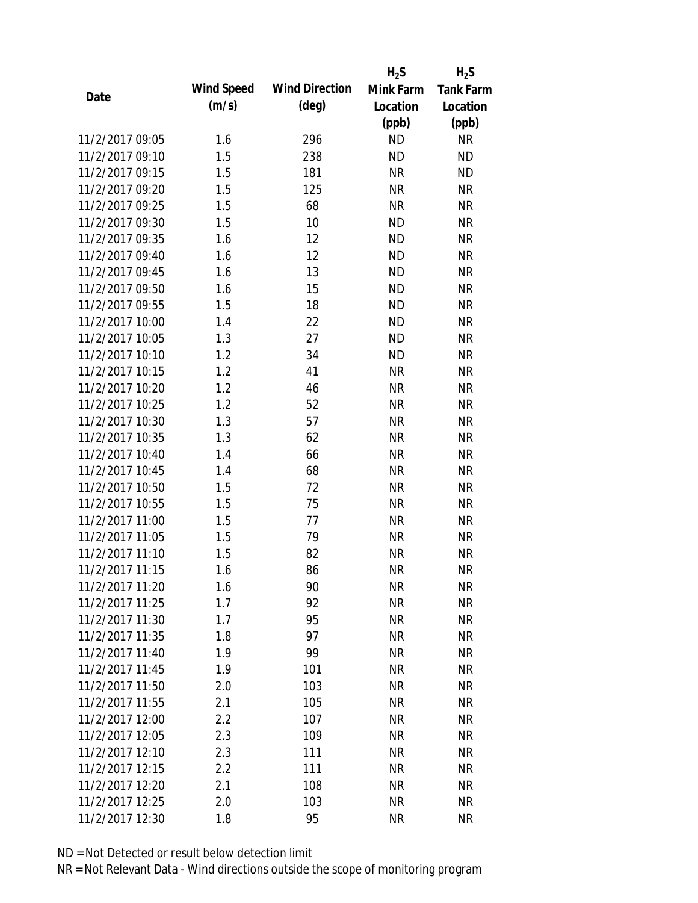|                 |            |                       | $H_2S$    | $H_2S$           |
|-----------------|------------|-----------------------|-----------|------------------|
| Date            | Wind Speed | <b>Wind Direction</b> | Mink Farm | <b>Tank Farm</b> |
|                 | (m/s)      | $(\text{deg})$        | Location  | Location         |
|                 |            |                       | (ppb)     | (ppb)            |
| 11/2/2017 09:05 | 1.6        | 296                   | <b>ND</b> | <b>NR</b>        |
| 11/2/2017 09:10 | 1.5        | 238                   | <b>ND</b> | <b>ND</b>        |
| 11/2/2017 09:15 | 1.5        | 181                   | <b>NR</b> | <b>ND</b>        |
| 11/2/2017 09:20 | 1.5        | 125                   | <b>NR</b> | <b>NR</b>        |
| 11/2/2017 09:25 | 1.5        | 68                    | <b>NR</b> | <b>NR</b>        |
| 11/2/2017 09:30 | 1.5        | 10                    | <b>ND</b> | <b>NR</b>        |
| 11/2/2017 09:35 | 1.6        | 12                    | <b>ND</b> | <b>NR</b>        |
| 11/2/2017 09:40 | 1.6        | 12                    | <b>ND</b> | <b>NR</b>        |
| 11/2/2017 09:45 | 1.6        | 13                    | <b>ND</b> | <b>NR</b>        |
| 11/2/2017 09:50 | 1.6        | 15                    | <b>ND</b> | <b>NR</b>        |
| 11/2/2017 09:55 | 1.5        | 18                    | <b>ND</b> | <b>NR</b>        |
| 11/2/2017 10:00 | 1.4        | 22                    | <b>ND</b> | <b>NR</b>        |
| 11/2/2017 10:05 | 1.3        | 27                    | <b>ND</b> | <b>NR</b>        |
| 11/2/2017 10:10 | 1.2        | 34                    | <b>ND</b> | <b>NR</b>        |
| 11/2/2017 10:15 | 1.2        | 41                    | <b>NR</b> | <b>NR</b>        |
| 11/2/2017 10:20 | 1.2        | 46                    | <b>NR</b> | <b>NR</b>        |
| 11/2/2017 10:25 | 1.2        | 52                    | <b>NR</b> | <b>NR</b>        |
| 11/2/2017 10:30 | 1.3        | 57                    | <b>NR</b> | <b>NR</b>        |
| 11/2/2017 10:35 | 1.3        | 62                    | <b>NR</b> | <b>NR</b>        |
| 11/2/2017 10:40 | 1.4        | 66                    | <b>NR</b> | <b>NR</b>        |
| 11/2/2017 10:45 | 1.4        | 68                    | <b>NR</b> | <b>NR</b>        |
| 11/2/2017 10:50 | 1.5        | 72                    | <b>NR</b> | <b>NR</b>        |
| 11/2/2017 10:55 | 1.5        | 75                    | <b>NR</b> | <b>NR</b>        |
| 11/2/2017 11:00 | 1.5        | 77                    | <b>NR</b> | <b>NR</b>        |
| 11/2/2017 11:05 | 1.5        | 79                    | <b>NR</b> | <b>NR</b>        |
| 11/2/2017 11:10 | 1.5        | 82                    | <b>NR</b> | <b>NR</b>        |
| 11/2/2017 11:15 | 1.6        | 86                    | <b>NR</b> | <b>NR</b>        |
| 11/2/2017 11:20 | 1.6        | 90                    | <b>NR</b> | NR               |
| 11/2/2017 11:25 | 1.7        | 92                    | <b>NR</b> | <b>NR</b>        |
| 11/2/2017 11:30 | 1.7        | 95                    | <b>NR</b> | <b>NR</b>        |
| 11/2/2017 11:35 | 1.8        | 97                    | <b>NR</b> | <b>NR</b>        |
| 11/2/2017 11:40 | 1.9        | 99                    | <b>NR</b> | <b>NR</b>        |
| 11/2/2017 11:45 | 1.9        | 101                   | <b>NR</b> | <b>NR</b>        |
| 11/2/2017 11:50 | 2.0        | 103                   | <b>NR</b> | <b>NR</b>        |
| 11/2/2017 11:55 | 2.1        | 105                   | <b>NR</b> | <b>NR</b>        |
| 11/2/2017 12:00 | 2.2        | 107                   | <b>NR</b> | <b>NR</b>        |
| 11/2/2017 12:05 | 2.3        | 109                   | <b>NR</b> | <b>NR</b>        |
| 11/2/2017 12:10 | 2.3        | 111                   | <b>NR</b> | <b>NR</b>        |
| 11/2/2017 12:15 | 2.2        | 111                   | <b>NR</b> | <b>NR</b>        |
| 11/2/2017 12:20 | 2.1        | 108                   | <b>NR</b> | <b>NR</b>        |
| 11/2/2017 12:25 | 2.0        | 103                   | <b>NR</b> | <b>NR</b>        |
| 11/2/2017 12:30 | 1.8        | 95                    | <b>NR</b> | <b>NR</b>        |
|                 |            |                       |           |                  |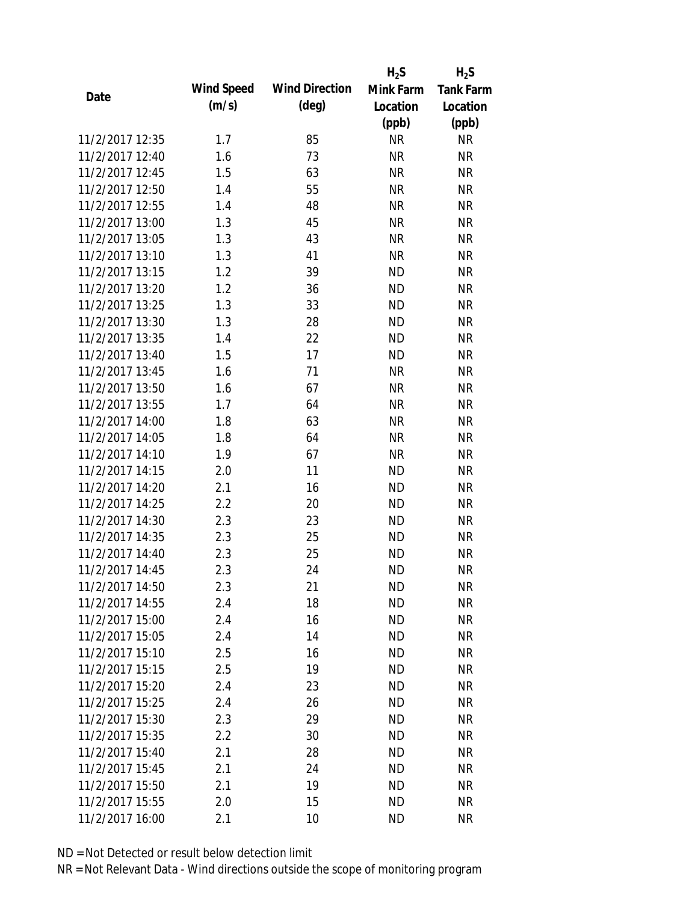|                 |            |                       | $H_2S$    | $H_2S$           |
|-----------------|------------|-----------------------|-----------|------------------|
| Date            | Wind Speed | <b>Wind Direction</b> | Mink Farm | <b>Tank Farm</b> |
|                 | (m/s)      | $(\text{deg})$        | Location  | Location         |
|                 |            |                       | (ppb)     | (ppb)            |
| 11/2/2017 12:35 | 1.7        | 85                    | <b>NR</b> | <b>NR</b>        |
| 11/2/2017 12:40 | 1.6        | 73                    | <b>NR</b> | <b>NR</b>        |
| 11/2/2017 12:45 | 1.5        | 63                    | <b>NR</b> | <b>NR</b>        |
| 11/2/2017 12:50 | 1.4        | 55                    | <b>NR</b> | <b>NR</b>        |
| 11/2/2017 12:55 | 1.4        | 48                    | <b>NR</b> | <b>NR</b>        |
| 11/2/2017 13:00 | 1.3        | 45                    | <b>NR</b> | <b>NR</b>        |
| 11/2/2017 13:05 | 1.3        | 43                    | <b>NR</b> | <b>NR</b>        |
| 11/2/2017 13:10 | 1.3        | 41                    | <b>NR</b> | <b>NR</b>        |
| 11/2/2017 13:15 | 1.2        | 39                    | <b>ND</b> | <b>NR</b>        |
| 11/2/2017 13:20 | 1.2        | 36                    | <b>ND</b> | <b>NR</b>        |
| 11/2/2017 13:25 | 1.3        | 33                    | <b>ND</b> | <b>NR</b>        |
| 11/2/2017 13:30 | 1.3        | 28                    | <b>ND</b> | <b>NR</b>        |
| 11/2/2017 13:35 | 1.4        | 22                    | <b>ND</b> | <b>NR</b>        |
| 11/2/2017 13:40 | 1.5        | 17                    | <b>ND</b> | <b>NR</b>        |
| 11/2/2017 13:45 | 1.6        | 71                    | <b>NR</b> | <b>NR</b>        |
| 11/2/2017 13:50 | 1.6        | 67                    | <b>NR</b> | <b>NR</b>        |
| 11/2/2017 13:55 | 1.7        | 64                    | <b>NR</b> | <b>NR</b>        |
| 11/2/2017 14:00 | 1.8        | 63                    | <b>NR</b> | <b>NR</b>        |
| 11/2/2017 14:05 | 1.8        | 64                    | <b>NR</b> | <b>NR</b>        |
| 11/2/2017 14:10 | 1.9        | 67                    | <b>NR</b> | <b>NR</b>        |
| 11/2/2017 14:15 | 2.0        | 11                    | <b>ND</b> | <b>NR</b>        |
| 11/2/2017 14:20 | 2.1        | 16                    | <b>ND</b> | <b>NR</b>        |
| 11/2/2017 14:25 | 2.2        | 20                    | <b>ND</b> | <b>NR</b>        |
| 11/2/2017 14:30 | 2.3        | 23                    | <b>ND</b> | <b>NR</b>        |
| 11/2/2017 14:35 | 2.3        | 25                    | <b>ND</b> | <b>NR</b>        |
| 11/2/2017 14:40 | 2.3        | 25                    | <b>ND</b> | <b>NR</b>        |
| 11/2/2017 14:45 | 2.3        | 24                    | <b>ND</b> | <b>NR</b>        |
| 11/2/2017 14:50 | 2.3        | 21                    | <b>ND</b> | NR               |
| 11/2/2017 14:55 | 2.4        | 18                    | <b>ND</b> | <b>NR</b>        |
| 11/2/2017 15:00 | 2.4        | 16                    | ND.       | <b>NR</b>        |
| 11/2/2017 15:05 | 2.4        | 14                    | <b>ND</b> | <b>NR</b>        |
| 11/2/2017 15:10 | 2.5        | 16                    | <b>ND</b> | <b>NR</b>        |
| 11/2/2017 15:15 | 2.5        | 19                    | <b>ND</b> | <b>NR</b>        |
| 11/2/2017 15:20 | 2.4        | 23                    | <b>ND</b> | <b>NR</b>        |
| 11/2/2017 15:25 | 2.4        | 26                    | <b>ND</b> | <b>NR</b>        |
| 11/2/2017 15:30 | 2.3        | 29                    | <b>ND</b> | <b>NR</b>        |
| 11/2/2017 15:35 | 2.2        | 30                    | <b>ND</b> | <b>NR</b>        |
| 11/2/2017 15:40 | 2.1        | 28                    | <b>ND</b> | <b>NR</b>        |
| 11/2/2017 15:45 | 2.1        | 24                    | <b>ND</b> | NR               |
| 11/2/2017 15:50 | 2.1        | 19                    | <b>ND</b> | NR               |
| 11/2/2017 15:55 | 2.0        | 15                    | <b>ND</b> | <b>NR</b>        |
| 11/2/2017 16:00 | 2.1        | 10                    | <b>ND</b> | <b>NR</b>        |
|                 |            |                       |           |                  |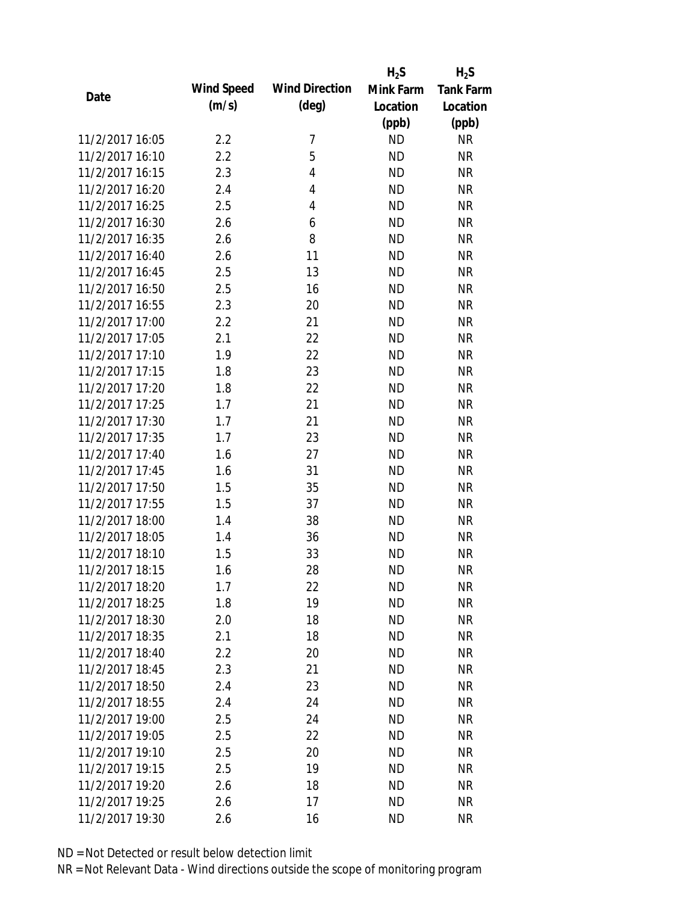|                 |            |                       | $H_2S$    | $H_2S$           |
|-----------------|------------|-----------------------|-----------|------------------|
| Date            | Wind Speed | <b>Wind Direction</b> | Mink Farm | <b>Tank Farm</b> |
|                 | (m/s)      | $(\text{deg})$        | Location  | Location         |
|                 |            |                       | (ppb)     | (ppb)            |
| 11/2/2017 16:05 | 2.2        | 7                     | <b>ND</b> | <b>NR</b>        |
| 11/2/2017 16:10 | 2.2        | 5                     | <b>ND</b> | <b>NR</b>        |
| 11/2/2017 16:15 | 2.3        | 4                     | <b>ND</b> | <b>NR</b>        |
| 11/2/2017 16:20 | 2.4        | 4                     | <b>ND</b> | <b>NR</b>        |
| 11/2/2017 16:25 | 2.5        | 4                     | <b>ND</b> | <b>NR</b>        |
| 11/2/2017 16:30 | 2.6        | 6                     | <b>ND</b> | <b>NR</b>        |
| 11/2/2017 16:35 | 2.6        | 8                     | <b>ND</b> | <b>NR</b>        |
| 11/2/2017 16:40 | 2.6        | 11                    | <b>ND</b> | <b>NR</b>        |
| 11/2/2017 16:45 | 2.5        | 13                    | <b>ND</b> | <b>NR</b>        |
| 11/2/2017 16:50 | 2.5        | 16                    | <b>ND</b> | <b>NR</b>        |
| 11/2/2017 16:55 | 2.3        | 20                    | <b>ND</b> | <b>NR</b>        |
| 11/2/2017 17:00 | 2.2        | 21                    | <b>ND</b> | <b>NR</b>        |
| 11/2/2017 17:05 | 2.1        | 22                    | <b>ND</b> | <b>NR</b>        |
| 11/2/2017 17:10 | 1.9        | 22                    | <b>ND</b> | <b>NR</b>        |
| 11/2/2017 17:15 | 1.8        | 23                    | <b>ND</b> | <b>NR</b>        |
| 11/2/2017 17:20 | 1.8        | 22                    | <b>ND</b> | <b>NR</b>        |
| 11/2/2017 17:25 | 1.7        | 21                    | <b>ND</b> | <b>NR</b>        |
| 11/2/2017 17:30 | 1.7        | 21                    | <b>ND</b> | <b>NR</b>        |
| 11/2/2017 17:35 | 1.7        | 23                    | <b>ND</b> | <b>NR</b>        |
| 11/2/2017 17:40 | 1.6        | 27                    | <b>ND</b> | <b>NR</b>        |
| 11/2/2017 17:45 | 1.6        | 31                    | <b>ND</b> | <b>NR</b>        |
| 11/2/2017 17:50 | 1.5        | 35                    | <b>ND</b> | <b>NR</b>        |
| 11/2/2017 17:55 | 1.5        | 37                    | <b>ND</b> | <b>NR</b>        |
| 11/2/2017 18:00 | 1.4        | 38                    | <b>ND</b> | <b>NR</b>        |
| 11/2/2017 18:05 | 1.4        | 36                    | <b>ND</b> | <b>NR</b>        |
| 11/2/2017 18:10 | 1.5        | 33                    | <b>ND</b> | <b>NR</b>        |
| 11/2/2017 18:15 | 1.6        | 28                    | <b>ND</b> | <b>NR</b>        |
| 11/2/2017 18:20 | 1.7        | 22                    | <b>ND</b> | NR               |
| 11/2/2017 18:25 | 1.8        | 19                    | <b>ND</b> | <b>NR</b>        |
| 11/2/2017 18:30 | 2.0        | 18                    | <b>ND</b> | <b>NR</b>        |
| 11/2/2017 18:35 | 2.1        | 18                    | <b>ND</b> | <b>NR</b>        |
| 11/2/2017 18:40 | 2.2        | 20                    | <b>ND</b> | NR               |
| 11/2/2017 18:45 | 2.3        | 21                    | ND        | NR               |
| 11/2/2017 18:50 | 2.4        | 23                    | <b>ND</b> | <b>NR</b>        |
| 11/2/2017 18:55 | 2.4        | 24                    | ND        | <b>NR</b>        |
| 11/2/2017 19:00 | 2.5        | 24                    | <b>ND</b> | <b>NR</b>        |
| 11/2/2017 19:05 | 2.5        | 22                    | <b>ND</b> | <b>NR</b>        |
| 11/2/2017 19:10 | 2.5        | 20                    | <b>ND</b> | <b>NR</b>        |
|                 |            |                       |           |                  |
| 11/2/2017 19:15 | 2.5        | 19                    | <b>ND</b> | <b>NR</b>        |
| 11/2/2017 19:20 | 2.6        | 18                    | ND        | NR               |
| 11/2/2017 19:25 | 2.6        | 17                    | <b>ND</b> | <b>NR</b>        |
| 11/2/2017 19:30 | 2.6        | 16                    | <b>ND</b> | <b>NR</b>        |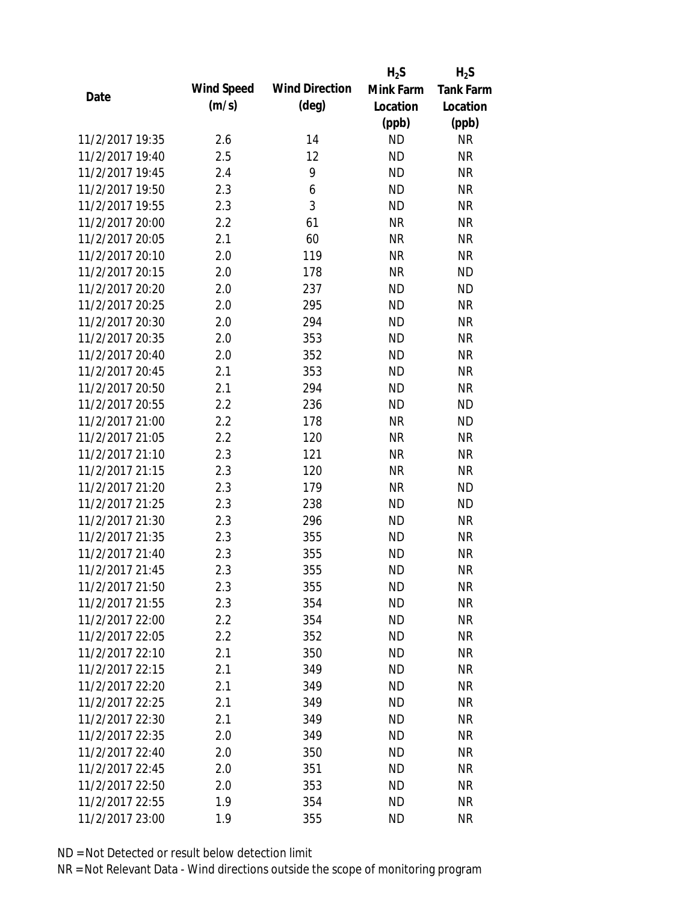|                 |            |                       | $H_2S$    | $H_2S$           |
|-----------------|------------|-----------------------|-----------|------------------|
| Date            | Wind Speed | <b>Wind Direction</b> | Mink Farm | <b>Tank Farm</b> |
|                 | (m/s)      | $(\text{deg})$        | Location  | Location         |
|                 |            |                       | (ppb)     | (ppb)            |
| 11/2/2017 19:35 | 2.6        | 14                    | <b>ND</b> | <b>NR</b>        |
| 11/2/2017 19:40 | 2.5        | 12                    | <b>ND</b> | <b>NR</b>        |
| 11/2/2017 19:45 | 2.4        | 9                     | <b>ND</b> | <b>NR</b>        |
| 11/2/2017 19:50 | 2.3        | 6                     | <b>ND</b> | <b>NR</b>        |
| 11/2/2017 19:55 | 2.3        | 3                     | <b>ND</b> | <b>NR</b>        |
| 11/2/2017 20:00 | 2.2        | 61                    | <b>NR</b> | <b>NR</b>        |
| 11/2/2017 20:05 | 2.1        | 60                    | <b>NR</b> | <b>NR</b>        |
| 11/2/2017 20:10 | 2.0        | 119                   | <b>NR</b> | <b>NR</b>        |
| 11/2/2017 20:15 | 2.0        | 178                   | <b>NR</b> | <b>ND</b>        |
| 11/2/2017 20:20 | 2.0        | 237                   | <b>ND</b> | <b>ND</b>        |
| 11/2/2017 20:25 | 2.0        | 295                   | <b>ND</b> | <b>NR</b>        |
| 11/2/2017 20:30 | 2.0        | 294                   | <b>ND</b> | <b>NR</b>        |
| 11/2/2017 20:35 | 2.0        | 353                   | <b>ND</b> | <b>NR</b>        |
| 11/2/2017 20:40 | 2.0        | 352                   | <b>ND</b> | <b>NR</b>        |
| 11/2/2017 20:45 | 2.1        | 353                   | <b>ND</b> | <b>NR</b>        |
| 11/2/2017 20:50 | 2.1        | 294                   | <b>ND</b> | <b>NR</b>        |
| 11/2/2017 20:55 | 2.2        | 236                   | <b>ND</b> | <b>ND</b>        |
| 11/2/2017 21:00 | 2.2        | 178                   | <b>NR</b> | <b>ND</b>        |
| 11/2/2017 21:05 | 2.2        | 120                   | <b>NR</b> | <b>NR</b>        |
| 11/2/2017 21:10 | 2.3        | 121                   | <b>NR</b> | <b>NR</b>        |
| 11/2/2017 21:15 | 2.3        | 120                   | <b>NR</b> | <b>NR</b>        |
| 11/2/2017 21:20 | 2.3        | 179                   | <b>NR</b> | <b>ND</b>        |
| 11/2/2017 21:25 | 2.3        | 238                   | <b>ND</b> | <b>ND</b>        |
| 11/2/2017 21:30 | 2.3        | 296                   | <b>ND</b> | <b>NR</b>        |
| 11/2/2017 21:35 | 2.3        | 355                   | <b>ND</b> | <b>NR</b>        |
| 11/2/2017 21:40 | 2.3        | 355                   | <b>ND</b> | <b>NR</b>        |
| 11/2/2017 21:45 | 2.3        | 355                   | <b>ND</b> | <b>NR</b>        |
| 11/2/2017 21:50 | 2.3        | 355                   | <b>ND</b> | NR               |
| 11/2/2017 21:55 | 2.3        | 354                   | <b>ND</b> | <b>NR</b>        |
| 11/2/2017 22:00 | $2.2\,$    | 354                   | ND        | <b>NR</b>        |
| 11/2/2017 22:05 | 2.2        | 352                   | <b>ND</b> | <b>NR</b>        |
| 11/2/2017 22:10 | 2.1        | 350                   | <b>ND</b> | <b>NR</b>        |
| 11/2/2017 22:15 | 2.1        | 349                   | <b>ND</b> | <b>NR</b>        |
| 11/2/2017 22:20 | 2.1        | 349                   | <b>ND</b> | <b>NR</b>        |
| 11/2/2017 22:25 | 2.1        | 349                   | <b>ND</b> | <b>NR</b>        |
| 11/2/2017 22:30 | 2.1        | 349                   | <b>ND</b> | <b>NR</b>        |
| 11/2/2017 22:35 | 2.0        | 349                   | <b>ND</b> | <b>NR</b>        |
| 11/2/2017 22:40 | 2.0        | 350                   | <b>ND</b> | <b>NR</b>        |
| 11/2/2017 22:45 | 2.0        | 351                   | <b>ND</b> | <b>NR</b>        |
| 11/2/2017 22:50 | 2.0        | 353                   | ND        | <b>NR</b>        |
| 11/2/2017 22:55 | 1.9        | 354                   | <b>ND</b> | <b>NR</b>        |
| 11/2/2017 23:00 | 1.9        | 355                   | <b>ND</b> | <b>NR</b>        |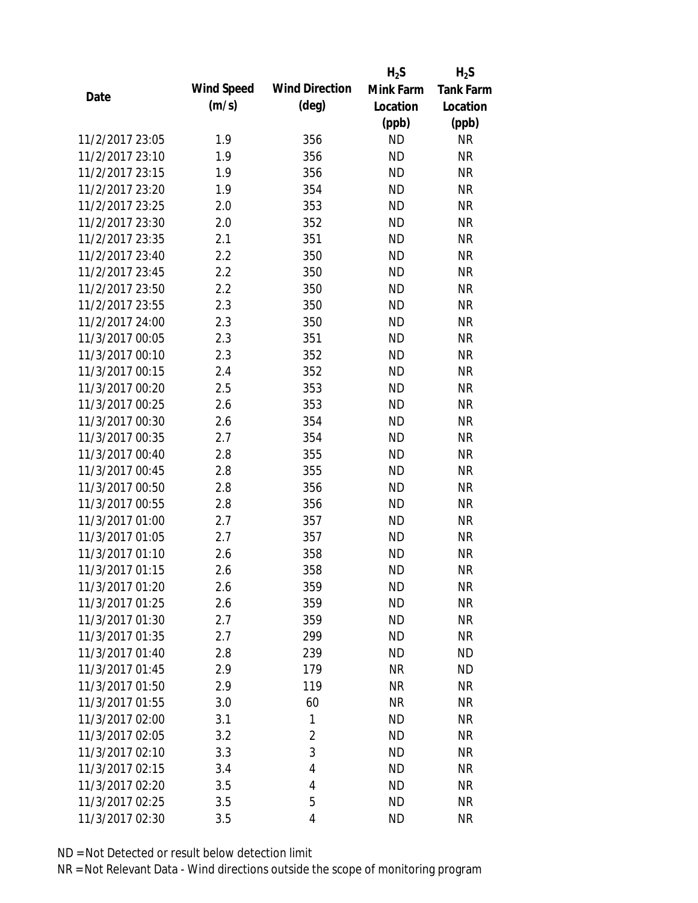|                 |            |                       | $H_2S$    | $H_2S$           |
|-----------------|------------|-----------------------|-----------|------------------|
| Date            | Wind Speed | <b>Wind Direction</b> | Mink Farm | <b>Tank Farm</b> |
|                 | (m/s)      | $(\text{deg})$        | Location  | Location         |
|                 |            |                       | (ppb)     | (ppb)            |
| 11/2/2017 23:05 | 1.9        | 356                   | <b>ND</b> | <b>NR</b>        |
| 11/2/2017 23:10 | 1.9        | 356                   | <b>ND</b> | <b>NR</b>        |
| 11/2/2017 23:15 | 1.9        | 356                   | <b>ND</b> | <b>NR</b>        |
| 11/2/2017 23:20 | 1.9        | 354                   | <b>ND</b> | <b>NR</b>        |
| 11/2/2017 23:25 | 2.0        | 353                   | <b>ND</b> | <b>NR</b>        |
| 11/2/2017 23:30 | 2.0        | 352                   | <b>ND</b> | <b>NR</b>        |
| 11/2/2017 23:35 | 2.1        | 351                   | <b>ND</b> | <b>NR</b>        |
| 11/2/2017 23:40 | 2.2        | 350                   | <b>ND</b> | <b>NR</b>        |
| 11/2/2017 23:45 | 2.2        | 350                   | <b>ND</b> | <b>NR</b>        |
| 11/2/2017 23:50 | 2.2        | 350                   | <b>ND</b> | <b>NR</b>        |
| 11/2/2017 23:55 | 2.3        | 350                   | <b>ND</b> | <b>NR</b>        |
| 11/2/2017 24:00 | 2.3        | 350                   | <b>ND</b> | <b>NR</b>        |
| 11/3/2017 00:05 | 2.3        | 351                   | <b>ND</b> | <b>NR</b>        |
| 11/3/2017 00:10 | 2.3        | 352                   | <b>ND</b> | <b>NR</b>        |
| 11/3/2017 00:15 | 2.4        | 352                   | <b>ND</b> | <b>NR</b>        |
| 11/3/2017 00:20 | 2.5        | 353                   | <b>ND</b> | <b>NR</b>        |
| 11/3/2017 00:25 | 2.6        | 353                   | <b>ND</b> | <b>NR</b>        |
| 11/3/2017 00:30 | 2.6        | 354                   | <b>ND</b> | <b>NR</b>        |
| 11/3/2017 00:35 | 2.7        | 354                   | <b>ND</b> | <b>NR</b>        |
| 11/3/2017 00:40 | 2.8        | 355                   | <b>ND</b> | <b>NR</b>        |
| 11/3/2017 00:45 | 2.8        | 355                   | <b>ND</b> | <b>NR</b>        |
| 11/3/2017 00:50 | 2.8        | 356                   | <b>ND</b> | <b>NR</b>        |
| 11/3/2017 00:55 | 2.8        | 356                   | <b>ND</b> | <b>NR</b>        |
| 11/3/2017 01:00 | 2.7        | 357                   | <b>ND</b> | <b>NR</b>        |
| 11/3/2017 01:05 | 2.7        | 357                   | <b>ND</b> | <b>NR</b>        |
| 11/3/2017 01:10 | 2.6        | 358                   | <b>ND</b> | <b>NR</b>        |
| 11/3/2017 01:15 | 2.6        | 358                   | <b>ND</b> | <b>NR</b>        |
| 11/3/2017 01:20 | 2.6        | 359                   | <b>ND</b> | NR               |
| 11/3/2017 01:25 | 2.6        | 359                   | <b>ND</b> | <b>NR</b>        |
| 11/3/2017 01:30 | 2.7        | 359                   | <b>ND</b> | <b>NR</b>        |
| 11/3/2017 01:35 | 2.7        | 299                   | <b>ND</b> | <b>NR</b>        |
| 11/3/2017 01:40 | 2.8        | 239                   | <b>ND</b> | <b>ND</b>        |
| 11/3/2017 01:45 | 2.9        | 179                   | <b>NR</b> | <b>ND</b>        |
| 11/3/2017 01:50 | 2.9        | 119                   | <b>NR</b> | <b>NR</b>        |
| 11/3/2017 01:55 | 3.0        | 60                    | <b>NR</b> | <b>NR</b>        |
| 11/3/2017 02:00 | 3.1        | 1                     | <b>ND</b> | <b>NR</b>        |
| 11/3/2017 02:05 | 3.2        | $\overline{2}$        | <b>ND</b> | <b>NR</b>        |
| 11/3/2017 02:10 | 3.3        | 3                     | <b>ND</b> | <b>NR</b>        |
| 11/3/2017 02:15 | 3.4        | 4                     | <b>ND</b> | <b>NR</b>        |
| 11/3/2017 02:20 | 3.5        | 4                     | <b>ND</b> | <b>NR</b>        |
| 11/3/2017 02:25 | 3.5        | 5                     | <b>ND</b> | <b>NR</b>        |
| 11/3/2017 02:30 | 3.5        | 4                     | <b>ND</b> | <b>NR</b>        |
|                 |            |                       |           |                  |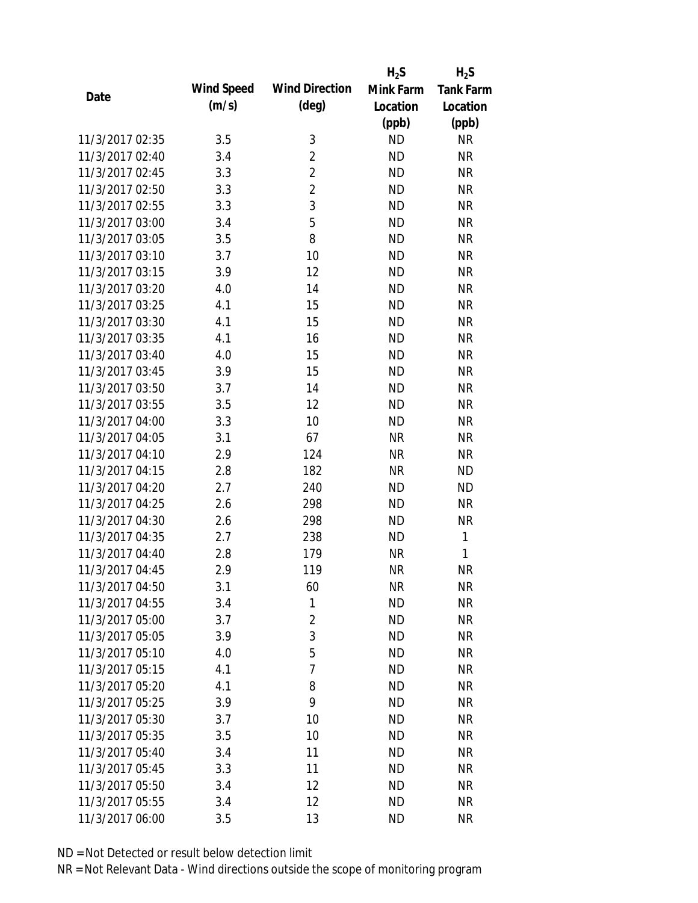|                 |            |                       | $H_2S$    | $H_2S$           |
|-----------------|------------|-----------------------|-----------|------------------|
| Date            | Wind Speed | <b>Wind Direction</b> | Mink Farm | <b>Tank Farm</b> |
|                 | (m/s)      | $(\text{deg})$        | Location  | Location         |
|                 |            |                       | (ppb)     | (ppb)            |
| 11/3/2017 02:35 | 3.5        | 3                     | <b>ND</b> | <b>NR</b>        |
| 11/3/2017 02:40 | 3.4        | $\overline{2}$        | <b>ND</b> | <b>NR</b>        |
| 11/3/2017 02:45 | 3.3        | $\overline{2}$        | <b>ND</b> | <b>NR</b>        |
| 11/3/2017 02:50 | 3.3        | $\overline{2}$        | <b>ND</b> | <b>NR</b>        |
| 11/3/2017 02:55 | 3.3        | 3                     | <b>ND</b> | <b>NR</b>        |
| 11/3/2017 03:00 | 3.4        | 5                     | <b>ND</b> | <b>NR</b>        |
| 11/3/2017 03:05 | 3.5        | 8                     | <b>ND</b> | <b>NR</b>        |
| 11/3/2017 03:10 | 3.7        | 10                    | <b>ND</b> | <b>NR</b>        |
| 11/3/2017 03:15 | 3.9        | 12                    | <b>ND</b> | <b>NR</b>        |
| 11/3/2017 03:20 | 4.0        | 14                    | <b>ND</b> | <b>NR</b>        |
| 11/3/2017 03:25 | 4.1        | 15                    | <b>ND</b> | <b>NR</b>        |
| 11/3/2017 03:30 | 4.1        | 15                    | <b>ND</b> | <b>NR</b>        |
| 11/3/2017 03:35 | 4.1        | 16                    | <b>ND</b> | <b>NR</b>        |
| 11/3/2017 03:40 | 4.0        | 15                    | <b>ND</b> | <b>NR</b>        |
| 11/3/2017 03:45 | 3.9        | 15                    | <b>ND</b> | <b>NR</b>        |
| 11/3/2017 03:50 | 3.7        | 14                    | <b>ND</b> | <b>NR</b>        |
| 11/3/2017 03:55 | 3.5        | 12                    | <b>ND</b> | <b>NR</b>        |
| 11/3/2017 04:00 | 3.3        | 10                    | <b>ND</b> | <b>NR</b>        |
| 11/3/2017 04:05 | 3.1        | 67                    | <b>NR</b> | <b>NR</b>        |
| 11/3/2017 04:10 | 2.9        | 124                   | <b>NR</b> | <b>NR</b>        |
| 11/3/2017 04:15 | 2.8        | 182                   | <b>NR</b> | <b>ND</b>        |
| 11/3/2017 04:20 | 2.7        | 240                   | <b>ND</b> | <b>ND</b>        |
| 11/3/2017 04:25 | 2.6        | 298                   | <b>ND</b> | <b>NR</b>        |
| 11/3/2017 04:30 | 2.6        | 298                   | <b>ND</b> | <b>NR</b>        |
| 11/3/2017 04:35 | 2.7        | 238                   | <b>ND</b> | 1                |
| 11/3/2017 04:40 | 2.8        | 179                   | <b>NR</b> | 1                |
| 11/3/2017 04:45 | 2.9        | 119                   | <b>NR</b> | <b>NR</b>        |
| 11/3/2017 04:50 | 3.1        | 60                    | <b>NR</b> | <b>NR</b>        |
| 11/3/2017 04:55 | 3.4        | 1                     | <b>ND</b> | <b>NR</b>        |
| 11/3/2017 05:00 | 3.7        | 2                     | <b>ND</b> | <b>NR</b>        |
| 11/3/2017 05:05 | 3.9        | 3                     | <b>ND</b> | <b>NR</b>        |
| 11/3/2017 05:10 | 4.0        | 5                     | <b>ND</b> | <b>NR</b>        |
| 11/3/2017 05:15 | 4.1        | 7                     | <b>ND</b> | <b>NR</b>        |
| 11/3/2017 05:20 | 4.1        | 8                     | <b>ND</b> | <b>NR</b>        |
| 11/3/2017 05:25 | 3.9        | 9                     | <b>ND</b> | <b>NR</b>        |
| 11/3/2017 05:30 | 3.7        | 10                    | <b>ND</b> | <b>NR</b>        |
| 11/3/2017 05:35 | 3.5        | 10                    | <b>ND</b> | <b>NR</b>        |
| 11/3/2017 05:40 | 3.4        | 11                    | <b>ND</b> | <b>NR</b>        |
| 11/3/2017 05:45 | 3.3        | 11                    | <b>ND</b> | <b>NR</b>        |
| 11/3/2017 05:50 | 3.4        | 12                    | <b>ND</b> | NR               |
| 11/3/2017 05:55 | 3.4        | 12                    | <b>ND</b> | <b>NR</b>        |
| 11/3/2017 06:00 | 3.5        | 13                    | <b>ND</b> | <b>NR</b>        |
|                 |            |                       |           |                  |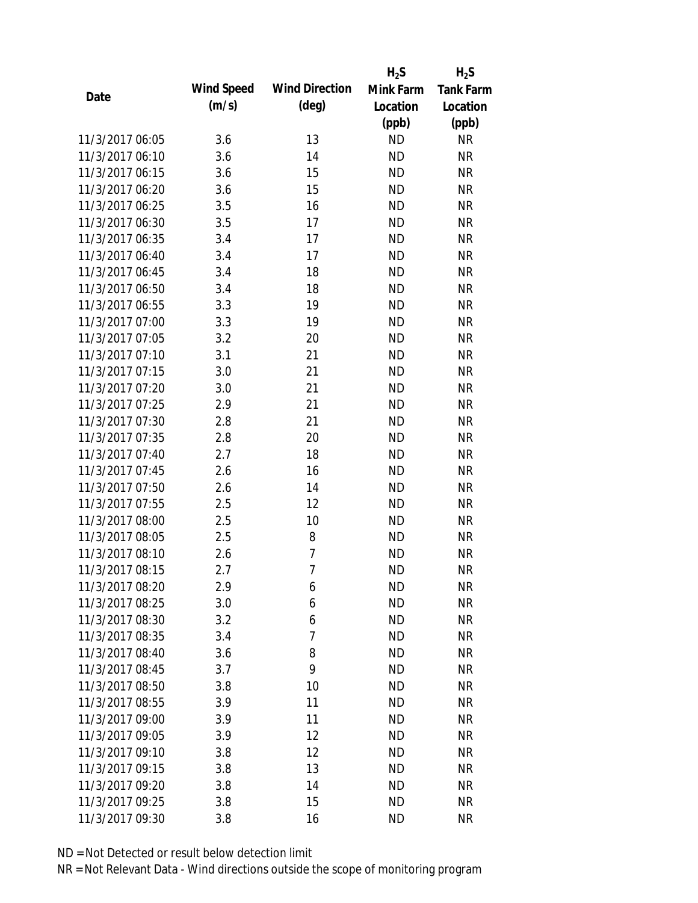|                 |            |                       | $H_2S$    | $H_2S$           |
|-----------------|------------|-----------------------|-----------|------------------|
| Date            | Wind Speed | <b>Wind Direction</b> | Mink Farm | <b>Tank Farm</b> |
|                 | (m/s)      | $(\text{deg})$        | Location  | Location         |
|                 |            |                       | (ppb)     | (ppb)            |
| 11/3/2017 06:05 | 3.6        | 13                    | <b>ND</b> | <b>NR</b>        |
| 11/3/2017 06:10 | 3.6        | 14                    | <b>ND</b> | <b>NR</b>        |
| 11/3/2017 06:15 | 3.6        | 15                    | <b>ND</b> | <b>NR</b>        |
| 11/3/2017 06:20 | 3.6        | 15                    | <b>ND</b> | <b>NR</b>        |
| 11/3/2017 06:25 | 3.5        | 16                    | <b>ND</b> | <b>NR</b>        |
| 11/3/2017 06:30 | 3.5        | 17                    | <b>ND</b> | <b>NR</b>        |
| 11/3/2017 06:35 | 3.4        | 17                    | <b>ND</b> | <b>NR</b>        |
| 11/3/2017 06:40 | 3.4        | 17                    | <b>ND</b> | <b>NR</b>        |
| 11/3/2017 06:45 | 3.4        | 18                    | <b>ND</b> | <b>NR</b>        |
| 11/3/2017 06:50 | 3.4        | 18                    | <b>ND</b> | <b>NR</b>        |
| 11/3/2017 06:55 | 3.3        | 19                    | <b>ND</b> | <b>NR</b>        |
| 11/3/2017 07:00 | 3.3        | 19                    | <b>ND</b> | <b>NR</b>        |
| 11/3/2017 07:05 | 3.2        | 20                    | <b>ND</b> | <b>NR</b>        |
| 11/3/2017 07:10 | 3.1        | 21                    | <b>ND</b> | <b>NR</b>        |
| 11/3/2017 07:15 | 3.0        | 21                    | <b>ND</b> | <b>NR</b>        |
| 11/3/2017 07:20 | 3.0        | 21                    | <b>ND</b> | <b>NR</b>        |
| 11/3/2017 07:25 | 2.9        | 21                    | <b>ND</b> | <b>NR</b>        |
| 11/3/2017 07:30 | 2.8        | 21                    | <b>ND</b> | <b>NR</b>        |
| 11/3/2017 07:35 | 2.8        | 20                    | <b>ND</b> | <b>NR</b>        |
| 11/3/2017 07:40 | 2.7        | 18                    | <b>ND</b> | <b>NR</b>        |
| 11/3/2017 07:45 | 2.6        | 16                    | <b>ND</b> | <b>NR</b>        |
| 11/3/2017 07:50 | 2.6        | 14                    | <b>ND</b> | <b>NR</b>        |
| 11/3/2017 07:55 | 2.5        | 12                    | <b>ND</b> | <b>NR</b>        |
| 11/3/2017 08:00 | 2.5        | 10                    | <b>ND</b> | <b>NR</b>        |
| 11/3/2017 08:05 | 2.5        | 8                     | <b>ND</b> | <b>NR</b>        |
| 11/3/2017 08:10 | 2.6        | 7                     | <b>ND</b> | <b>NR</b>        |
| 11/3/2017 08:15 | 2.7        | 7                     | <b>ND</b> | <b>NR</b>        |
| 11/3/2017 08:20 | 2.9        | 6                     | <b>ND</b> | NR               |
| 11/3/2017 08:25 | 3.0        | 6                     | <b>ND</b> | <b>NR</b>        |
| 11/3/2017 08:30 | 3.2        | 6                     | <b>ND</b> | <b>NR</b>        |
| 11/3/2017 08:35 | 3.4        | 7                     | <b>ND</b> | <b>NR</b>        |
| 11/3/2017 08:40 | 3.6        | 8                     | <b>ND</b> | <b>NR</b>        |
| 11/3/2017 08:45 | 3.7        | 9                     | <b>ND</b> | <b>NR</b>        |
| 11/3/2017 08:50 | 3.8        | 10                    | <b>ND</b> | <b>NR</b>        |
| 11/3/2017 08:55 | 3.9        | 11                    | <b>ND</b> | <b>NR</b>        |
| 11/3/2017 09:00 | 3.9        | 11                    | <b>ND</b> | <b>NR</b>        |
| 11/3/2017 09:05 | 3.9        | 12                    | <b>ND</b> | <b>NR</b>        |
| 11/3/2017 09:10 | 3.8        | 12                    | <b>ND</b> | <b>NR</b>        |
| 11/3/2017 09:15 | 3.8        | 13                    | <b>ND</b> | <b>NR</b>        |
| 11/3/2017 09:20 | 3.8        | 14                    | <b>ND</b> | <b>NR</b>        |
| 11/3/2017 09:25 | 3.8        | 15                    | <b>ND</b> | <b>NR</b>        |
| 11/3/2017 09:30 | 3.8        | 16                    | <b>ND</b> | <b>NR</b>        |
|                 |            |                       |           |                  |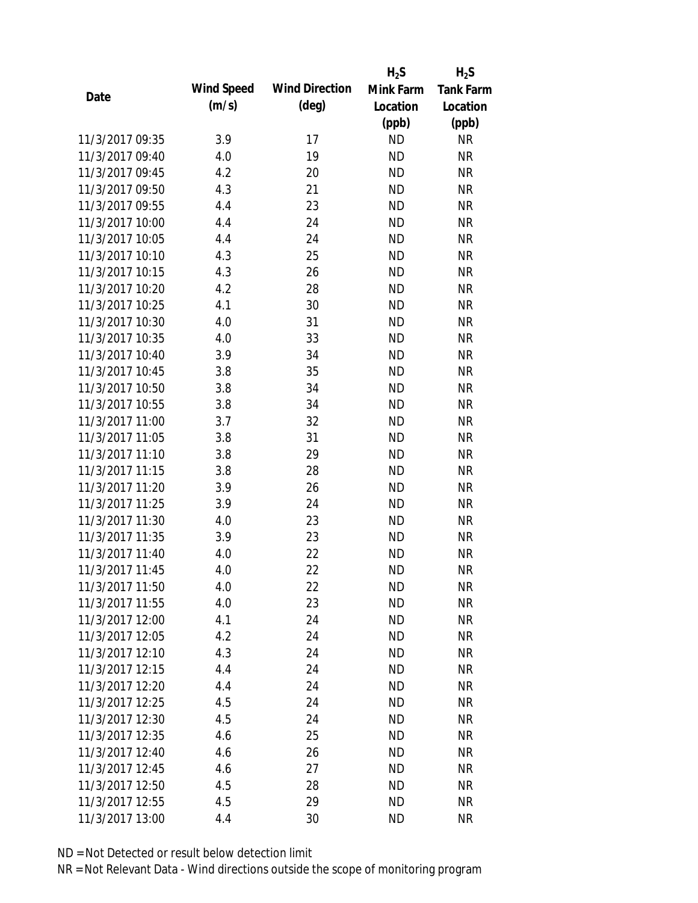|                 |            |                       | $H_2S$    | $H_2S$           |
|-----------------|------------|-----------------------|-----------|------------------|
| Date            | Wind Speed | <b>Wind Direction</b> | Mink Farm | <b>Tank Farm</b> |
|                 | (m/s)      | $(\text{deg})$        | Location  | Location         |
|                 |            |                       | (ppb)     | (ppb)            |
| 11/3/2017 09:35 | 3.9        | 17                    | <b>ND</b> | <b>NR</b>        |
| 11/3/2017 09:40 | 4.0        | 19                    | <b>ND</b> | <b>NR</b>        |
| 11/3/2017 09:45 | 4.2        | 20                    | <b>ND</b> | <b>NR</b>        |
| 11/3/2017 09:50 | 4.3        | 21                    | <b>ND</b> | <b>NR</b>        |
| 11/3/2017 09:55 | 4.4        | 23                    | <b>ND</b> | <b>NR</b>        |
| 11/3/2017 10:00 | 4.4        | 24                    | <b>ND</b> | <b>NR</b>        |
| 11/3/2017 10:05 | 4.4        | 24                    | <b>ND</b> | <b>NR</b>        |
| 11/3/2017 10:10 | 4.3        | 25                    | <b>ND</b> | <b>NR</b>        |
| 11/3/2017 10:15 | 4.3        | 26                    | <b>ND</b> | <b>NR</b>        |
| 11/3/2017 10:20 | 4.2        | 28                    | <b>ND</b> | <b>NR</b>        |
| 11/3/2017 10:25 | 4.1        | 30                    | <b>ND</b> | <b>NR</b>        |
| 11/3/2017 10:30 | 4.0        | 31                    | <b>ND</b> | <b>NR</b>        |
| 11/3/2017 10:35 | 4.0        | 33                    | <b>ND</b> | <b>NR</b>        |
| 11/3/2017 10:40 | 3.9        | 34                    | <b>ND</b> | <b>NR</b>        |
| 11/3/2017 10:45 | 3.8        | 35                    | <b>ND</b> | <b>NR</b>        |
| 11/3/2017 10:50 | 3.8        | 34                    | <b>ND</b> | <b>NR</b>        |
| 11/3/2017 10:55 | 3.8        | 34                    | <b>ND</b> | <b>NR</b>        |
| 11/3/2017 11:00 | 3.7        | 32                    | <b>ND</b> | <b>NR</b>        |
| 11/3/2017 11:05 | 3.8        | 31                    | <b>ND</b> | <b>NR</b>        |
| 11/3/2017 11:10 | 3.8        | 29                    | <b>ND</b> | <b>NR</b>        |
| 11/3/2017 11:15 | 3.8        | 28                    | <b>ND</b> | <b>NR</b>        |
| 11/3/2017 11:20 | 3.9        | 26                    | <b>ND</b> | <b>NR</b>        |
| 11/3/2017 11:25 | 3.9        | 24                    | <b>ND</b> | <b>NR</b>        |
| 11/3/2017 11:30 | 4.0        | 23                    | <b>ND</b> | <b>NR</b>        |
| 11/3/2017 11:35 | 3.9        | 23                    | <b>ND</b> | <b>NR</b>        |
| 11/3/2017 11:40 | 4.0        | 22                    | <b>ND</b> | <b>NR</b>        |
| 11/3/2017 11:45 | 4.0        | 22                    | <b>ND</b> | <b>NR</b>        |
| 11/3/2017 11:50 | 4.0        | 22                    | <b>ND</b> | NR               |
| 11/3/2017 11:55 | 4.0        | 23                    | <b>ND</b> | <b>NR</b>        |
| 11/3/2017 12:00 | 4.1        | 24                    | ND        | <b>NR</b>        |
| 11/3/2017 12:05 | 4.2        | 24                    | <b>ND</b> | <b>NR</b>        |
| 11/3/2017 12:10 | 4.3        | 24                    | <b>ND</b> | <b>NR</b>        |
| 11/3/2017 12:15 | 4.4        | 24                    | <b>ND</b> | <b>NR</b>        |
| 11/3/2017 12:20 | 4.4        | 24                    | <b>ND</b> | <b>NR</b>        |
| 11/3/2017 12:25 | 4.5        | 24                    | <b>ND</b> | NR               |
| 11/3/2017 12:30 | 4.5        | 24                    | <b>ND</b> | <b>NR</b>        |
| 11/3/2017 12:35 | 4.6        | 25                    | ND        | NR               |
| 11/3/2017 12:40 | 4.6        | 26                    | <b>ND</b> | <b>NR</b>        |
| 11/3/2017 12:45 | 4.6        | 27                    | <b>ND</b> | NR               |
| 11/3/2017 12:50 | 4.5        | 28                    | ND        | NR               |
| 11/3/2017 12:55 | 4.5        | 29                    | <b>ND</b> | <b>NR</b>        |
| 11/3/2017 13:00 | 4.4        | 30                    | <b>ND</b> | <b>NR</b>        |
|                 |            |                       |           |                  |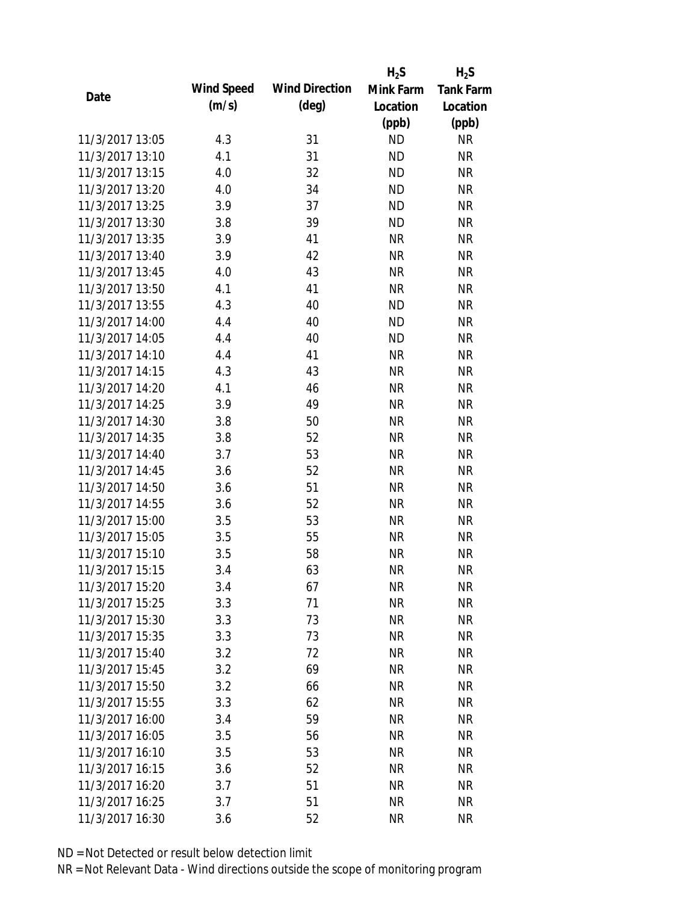|                 |            |                       | $H_2S$    | $H_2S$           |
|-----------------|------------|-----------------------|-----------|------------------|
| Date            | Wind Speed | <b>Wind Direction</b> | Mink Farm | <b>Tank Farm</b> |
|                 | (m/s)      | $(\text{deg})$        | Location  | Location         |
|                 |            |                       | (ppb)     | (ppb)            |
| 11/3/2017 13:05 | 4.3        | 31                    | <b>ND</b> | <b>NR</b>        |
| 11/3/2017 13:10 | 4.1        | 31                    | <b>ND</b> | <b>NR</b>        |
| 11/3/2017 13:15 | 4.0        | 32                    | <b>ND</b> | <b>NR</b>        |
| 11/3/2017 13:20 | 4.0        | 34                    | <b>ND</b> | <b>NR</b>        |
| 11/3/2017 13:25 | 3.9        | 37                    | <b>ND</b> | <b>NR</b>        |
| 11/3/2017 13:30 | 3.8        | 39                    | <b>ND</b> | <b>NR</b>        |
| 11/3/2017 13:35 | 3.9        | 41                    | <b>NR</b> | <b>NR</b>        |
| 11/3/2017 13:40 | 3.9        | 42                    | <b>NR</b> | <b>NR</b>        |
| 11/3/2017 13:45 | 4.0        | 43                    | <b>NR</b> | <b>NR</b>        |
| 11/3/2017 13:50 | 4.1        | 41                    | <b>NR</b> | <b>NR</b>        |
| 11/3/2017 13:55 | 4.3        | 40                    | <b>ND</b> | <b>NR</b>        |
| 11/3/2017 14:00 | 4.4        | 40                    | <b>ND</b> | <b>NR</b>        |
| 11/3/2017 14:05 | 4.4        | 40                    | <b>ND</b> | <b>NR</b>        |
| 11/3/2017 14:10 | 4.4        | 41                    | <b>NR</b> | <b>NR</b>        |
| 11/3/2017 14:15 | 4.3        | 43                    | <b>NR</b> | <b>NR</b>        |
| 11/3/2017 14:20 | 4.1        | 46                    | <b>NR</b> | <b>NR</b>        |
| 11/3/2017 14:25 | 3.9        | 49                    | <b>NR</b> | <b>NR</b>        |
| 11/3/2017 14:30 | 3.8        | 50                    | <b>NR</b> | <b>NR</b>        |
| 11/3/2017 14:35 | 3.8        | 52                    | <b>NR</b> | <b>NR</b>        |
| 11/3/2017 14:40 | 3.7        | 53                    | <b>NR</b> | <b>NR</b>        |
| 11/3/2017 14:45 | 3.6        | 52                    | <b>NR</b> | <b>NR</b>        |
| 11/3/2017 14:50 | 3.6        | 51                    | <b>NR</b> | <b>NR</b>        |
| 11/3/2017 14:55 | 3.6        | 52                    | <b>NR</b> | <b>NR</b>        |
| 11/3/2017 15:00 | 3.5        | 53                    | <b>NR</b> | <b>NR</b>        |
| 11/3/2017 15:05 | 3.5        | 55                    | <b>NR</b> | <b>NR</b>        |
| 11/3/2017 15:10 | 3.5        | 58                    | <b>NR</b> | <b>NR</b>        |
| 11/3/2017 15:15 | 3.4        | 63                    | <b>NR</b> | <b>NR</b>        |
| 11/3/2017 15:20 | 3.4        | 67                    | <b>NR</b> | NR               |
| 11/3/2017 15:25 | 3.3        | 71                    | <b>NR</b> | <b>NR</b>        |
| 11/3/2017 15:30 | 3.3        | 73                    | <b>NR</b> | <b>NR</b>        |
| 11/3/2017 15:35 | 3.3        | 73                    | <b>NR</b> | <b>NR</b>        |
| 11/3/2017 15:40 | 3.2        | 72                    | <b>NR</b> | <b>NR</b>        |
| 11/3/2017 15:45 | 3.2        | 69                    | <b>NR</b> | <b>NR</b>        |
| 11/3/2017 15:50 | 3.2        | 66                    | <b>NR</b> | <b>NR</b>        |
| 11/3/2017 15:55 | 3.3        | 62                    | <b>NR</b> | <b>NR</b>        |
| 11/3/2017 16:00 | 3.4        | 59                    | <b>NR</b> | <b>NR</b>        |
| 11/3/2017 16:05 | 3.5        | 56                    | NR        | <b>NR</b>        |
| 11/3/2017 16:10 | 3.5        | 53                    | NR        | <b>NR</b>        |
| 11/3/2017 16:15 | 3.6        | 52                    | <b>NR</b> | NR               |
| 11/3/2017 16:20 | 3.7        | 51                    | NR        | NR               |
| 11/3/2017 16:25 | 3.7        | 51                    | <b>NR</b> | <b>NR</b>        |
|                 |            |                       | <b>NR</b> | <b>NR</b>        |
| 11/3/2017 16:30 | 3.6        | 52                    |           |                  |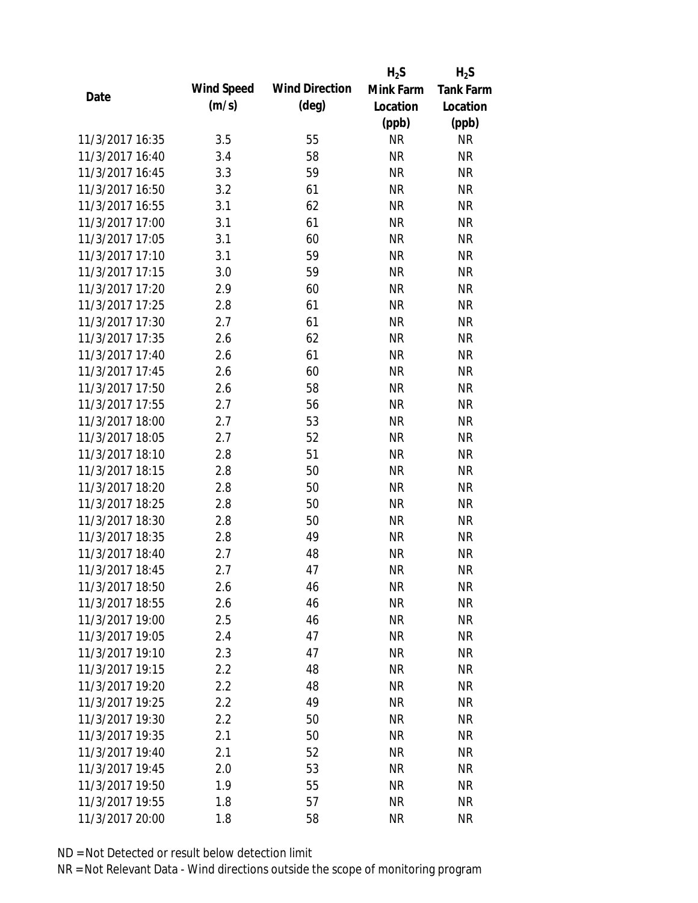|                 |            |                       | $H_2S$    | $H_2S$           |
|-----------------|------------|-----------------------|-----------|------------------|
| Date            | Wind Speed | <b>Wind Direction</b> | Mink Farm | <b>Tank Farm</b> |
|                 | (m/s)      | $(\text{deg})$        | Location  | Location         |
|                 |            |                       | (ppb)     | (ppb)            |
| 11/3/2017 16:35 | 3.5        | 55                    | <b>NR</b> | <b>NR</b>        |
| 11/3/2017 16:40 | 3.4        | 58                    | <b>NR</b> | <b>NR</b>        |
| 11/3/2017 16:45 | 3.3        | 59                    | <b>NR</b> | <b>NR</b>        |
| 11/3/2017 16:50 | 3.2        | 61                    | <b>NR</b> | <b>NR</b>        |
| 11/3/2017 16:55 | 3.1        | 62                    | <b>NR</b> | <b>NR</b>        |
| 11/3/2017 17:00 | 3.1        | 61                    | <b>NR</b> | <b>NR</b>        |
| 11/3/2017 17:05 | 3.1        | 60                    | <b>NR</b> | <b>NR</b>        |
| 11/3/2017 17:10 | 3.1        | 59                    | <b>NR</b> | <b>NR</b>        |
| 11/3/2017 17:15 | 3.0        | 59                    | <b>NR</b> | <b>NR</b>        |
| 11/3/2017 17:20 | 2.9        | 60                    | <b>NR</b> | <b>NR</b>        |
| 11/3/2017 17:25 | 2.8        | 61                    | <b>NR</b> | <b>NR</b>        |
| 11/3/2017 17:30 | 2.7        | 61                    | <b>NR</b> | <b>NR</b>        |
| 11/3/2017 17:35 | 2.6        | 62                    | <b>NR</b> | <b>NR</b>        |
| 11/3/2017 17:40 | 2.6        | 61                    | <b>NR</b> | <b>NR</b>        |
| 11/3/2017 17:45 | 2.6        | 60                    | <b>NR</b> | <b>NR</b>        |
| 11/3/2017 17:50 | 2.6        | 58                    | <b>NR</b> | <b>NR</b>        |
| 11/3/2017 17:55 | 2.7        | 56                    | <b>NR</b> | <b>NR</b>        |
| 11/3/2017 18:00 | 2.7        | 53                    | <b>NR</b> | <b>NR</b>        |
| 11/3/2017 18:05 | 2.7        | 52                    | <b>NR</b> | <b>NR</b>        |
| 11/3/2017 18:10 | 2.8        | 51                    | <b>NR</b> | <b>NR</b>        |
| 11/3/2017 18:15 | 2.8        | 50                    | <b>NR</b> | <b>NR</b>        |
| 11/3/2017 18:20 | 2.8        | 50                    | <b>NR</b> | <b>NR</b>        |
| 11/3/2017 18:25 | 2.8        | 50                    | <b>NR</b> | <b>NR</b>        |
| 11/3/2017 18:30 | 2.8        | 50                    | <b>NR</b> | <b>NR</b>        |
| 11/3/2017 18:35 | 2.8        | 49                    | <b>NR</b> | <b>NR</b>        |
| 11/3/2017 18:40 | 2.7        | 48                    | <b>NR</b> | <b>NR</b>        |
| 11/3/2017 18:45 | 2.7        | 47                    | <b>NR</b> | <b>NR</b>        |
| 11/3/2017 18:50 | 2.6        | 46                    | <b>NR</b> | NR               |
| 11/3/2017 18:55 | 2.6        | 46                    | <b>NR</b> | <b>NR</b>        |
| 11/3/2017 19:00 | 2.5        | 46                    | NR        | <b>NR</b>        |
| 11/3/2017 19:05 | 2.4        | 47                    | <b>NR</b> | <b>NR</b>        |
| 11/3/2017 19:10 | 2.3        | 47                    | <b>NR</b> | <b>NR</b>        |
| 11/3/2017 19:15 | 2.2        | 48                    | <b>NR</b> | <b>NR</b>        |
| 11/3/2017 19:20 | 2.2        | 48                    | <b>NR</b> | <b>NR</b>        |
| 11/3/2017 19:25 | 2.2        | 49                    | <b>NR</b> | <b>NR</b>        |
| 11/3/2017 19:30 | 2.2        | 50                    | <b>NR</b> | <b>NR</b>        |
| 11/3/2017 19:35 | 2.1        | 50                    | NR        | <b>NR</b>        |
| 11/3/2017 19:40 | 2.1        | 52                    | NR        | <b>NR</b>        |
| 11/3/2017 19:45 | 2.0        | 53                    | <b>NR</b> | NR               |
| 11/3/2017 19:50 | 1.9        | 55                    | <b>NR</b> | NR               |
| 11/3/2017 19:55 | 1.8        | 57                    | <b>NR</b> | <b>NR</b>        |
| 11/3/2017 20:00 | 1.8        | 58                    | <b>NR</b> | <b>NR</b>        |
|                 |            |                       |           |                  |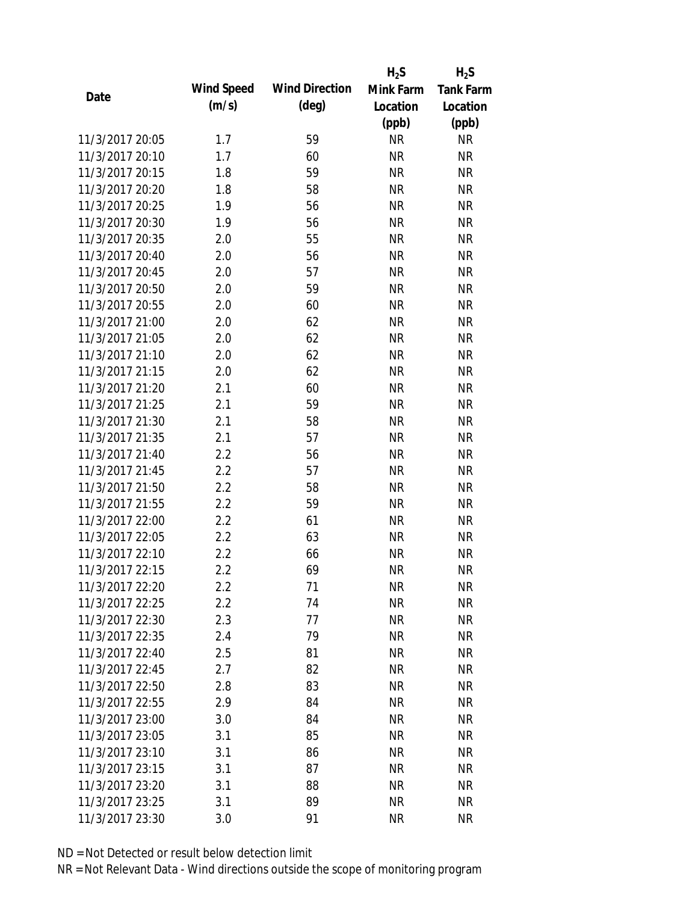|                 |            |                       | $H_2S$    | $H_2S$           |
|-----------------|------------|-----------------------|-----------|------------------|
| Date            | Wind Speed | <b>Wind Direction</b> | Mink Farm | <b>Tank Farm</b> |
|                 | (m/s)      | $(\text{deg})$        | Location  | Location         |
|                 |            |                       | (ppb)     | (ppb)            |
| 11/3/2017 20:05 | 1.7        | 59                    | <b>NR</b> | <b>NR</b>        |
| 11/3/2017 20:10 | 1.7        | 60                    | <b>NR</b> | <b>NR</b>        |
| 11/3/2017 20:15 | 1.8        | 59                    | <b>NR</b> | <b>NR</b>        |
| 11/3/2017 20:20 | 1.8        | 58                    | <b>NR</b> | <b>NR</b>        |
| 11/3/2017 20:25 | 1.9        | 56                    | <b>NR</b> | <b>NR</b>        |
| 11/3/2017 20:30 | 1.9        | 56                    | <b>NR</b> | <b>NR</b>        |
| 11/3/2017 20:35 | 2.0        | 55                    | <b>NR</b> | <b>NR</b>        |
| 11/3/2017 20:40 | 2.0        | 56                    | <b>NR</b> | <b>NR</b>        |
| 11/3/2017 20:45 | 2.0        | 57                    | <b>NR</b> | <b>NR</b>        |
| 11/3/2017 20:50 | 2.0        | 59                    | <b>NR</b> | <b>NR</b>        |
| 11/3/2017 20:55 | 2.0        | 60                    | <b>NR</b> | <b>NR</b>        |
| 11/3/2017 21:00 | 2.0        | 62                    | <b>NR</b> | <b>NR</b>        |
| 11/3/2017 21:05 | 2.0        | 62                    | <b>NR</b> | <b>NR</b>        |
| 11/3/2017 21:10 | 2.0        | 62                    | <b>NR</b> | <b>NR</b>        |
| 11/3/2017 21:15 | 2.0        | 62                    | <b>NR</b> | <b>NR</b>        |
| 11/3/2017 21:20 | 2.1        | 60                    | <b>NR</b> | <b>NR</b>        |
| 11/3/2017 21:25 | 2.1        | 59                    | <b>NR</b> | <b>NR</b>        |
| 11/3/2017 21:30 | 2.1        | 58                    | <b>NR</b> | <b>NR</b>        |
| 11/3/2017 21:35 | 2.1        | 57                    | <b>NR</b> | <b>NR</b>        |
| 11/3/2017 21:40 | 2.2        | 56                    | <b>NR</b> | <b>NR</b>        |
| 11/3/2017 21:45 | 2.2        | 57                    | <b>NR</b> | <b>NR</b>        |
| 11/3/2017 21:50 | 2.2        | 58                    | <b>NR</b> | <b>NR</b>        |
| 11/3/2017 21:55 | 2.2        | 59                    | <b>NR</b> | <b>NR</b>        |
| 11/3/2017 22:00 | 2.2        | 61                    | <b>NR</b> | <b>NR</b>        |
| 11/3/2017 22:05 | 2.2        | 63                    | <b>NR</b> | <b>NR</b>        |
| 11/3/2017 22:10 | 2.2        | 66                    | <b>NR</b> | <b>NR</b>        |
| 11/3/2017 22:15 | 2.2        | 69                    | <b>NR</b> | <b>NR</b>        |
| 11/3/2017 22:20 | $2.2\,$    | 71                    | <b>NR</b> | <b>NR</b>        |
| 11/3/2017 22:25 | 2.2        | 74                    | <b>NR</b> | <b>NR</b>        |
| 11/3/2017 22:30 | 2.3        | 77                    | NR        | <b>NR</b>        |
| 11/3/2017 22:35 | 2.4        | 79                    | <b>NR</b> | <b>NR</b>        |
| 11/3/2017 22:40 | 2.5        | 81                    | <b>NR</b> | NR               |
| 11/3/2017 22:45 | 2.7        | 82                    | <b>NR</b> | NR               |
| 11/3/2017 22:50 | 2.8        | 83                    | <b>NR</b> | <b>NR</b>        |
| 11/3/2017 22:55 | 2.9        | 84                    | <b>NR</b> | <b>NR</b>        |
| 11/3/2017 23:00 | 3.0        | 84                    | NR        | <b>NR</b>        |
| 11/3/2017 23:05 | 3.1        | 85                    | <b>NR</b> | <b>NR</b>        |
| 11/3/2017 23:10 | 3.1        | 86                    | NR        | <b>NR</b>        |
| 11/3/2017 23:15 | 3.1        | 87                    | <b>NR</b> | <b>NR</b>        |
| 11/3/2017 23:20 | 3.1        | 88                    | NR        | NR               |
|                 |            |                       |           |                  |
| 11/3/2017 23:25 | 3.1        | 89                    | <b>NR</b> | <b>NR</b>        |
| 11/3/2017 23:30 | 3.0        | 91                    | <b>NR</b> | <b>NR</b>        |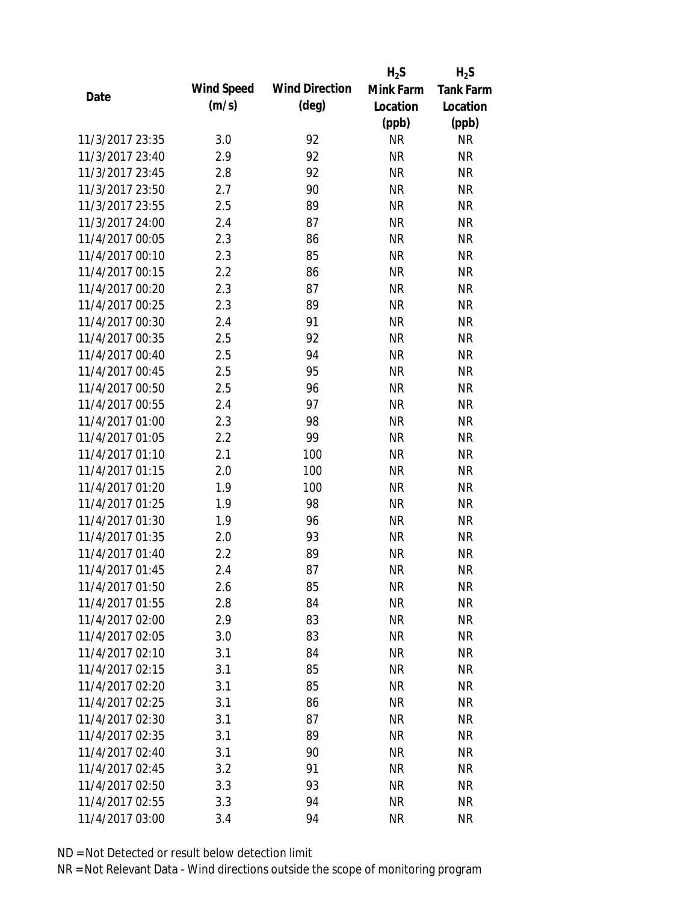|                 |            |                       | $H_2S$    | $H_2S$           |
|-----------------|------------|-----------------------|-----------|------------------|
| Date            | Wind Speed | <b>Wind Direction</b> | Mink Farm | <b>Tank Farm</b> |
|                 | (m/s)      | $(\text{deg})$        | Location  | Location         |
|                 |            |                       | (ppb)     | (ppb)            |
| 11/3/2017 23:35 | 3.0        | 92                    | <b>NR</b> | <b>NR</b>        |
| 11/3/2017 23:40 | 2.9        | 92                    | <b>NR</b> | <b>NR</b>        |
| 11/3/2017 23:45 | 2.8        | 92                    | <b>NR</b> | <b>NR</b>        |
| 11/3/2017 23:50 | 2.7        | 90                    | <b>NR</b> | <b>NR</b>        |
| 11/3/2017 23:55 | 2.5        | 89                    | <b>NR</b> | <b>NR</b>        |
| 11/3/2017 24:00 | 2.4        | 87                    | <b>NR</b> | <b>NR</b>        |
| 11/4/2017 00:05 | 2.3        | 86                    | <b>NR</b> | <b>NR</b>        |
| 11/4/2017 00:10 | 2.3        | 85                    | <b>NR</b> | <b>NR</b>        |
| 11/4/2017 00:15 | 2.2        | 86                    | <b>NR</b> | <b>NR</b>        |
| 11/4/2017 00:20 | 2.3        | 87                    | <b>NR</b> | <b>NR</b>        |
| 11/4/2017 00:25 | 2.3        | 89                    | <b>NR</b> | <b>NR</b>        |
| 11/4/2017 00:30 | 2.4        | 91                    | <b>NR</b> | <b>NR</b>        |
| 11/4/2017 00:35 | 2.5        | 92                    | <b>NR</b> | <b>NR</b>        |
| 11/4/2017 00:40 | 2.5        | 94                    | <b>NR</b> | <b>NR</b>        |
| 11/4/2017 00:45 | 2.5        | 95                    | <b>NR</b> | <b>NR</b>        |
| 11/4/2017 00:50 | 2.5        | 96                    | <b>NR</b> | <b>NR</b>        |
| 11/4/2017 00:55 | 2.4        | 97                    | <b>NR</b> | <b>NR</b>        |
| 11/4/2017 01:00 | 2.3        | 98                    | <b>NR</b> | <b>NR</b>        |
| 11/4/2017 01:05 | 2.2        | 99                    | <b>NR</b> | <b>NR</b>        |
| 11/4/2017 01:10 | 2.1        | 100                   | <b>NR</b> | <b>NR</b>        |
| 11/4/2017 01:15 | 2.0        | 100                   | <b>NR</b> | <b>NR</b>        |
| 11/4/2017 01:20 | 1.9        | 100                   | <b>NR</b> | <b>NR</b>        |
| 11/4/2017 01:25 | 1.9        | 98                    | <b>NR</b> | <b>NR</b>        |
| 11/4/2017 01:30 | 1.9        | 96                    | <b>NR</b> | <b>NR</b>        |
| 11/4/2017 01:35 | 2.0        | 93                    | <b>NR</b> | <b>NR</b>        |
| 11/4/2017 01:40 | 2.2        | 89                    | <b>NR</b> | <b>NR</b>        |
| 11/4/2017 01:45 | 2.4        | 87                    | <b>NR</b> | <b>NR</b>        |
| 11/4/2017 01:50 | 2.6        | 85                    | <b>NR</b> | <b>NR</b>        |
| 11/4/2017 01:55 | 2.8        | 84                    | <b>NR</b> | <b>NR</b>        |
| 11/4/2017 02:00 | 2.9        | 83                    | NR        | <b>NR</b>        |
| 11/4/2017 02:05 | 3.0        | 83                    | <b>NR</b> | <b>NR</b>        |
| 11/4/2017 02:10 | 3.1        | 84                    | <b>NR</b> | <b>NR</b>        |
| 11/4/2017 02:15 | 3.1        | 85                    | <b>NR</b> | <b>NR</b>        |
| 11/4/2017 02:20 | 3.1        | 85                    | <b>NR</b> | <b>NR</b>        |
| 11/4/2017 02:25 | 3.1        | 86                    | <b>NR</b> | NR               |
| 11/4/2017 02:30 | 3.1        | 87                    | <b>NR</b> | <b>NR</b>        |
| 11/4/2017 02:35 | 3.1        | 89                    | NR        | <b>NR</b>        |
| 11/4/2017 02:40 | 3.1        | 90                    | NR        | <b>NR</b>        |
| 11/4/2017 02:45 | 3.2        | 91                    | <b>NR</b> | NR               |
| 11/4/2017 02:50 | 3.3        | 93                    | <b>NR</b> | NR               |
| 11/4/2017 02:55 | 3.3        | 94                    | <b>NR</b> | <b>NR</b>        |
| 11/4/2017 03:00 | 3.4        | 94                    | <b>NR</b> | <b>NR</b>        |
|                 |            |                       |           |                  |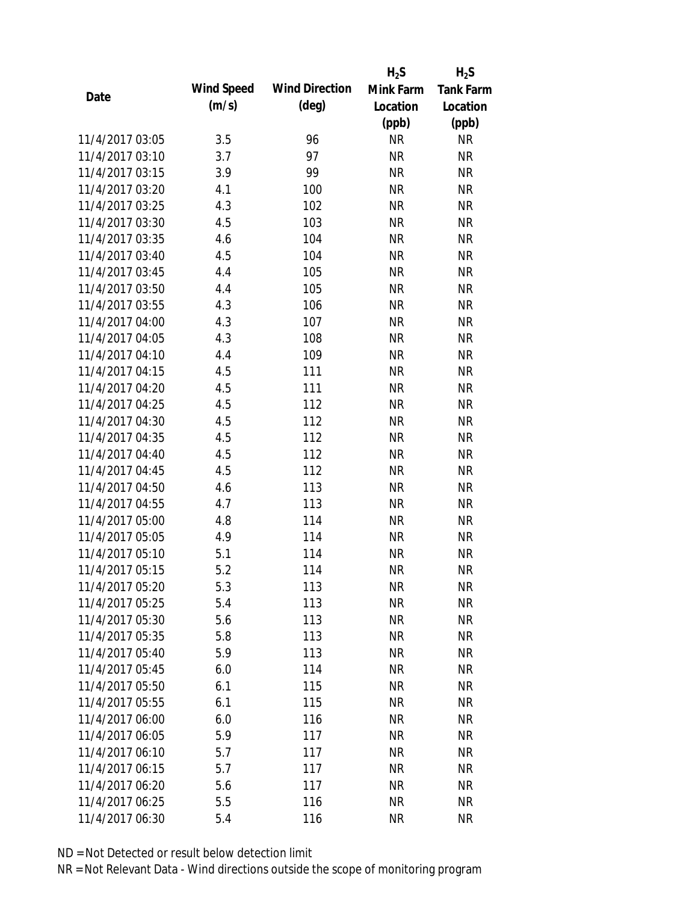|                 |            |                       | $H_2S$    | $H_2S$           |
|-----------------|------------|-----------------------|-----------|------------------|
| Date            | Wind Speed | <b>Wind Direction</b> | Mink Farm | <b>Tank Farm</b> |
|                 | (m/s)      | $(\text{deg})$        | Location  | Location         |
|                 |            |                       | (ppb)     | (ppb)            |
| 11/4/2017 03:05 | 3.5        | 96                    | <b>NR</b> | <b>NR</b>        |
| 11/4/2017 03:10 | 3.7        | 97                    | <b>NR</b> | <b>NR</b>        |
| 11/4/2017 03:15 | 3.9        | 99                    | <b>NR</b> | <b>NR</b>        |
| 11/4/2017 03:20 | 4.1        | 100                   | <b>NR</b> | <b>NR</b>        |
| 11/4/2017 03:25 | 4.3        | 102                   | <b>NR</b> | <b>NR</b>        |
| 11/4/2017 03:30 | 4.5        | 103                   | <b>NR</b> | <b>NR</b>        |
| 11/4/2017 03:35 | 4.6        | 104                   | <b>NR</b> | <b>NR</b>        |
| 11/4/2017 03:40 | 4.5        | 104                   | <b>NR</b> | <b>NR</b>        |
| 11/4/2017 03:45 | 4.4        | 105                   | <b>NR</b> | <b>NR</b>        |
| 11/4/2017 03:50 | 4.4        | 105                   | <b>NR</b> | <b>NR</b>        |
| 11/4/2017 03:55 | 4.3        | 106                   | <b>NR</b> | <b>NR</b>        |
| 11/4/2017 04:00 | 4.3        | 107                   | <b>NR</b> | <b>NR</b>        |
| 11/4/2017 04:05 | 4.3        | 108                   | <b>NR</b> | <b>NR</b>        |
| 11/4/2017 04:10 | 4.4        | 109                   | <b>NR</b> | <b>NR</b>        |
| 11/4/2017 04:15 | 4.5        | 111                   | <b>NR</b> | <b>NR</b>        |
| 11/4/2017 04:20 | 4.5        | 111                   | <b>NR</b> | <b>NR</b>        |
| 11/4/2017 04:25 | 4.5        | 112                   | <b>NR</b> | <b>NR</b>        |
| 11/4/2017 04:30 | 4.5        | 112                   | <b>NR</b> | <b>NR</b>        |
| 11/4/2017 04:35 | 4.5        | 112                   | <b>NR</b> | <b>NR</b>        |
| 11/4/2017 04:40 | 4.5        | 112                   | <b>NR</b> | <b>NR</b>        |
| 11/4/2017 04:45 | 4.5        | 112                   | <b>NR</b> | <b>NR</b>        |
| 11/4/2017 04:50 | 4.6        | 113                   | <b>NR</b> | <b>NR</b>        |
| 11/4/2017 04:55 | 4.7        | 113                   | <b>NR</b> | <b>NR</b>        |
| 11/4/2017 05:00 | 4.8        | 114                   | <b>NR</b> | <b>NR</b>        |
| 11/4/2017 05:05 | 4.9        | 114                   | <b>NR</b> | <b>NR</b>        |
| 11/4/2017 05:10 | 5.1        | 114                   | <b>NR</b> | <b>NR</b>        |
| 11/4/2017 05:15 | 5.2        | 114                   | <b>NR</b> | <b>NR</b>        |
| 11/4/2017 05:20 | 5.3        | 113                   | <b>NR</b> | <b>NR</b>        |
| 11/4/2017 05:25 | 5.4        | 113                   | <b>NR</b> | <b>NR</b>        |
| 11/4/2017 05:30 | 5.6        | 113                   | <b>NR</b> | <b>NR</b>        |
| 11/4/2017 05:35 | 5.8        | 113                   | <b>NR</b> | <b>NR</b>        |
| 11/4/2017 05:40 | 5.9        | 113                   | <b>NR</b> | <b>NR</b>        |
| 11/4/2017 05:45 | 6.0        | 114                   | <b>NR</b> | <b>NR</b>        |
| 11/4/2017 05:50 | 6.1        | 115                   | <b>NR</b> | <b>NR</b>        |
| 11/4/2017 05:55 | 6.1        | 115                   | <b>NR</b> | <b>NR</b>        |
| 11/4/2017 06:00 | 6.0        | 116                   | <b>NR</b> | <b>NR</b>        |
| 11/4/2017 06:05 | 5.9        | 117                   | <b>NR</b> | <b>NR</b>        |
| 11/4/2017 06:10 | 5.7        | 117                   | NR        | <b>NR</b>        |
| 11/4/2017 06:15 | 5.7        | 117                   | <b>NR</b> | <b>NR</b>        |
| 11/4/2017 06:20 | 5.6        | 117                   | <b>NR</b> | <b>NR</b>        |
| 11/4/2017 06:25 | 5.5        | 116                   | <b>NR</b> | <b>NR</b>        |
| 11/4/2017 06:30 | 5.4        | 116                   | <b>NR</b> | <b>NR</b>        |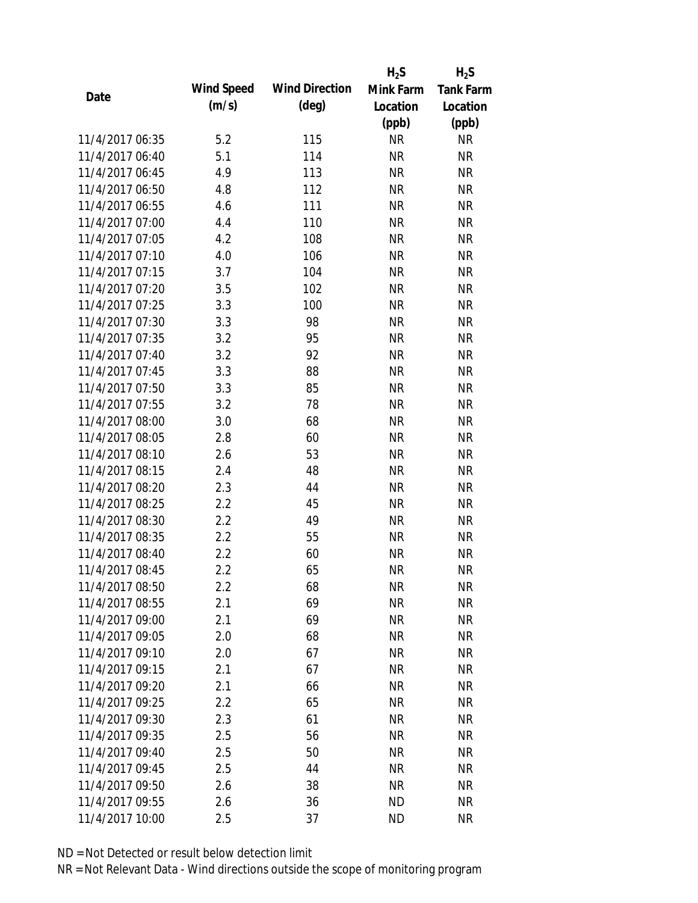|                 |            |                       | $H_2S$    | $H_2S$           |
|-----------------|------------|-----------------------|-----------|------------------|
| Date            | Wind Speed | <b>Wind Direction</b> | Mink Farm | <b>Tank Farm</b> |
|                 | (m/s)      | $(\text{deg})$        | Location  | Location         |
|                 |            |                       | (ppb)     | (ppb)            |
| 11/4/2017 06:35 | 5.2        | 115                   | <b>NR</b> | <b>NR</b>        |
| 11/4/2017 06:40 | 5.1        | 114                   | <b>NR</b> | <b>NR</b>        |
| 11/4/2017 06:45 | 4.9        | 113                   | <b>NR</b> | <b>NR</b>        |
| 11/4/2017 06:50 | 4.8        | 112                   | <b>NR</b> | <b>NR</b>        |
| 11/4/2017 06:55 | 4.6        | 111                   | <b>NR</b> | <b>NR</b>        |
| 11/4/2017 07:00 | 4.4        | 110                   | <b>NR</b> | <b>NR</b>        |
| 11/4/2017 07:05 | 4.2        | 108                   | <b>NR</b> | <b>NR</b>        |
| 11/4/2017 07:10 | 4.0        | 106                   | <b>NR</b> | <b>NR</b>        |
| 11/4/2017 07:15 | 3.7        | 104                   | <b>NR</b> | <b>NR</b>        |
| 11/4/2017 07:20 | 3.5        | 102                   | <b>NR</b> | <b>NR</b>        |
| 11/4/2017 07:25 | 3.3        | 100                   | <b>NR</b> | <b>NR</b>        |
| 11/4/2017 07:30 | 3.3        | 98                    | <b>NR</b> | <b>NR</b>        |
| 11/4/2017 07:35 | 3.2        | 95                    | <b>NR</b> | <b>NR</b>        |
| 11/4/2017 07:40 | 3.2        | 92                    | <b>NR</b> | <b>NR</b>        |
| 11/4/2017 07:45 | 3.3        | 88                    | <b>NR</b> | <b>NR</b>        |
| 11/4/2017 07:50 | 3.3        | 85                    | <b>NR</b> | <b>NR</b>        |
| 11/4/2017 07:55 | 3.2        | 78                    | <b>NR</b> | <b>NR</b>        |
| 11/4/2017 08:00 | 3.0        | 68                    | <b>NR</b> | <b>NR</b>        |
| 11/4/2017 08:05 | 2.8        | 60                    | <b>NR</b> | <b>NR</b>        |
| 11/4/2017 08:10 | 2.6        | 53                    | <b>NR</b> | <b>NR</b>        |
| 11/4/2017 08:15 | 2.4        | 48                    | <b>NR</b> | <b>NR</b>        |
| 11/4/2017 08:20 | 2.3        | 44                    | <b>NR</b> | <b>NR</b>        |
| 11/4/2017 08:25 | 2.2        | 45                    | <b>NR</b> | <b>NR</b>        |
| 11/4/2017 08:30 | 2.2        | 49                    | <b>NR</b> | <b>NR</b>        |
| 11/4/2017 08:35 | 2.2        | 55                    | <b>NR</b> | <b>NR</b>        |
| 11/4/2017 08:40 | 2.2        | 60                    | <b>NR</b> | <b>NR</b>        |
| 11/4/2017 08:45 | 2.2        | 65                    | <b>NR</b> | <b>NR</b>        |
| 11/4/2017 08:50 | $2.2\,$    | 68                    | <b>NR</b> | NR               |
| 11/4/2017 08:55 | 2.1        | 69                    | <b>NR</b> | <b>NR</b>        |
| 11/4/2017 09:00 | 2.1        | 69                    | NR        | <b>NR</b>        |
| 11/4/2017 09:05 | 2.0        | 68                    | <b>NR</b> | <b>NR</b>        |
| 11/4/2017 09:10 | 2.0        | 67                    | <b>NR</b> | <b>NR</b>        |
| 11/4/2017 09:15 | 2.1        | 67                    | NR        | <b>NR</b>        |
| 11/4/2017 09:20 | 2.1        | 66                    | <b>NR</b> | <b>NR</b>        |
| 11/4/2017 09:25 | 2.2        | 65                    | <b>NR</b> | NR               |
| 11/4/2017 09:30 | 2.3        | 61                    | <b>NR</b> | <b>NR</b>        |
| 11/4/2017 09:35 | 2.5        | 56                    | NR        | <b>NR</b>        |
| 11/4/2017 09:40 | 2.5        | 50                    | NR        | <b>NR</b>        |
| 11/4/2017 09:45 | 2.5        | 44                    | <b>NR</b> | NR               |
| 11/4/2017 09:50 | 2.6        | 38                    | <b>NR</b> | NR               |
| 11/4/2017 09:55 | 2.6        | 36                    | <b>ND</b> | <b>NR</b>        |
| 11/4/2017 10:00 | 2.5        | 37                    | <b>ND</b> | <b>NR</b>        |
|                 |            |                       |           |                  |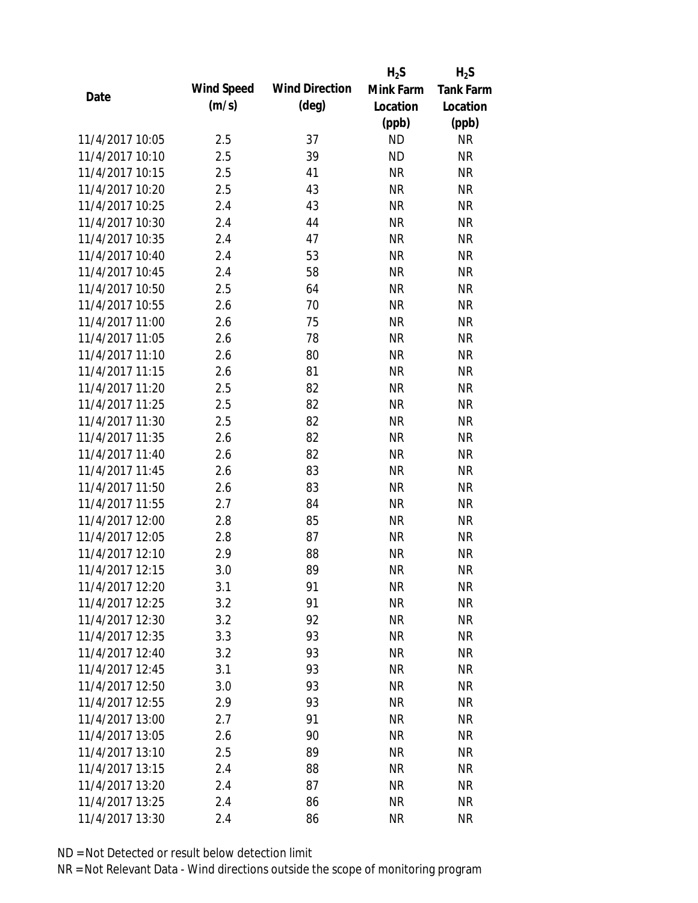|                 |            |                       | $H_2S$    | $H_2S$           |
|-----------------|------------|-----------------------|-----------|------------------|
| Date            | Wind Speed | <b>Wind Direction</b> | Mink Farm | <b>Tank Farm</b> |
|                 | (m/s)      | $(\text{deg})$        | Location  | Location         |
|                 |            |                       | (ppb)     | (ppb)            |
| 11/4/2017 10:05 | 2.5        | 37                    | <b>ND</b> | <b>NR</b>        |
| 11/4/2017 10:10 | 2.5        | 39                    | <b>ND</b> | <b>NR</b>        |
| 11/4/2017 10:15 | 2.5        | 41                    | <b>NR</b> | <b>NR</b>        |
| 11/4/2017 10:20 | 2.5        | 43                    | <b>NR</b> | <b>NR</b>        |
| 11/4/2017 10:25 | 2.4        | 43                    | <b>NR</b> | <b>NR</b>        |
| 11/4/2017 10:30 | 2.4        | 44                    | <b>NR</b> | <b>NR</b>        |
| 11/4/2017 10:35 | 2.4        | 47                    | <b>NR</b> | <b>NR</b>        |
| 11/4/2017 10:40 | 2.4        | 53                    | <b>NR</b> | <b>NR</b>        |
| 11/4/2017 10:45 | 2.4        | 58                    | <b>NR</b> | <b>NR</b>        |
| 11/4/2017 10:50 | 2.5        | 64                    | <b>NR</b> | <b>NR</b>        |
| 11/4/2017 10:55 | 2.6        | 70                    | <b>NR</b> | <b>NR</b>        |
| 11/4/2017 11:00 | 2.6        | 75                    | <b>NR</b> | <b>NR</b>        |
| 11/4/2017 11:05 | 2.6        | 78                    | <b>NR</b> | <b>NR</b>        |
| 11/4/2017 11:10 | 2.6        | 80                    | <b>NR</b> | <b>NR</b>        |
| 11/4/2017 11:15 | 2.6        | 81                    | <b>NR</b> | <b>NR</b>        |
| 11/4/2017 11:20 | 2.5        | 82                    | <b>NR</b> | <b>NR</b>        |
| 11/4/2017 11:25 | 2.5        | 82                    | <b>NR</b> | <b>NR</b>        |
| 11/4/2017 11:30 | 2.5        | 82                    | <b>NR</b> | <b>NR</b>        |
| 11/4/2017 11:35 | 2.6        | 82                    | <b>NR</b> | <b>NR</b>        |
| 11/4/2017 11:40 | 2.6        | 82                    | <b>NR</b> | <b>NR</b>        |
| 11/4/2017 11:45 | 2.6        | 83                    | <b>NR</b> | <b>NR</b>        |
| 11/4/2017 11:50 | 2.6        | 83                    | <b>NR</b> | <b>NR</b>        |
| 11/4/2017 11:55 | 2.7        | 84                    | <b>NR</b> | <b>NR</b>        |
| 11/4/2017 12:00 | 2.8        | 85                    | <b>NR</b> | <b>NR</b>        |
| 11/4/2017 12:05 | 2.8        | 87                    | <b>NR</b> | <b>NR</b>        |
| 11/4/2017 12:10 | 2.9        | 88                    | <b>NR</b> | <b>NR</b>        |
| 11/4/2017 12:15 | 3.0        | 89                    | <b>NR</b> | <b>NR</b>        |
| 11/4/2017 12:20 | 3.1        | 91                    | <b>NR</b> | NR               |
| 11/4/2017 12:25 | 3.2        | 91                    | <b>NR</b> | <b>NR</b>        |
| 11/4/2017 12:30 | 3.2        | 92                    | <b>NR</b> | <b>NR</b>        |
| 11/4/2017 12:35 | 3.3        | 93                    | <b>NR</b> | <b>NR</b>        |
| 11/4/2017 12:40 | 3.2        | 93                    | <b>NR</b> | <b>NR</b>        |
| 11/4/2017 12:45 | 3.1        | 93                    | <b>NR</b> | <b>NR</b>        |
| 11/4/2017 12:50 | 3.0        | 93                    | <b>NR</b> | <b>NR</b>        |
| 11/4/2017 12:55 | 2.9        | 93                    | <b>NR</b> | <b>NR</b>        |
| 11/4/2017 13:00 | 2.7        | 91                    | <b>NR</b> | <b>NR</b>        |
| 11/4/2017 13:05 | 2.6        | 90                    | <b>NR</b> | <b>NR</b>        |
| 11/4/2017 13:10 | 2.5        | 89                    | NR        | <b>NR</b>        |
| 11/4/2017 13:15 | 2.4        | 88                    | <b>NR</b> | NR               |
| 11/4/2017 13:20 | 2.4        | 87                    | <b>NR</b> | NR               |
|                 |            |                       |           |                  |
| 11/4/2017 13:25 | 2.4        | 86                    | <b>NR</b> | <b>NR</b>        |
| 11/4/2017 13:30 | 2.4        | 86                    | <b>NR</b> | <b>NR</b>        |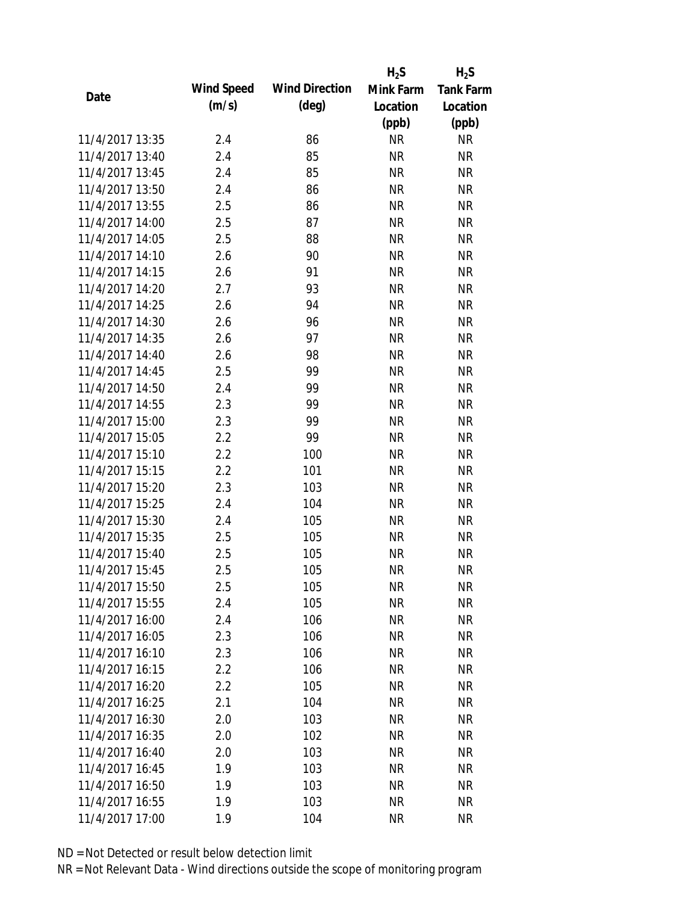|                 |            |                       | $H_2S$    | $H_2S$           |
|-----------------|------------|-----------------------|-----------|------------------|
| Date            | Wind Speed | <b>Wind Direction</b> | Mink Farm | <b>Tank Farm</b> |
|                 | (m/s)      | $(\text{deg})$        | Location  | Location         |
|                 |            |                       | (ppb)     | (ppb)            |
| 11/4/2017 13:35 | 2.4        | 86                    | <b>NR</b> | <b>NR</b>        |
| 11/4/2017 13:40 | 2.4        | 85                    | <b>NR</b> | <b>NR</b>        |
| 11/4/2017 13:45 | 2.4        | 85                    | <b>NR</b> | <b>NR</b>        |
| 11/4/2017 13:50 | 2.4        | 86                    | <b>NR</b> | <b>NR</b>        |
| 11/4/2017 13:55 | 2.5        | 86                    | <b>NR</b> | <b>NR</b>        |
| 11/4/2017 14:00 | 2.5        | 87                    | <b>NR</b> | <b>NR</b>        |
| 11/4/2017 14:05 | 2.5        | 88                    | <b>NR</b> | <b>NR</b>        |
| 11/4/2017 14:10 | 2.6        | 90                    | <b>NR</b> | <b>NR</b>        |
| 11/4/2017 14:15 | 2.6        | 91                    | <b>NR</b> | <b>NR</b>        |
| 11/4/2017 14:20 | 2.7        | 93                    | <b>NR</b> | <b>NR</b>        |
| 11/4/2017 14:25 | 2.6        | 94                    | <b>NR</b> | <b>NR</b>        |
| 11/4/2017 14:30 | 2.6        | 96                    | <b>NR</b> | <b>NR</b>        |
| 11/4/2017 14:35 | 2.6        | 97                    | <b>NR</b> | <b>NR</b>        |
| 11/4/2017 14:40 | 2.6        | 98                    | <b>NR</b> | <b>NR</b>        |
| 11/4/2017 14:45 | 2.5        | 99                    | <b>NR</b> | <b>NR</b>        |
| 11/4/2017 14:50 | 2.4        | 99                    | <b>NR</b> | <b>NR</b>        |
| 11/4/2017 14:55 | 2.3        | 99                    | <b>NR</b> | <b>NR</b>        |
| 11/4/2017 15:00 | 2.3        | 99                    | <b>NR</b> | <b>NR</b>        |
| 11/4/2017 15:05 | 2.2        | 99                    | <b>NR</b> | <b>NR</b>        |
| 11/4/2017 15:10 | 2.2        | 100                   | <b>NR</b> | <b>NR</b>        |
| 11/4/2017 15:15 | 2.2        | 101                   | <b>NR</b> | <b>NR</b>        |
| 11/4/2017 15:20 | 2.3        | 103                   | <b>NR</b> | <b>NR</b>        |
| 11/4/2017 15:25 | 2.4        | 104                   | <b>NR</b> | <b>NR</b>        |
| 11/4/2017 15:30 | 2.4        | 105                   | <b>NR</b> | <b>NR</b>        |
| 11/4/2017 15:35 | 2.5        | 105                   | <b>NR</b> | <b>NR</b>        |
| 11/4/2017 15:40 | 2.5        | 105                   | <b>NR</b> | <b>NR</b>        |
| 11/4/2017 15:45 | 2.5        | 105                   | <b>NR</b> | <b>NR</b>        |
| 11/4/2017 15:50 | 2.5        | 105                   | <b>NR</b> | NR               |
| 11/4/2017 15:55 | 2.4        | 105                   | <b>NR</b> | <b>NR</b>        |
| 11/4/2017 16:00 | 2.4        | 106                   | NR        | <b>NR</b>        |
| 11/4/2017 16:05 | 2.3        | 106                   | <b>NR</b> | <b>NR</b>        |
| 11/4/2017 16:10 | 2.3        | 106                   | <b>NR</b> | <b>NR</b>        |
| 11/4/2017 16:15 | 2.2        | 106                   | NR        | <b>NR</b>        |
| 11/4/2017 16:20 | 2.2        | 105                   | <b>NR</b> | <b>NR</b>        |
| 11/4/2017 16:25 | 2.1        | 104                   | <b>NR</b> | <b>NR</b>        |
| 11/4/2017 16:30 | 2.0        | 103                   | <b>NR</b> | <b>NR</b>        |
| 11/4/2017 16:35 | 2.0        | 102                   | NR        | <b>NR</b>        |
| 11/4/2017 16:40 | 2.0        | 103                   | NR        | <b>NR</b>        |
| 11/4/2017 16:45 | 1.9        | 103                   | <b>NR</b> | NR               |
| 11/4/2017 16:50 | 1.9        | 103                   | <b>NR</b> | NR               |
| 11/4/2017 16:55 | 1.9        | 103                   | <b>NR</b> | <b>NR</b>        |
| 11/4/2017 17:00 | 1.9        | 104                   | <b>NR</b> | <b>NR</b>        |
|                 |            |                       |           |                  |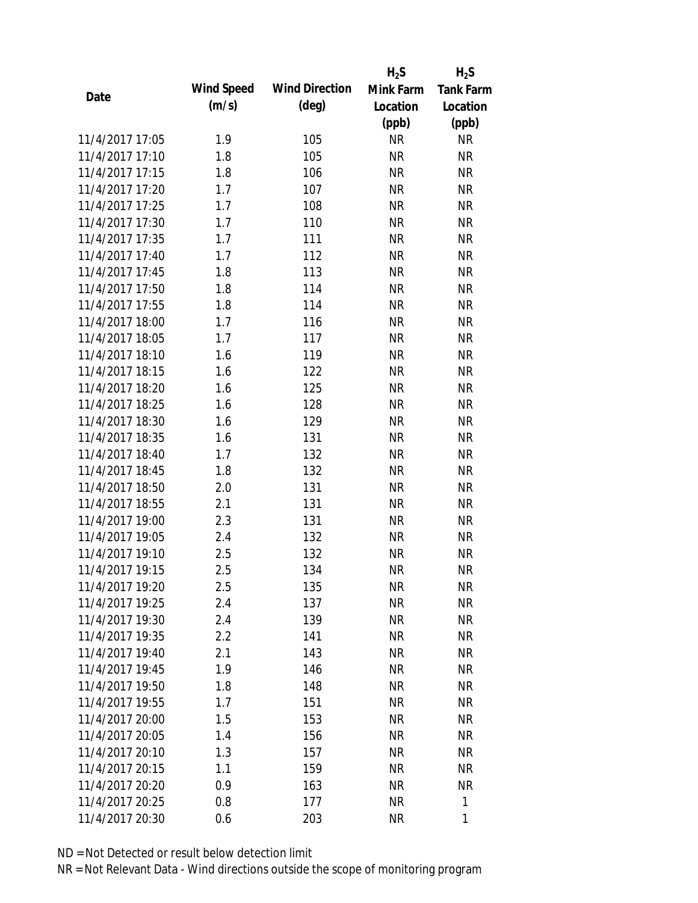|                 |                   |                       | $H_2S$    | $H_2S$           |
|-----------------|-------------------|-----------------------|-----------|------------------|
| Date            | <b>Wind Speed</b> | <b>Wind Direction</b> | Mink Farm | <b>Tank Farm</b> |
|                 | (m/s)             | $(\text{deg})$        | Location  | Location         |
|                 |                   |                       | (ppb)     | (ppb)            |
| 11/4/2017 17:05 | 1.9               | 105                   | <b>NR</b> | <b>NR</b>        |
| 11/4/2017 17:10 | 1.8               | 105                   | <b>NR</b> | <b>NR</b>        |
| 11/4/2017 17:15 | 1.8               | 106                   | <b>NR</b> | <b>NR</b>        |
| 11/4/2017 17:20 | 1.7               | 107                   | <b>NR</b> | <b>NR</b>        |
| 11/4/2017 17:25 | 1.7               | 108                   | <b>NR</b> | <b>NR</b>        |
| 11/4/2017 17:30 | 1.7               | 110                   | <b>NR</b> | <b>NR</b>        |
| 11/4/2017 17:35 | 1.7               | 111                   | <b>NR</b> | <b>NR</b>        |
| 11/4/2017 17:40 | 1.7               | 112                   | <b>NR</b> | <b>NR</b>        |
| 11/4/2017 17:45 | 1.8               | 113                   | <b>NR</b> | <b>NR</b>        |
| 11/4/2017 17:50 | 1.8               | 114                   | <b>NR</b> | <b>NR</b>        |
| 11/4/2017 17:55 | 1.8               | 114                   | <b>NR</b> | <b>NR</b>        |
| 11/4/2017 18:00 | 1.7               | 116                   | <b>NR</b> | <b>NR</b>        |
| 11/4/2017 18:05 | 1.7               | 117                   | <b>NR</b> | <b>NR</b>        |
| 11/4/2017 18:10 | 1.6               | 119                   | <b>NR</b> | <b>NR</b>        |
| 11/4/2017 18:15 | 1.6               | 122                   | <b>NR</b> | <b>NR</b>        |
| 11/4/2017 18:20 | 1.6               | 125                   | <b>NR</b> | <b>NR</b>        |
| 11/4/2017 18:25 | 1.6               | 128                   | <b>NR</b> | <b>NR</b>        |
| 11/4/2017 18:30 | 1.6               | 129                   | <b>NR</b> | <b>NR</b>        |
| 11/4/2017 18:35 | 1.6               | 131                   | <b>NR</b> | <b>NR</b>        |
| 11/4/2017 18:40 | 1.7               | 132                   | <b>NR</b> | <b>NR</b>        |
| 11/4/2017 18:45 | 1.8               | 132                   | <b>NR</b> | <b>NR</b>        |
| 11/4/2017 18:50 | 2.0               | 131                   | <b>NR</b> | <b>NR</b>        |
| 11/4/2017 18:55 | 2.1               | 131                   | <b>NR</b> | <b>NR</b>        |
| 11/4/2017 19:00 | 2.3               | 131                   | <b>NR</b> | <b>NR</b>        |
| 11/4/2017 19:05 | 2.4               | 132                   | <b>NR</b> | <b>NR</b>        |
| 11/4/2017 19:10 | 2.5               | 132                   | <b>NR</b> | <b>NR</b>        |
| 11/4/2017 19:15 | 2.5               | 134                   | <b>NR</b> | <b>NR</b>        |
| 11/4/2017 19:20 | 2.5               | 135                   | NR        | <b>NR</b>        |
| 11/4/2017 19:25 | 2.4               | 137                   | <b>NR</b> | <b>NR</b>        |
| 11/4/2017 19:30 | 2.4               | 139                   | <b>NR</b> | <b>NR</b>        |
| 11/4/2017 19:35 | 2.2               | 141                   | <b>NR</b> | <b>NR</b>        |
| 11/4/2017 19:40 | 2.1               | 143                   | NR        | <b>NR</b>        |
| 11/4/2017 19:45 | 1.9               | 146                   | <b>NR</b> | <b>NR</b>        |
| 11/4/2017 19:50 | 1.8               | 148                   | <b>NR</b> | <b>NR</b>        |
| 11/4/2017 19:55 | 1.7               | 151                   | <b>NR</b> | <b>NR</b>        |
| 11/4/2017 20:00 | 1.5               | 153                   | <b>NR</b> | <b>NR</b>        |
| 11/4/2017 20:05 | 1.4               | 156                   | <b>NR</b> | <b>NR</b>        |
| 11/4/2017 20:10 | 1.3               | 157                   | NR        | <b>NR</b>        |
| 11/4/2017 20:15 | 1.1               | 159                   | NR        | <b>NR</b>        |
| 11/4/2017 20:20 | 0.9               |                       | NR        | <b>NR</b>        |
|                 |                   | 163                   |           |                  |
| 11/4/2017 20:25 | 0.8               | 177                   | <b>NR</b> | 1                |
| 11/4/2017 20:30 | 0.6               | 203                   | <b>NR</b> | 1                |